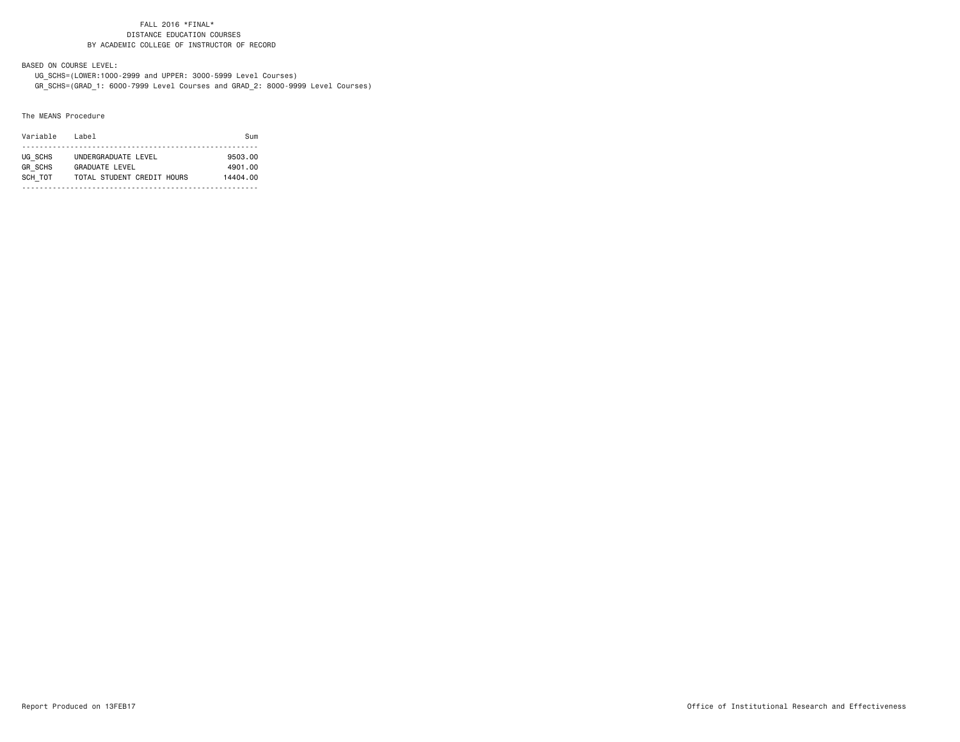BASED ON COURSE LEVEL:

 UG\_SCHS=(LOWER:1000-2999 and UPPER: 3000-5999 Level Courses) GR\_SCHS=(GRAD\_1: 6000-7999 Level Courses and GRAD\_2: 8000-9999 Level Courses)

#### The MEANS Procedure

| Variable       | l ahel                     | Sum      |
|----------------|----------------------------|----------|
|                |                            |          |
| UG SCHS        | UNDERGRADUATE LEVEL        | 9503.00  |
| <b>GR SCHS</b> | GRADUATE LEVEL             | 4901.00  |
| SCH TOT        | TOTAL STUDENT CREDIT HOURS | 14404.00 |
|                |                            |          |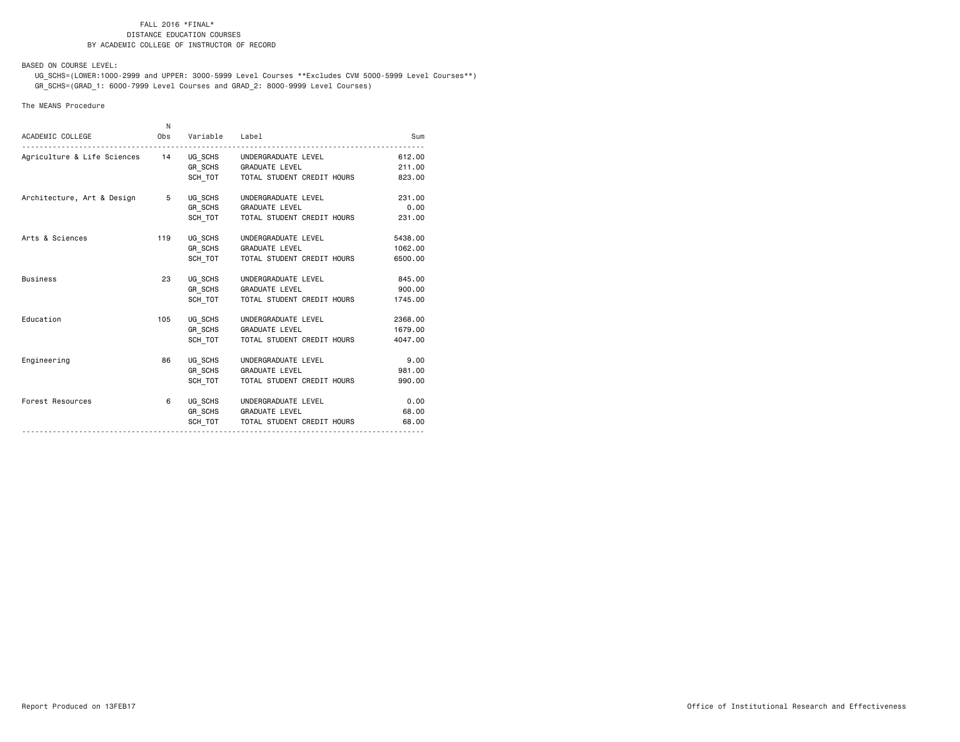BASED ON COURSE LEVEL:

 UG\_SCHS=(LOWER:1000-2999 and UPPER: 3000-5999 Level Courses \*\*Excludes CVM 5000-5999 Level Courses\*\*) GR\_SCHS=(GRAD\_1: 6000-7999 Level Courses and GRAD\_2: 8000-9999 Level Courses)

#### The MEANS Procedure

| ACADEMIC COLLEGE                                           | N.<br>Obs | Variable Label |                                      |         |
|------------------------------------------------------------|-----------|----------------|--------------------------------------|---------|
|                                                            |           |                |                                      | Sum     |
| Agriculture & Life Sciences 14 UG_SCHS UNDERGRADUATE LEVEL |           |                |                                      | 612,00  |
|                                                            |           |                | GR SCHS GRADUATE LEVEL               | 211.00  |
|                                                            |           |                | SCH TOT TOTAL STUDENT CREDIT HOURS   | 823.00  |
| Architecture, Art & Design 5                               |           | UG SCHS        | UNDERGRADUATE LEVEL                  | 231,00  |
|                                                            |           | GR SCHS        | <b>GRADUATE LEVEL</b>                | 0.00    |
|                                                            |           | SCH TOT        | TOTAL STUDENT CREDIT HOURS           | 231,00  |
| Arts & Sciences                                            | 119       | UG SCHS        | UNDERGRADUATE LEVEL                  | 5438.00 |
|                                                            |           |                | GR SCHS GRADUATE LEVEL               | 1062.00 |
|                                                            |           | SCH TOT        | TOTAL STUDENT CREDIT HOURS           | 6500.00 |
| <b>Business</b>                                            | 23        | UG SCHS        | UNDERGRADUATE LEVEL                  | 845.00  |
|                                                            |           |                | GR_SCHS GRADUATE LEVEL               | 900.00  |
|                                                            |           | SCH TOT        | TOTAL STUDENT CREDIT HOURS           | 1745.00 |
| Education                                                  | 105       | UG SCHS        | UNDERGRADUATE LEVEL                  | 2368,00 |
|                                                            |           |                | GR SCHS GRADUATE LEVEL               | 1679.00 |
|                                                            |           | SCH TOT        | TOTAL STUDENT CREDIT HOURS           | 4047.00 |
| Engineering                                                | 86        |                | UG SCHS UNDERGRADUATE LEVEL          | 9.00    |
|                                                            |           | GR SCHS        | <b>GRADUATE LEVEL</b>                | 981.00  |
|                                                            |           | SCH TOT        | TOTAL STUDENT CREDIT HOURS           | 990.00  |
| Forest Resources                                           | 6         |                | UG_SCHS UNDERGRADUATE LEVEL          | 0.00    |
|                                                            |           |                | GR SCHS GRADUATE LEVEL               | 68,00   |
|                                                            |           |                | SCH TOT   TOTAL STUDENT CREDIT HOURS | 68,00   |
|                                                            |           |                |                                      |         |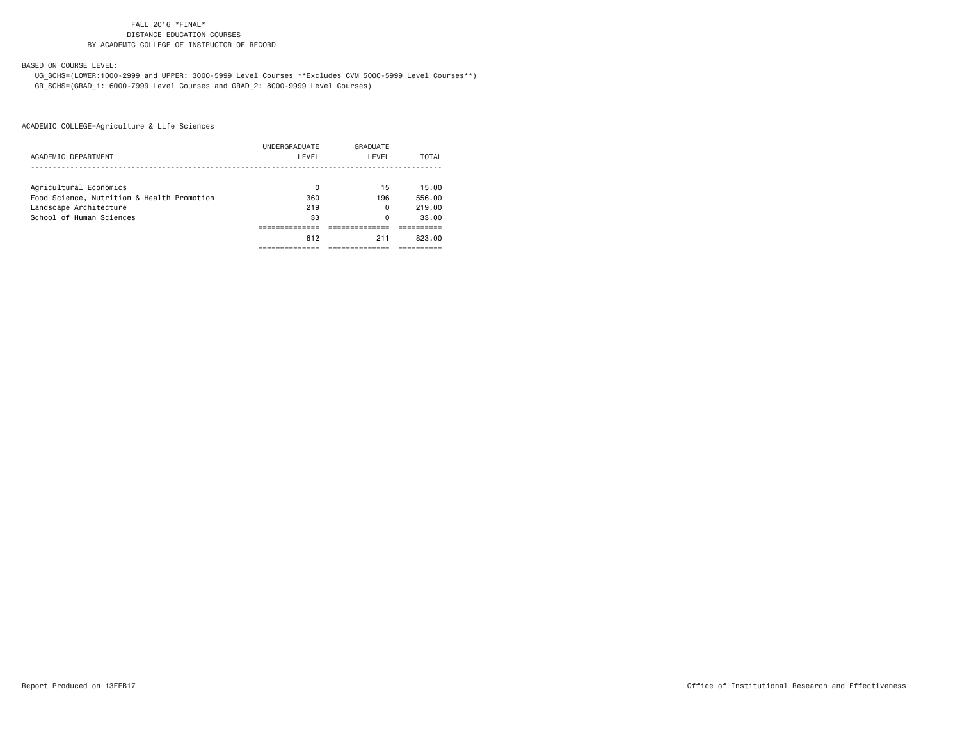BASED ON COURSE LEVEL:

 UG\_SCHS=(LOWER:1000-2999 and UPPER: 3000-5999 Level Courses \*\*Excludes CVM 5000-5999 Level Courses\*\*) GR\_SCHS=(GRAD\_1: 6000-7999 Level Courses and GRAD\_2: 8000-9999 Level Courses)

ACADEMIC COLLEGE=Agriculture & Life Sciences

|                                            | UNDERGRADUATE | GRADUATE |        |
|--------------------------------------------|---------------|----------|--------|
| ACADEMIC DEPARTMENT                        | LEVEL         | LEVEL    | TOTAL  |
|                                            |               |          |        |
| Agricultural Economics                     | 0             | 15       | 15.00  |
| Food Science, Nutrition & Health Promotion | 360           | 196      | 556.00 |
| Landscape Architecture                     | 219           | 0        | 219.00 |
| School of Human Sciences                   | 33            | 0        | 33.00  |
|                                            |               |          |        |
|                                            | 612           | 211      | 823.00 |
|                                            |               |          |        |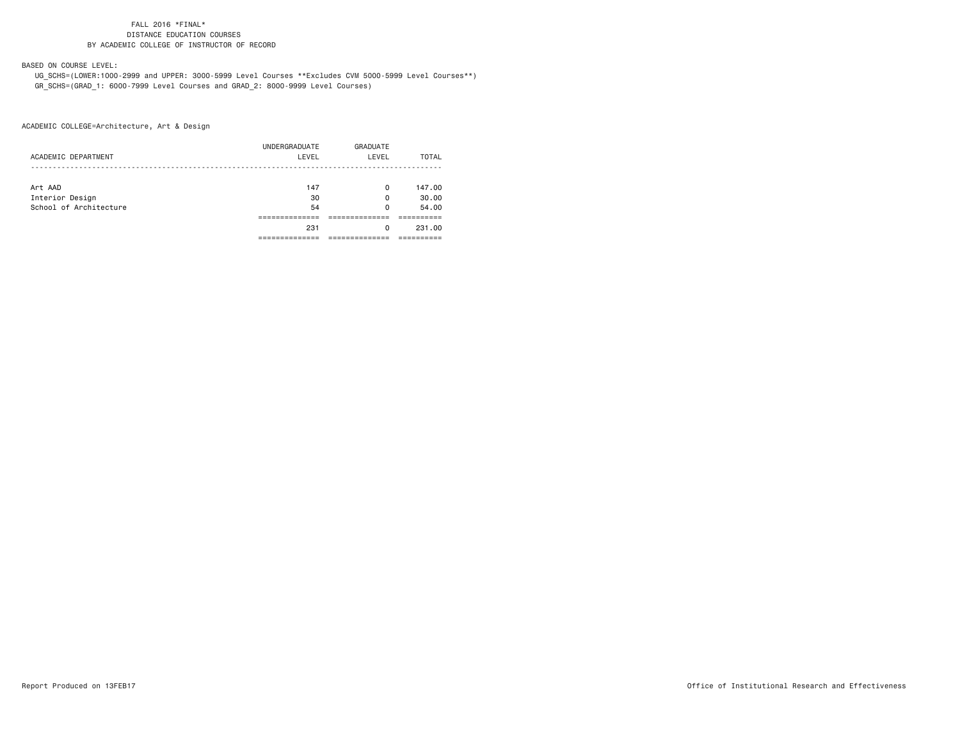### BASED ON COURSE LEVEL:

 UG\_SCHS=(LOWER:1000-2999 and UPPER: 3000-5999 Level Courses \*\*Excludes CVM 5000-5999 Level Courses\*\*) GR\_SCHS=(GRAD\_1: 6000-7999 Level Courses and GRAD\_2: 8000-9999 Level Courses)

| ACADEMIC DEPARTMENT    | UNDERGRADUATE<br>LEVEL | <b>GRADUATE</b><br>LEVEL | TOTAL  |
|------------------------|------------------------|--------------------------|--------|
|                        |                        |                          |        |
| Art AAD                | 147                    | $\Omega$                 | 147.00 |
| Interior Design        | 30                     | 0                        | 30.00  |
| School of Architecture | 54                     | 0                        | 54.00  |
|                        |                        |                          |        |
|                        | 231                    | 0                        | 231,00 |
|                        |                        |                          |        |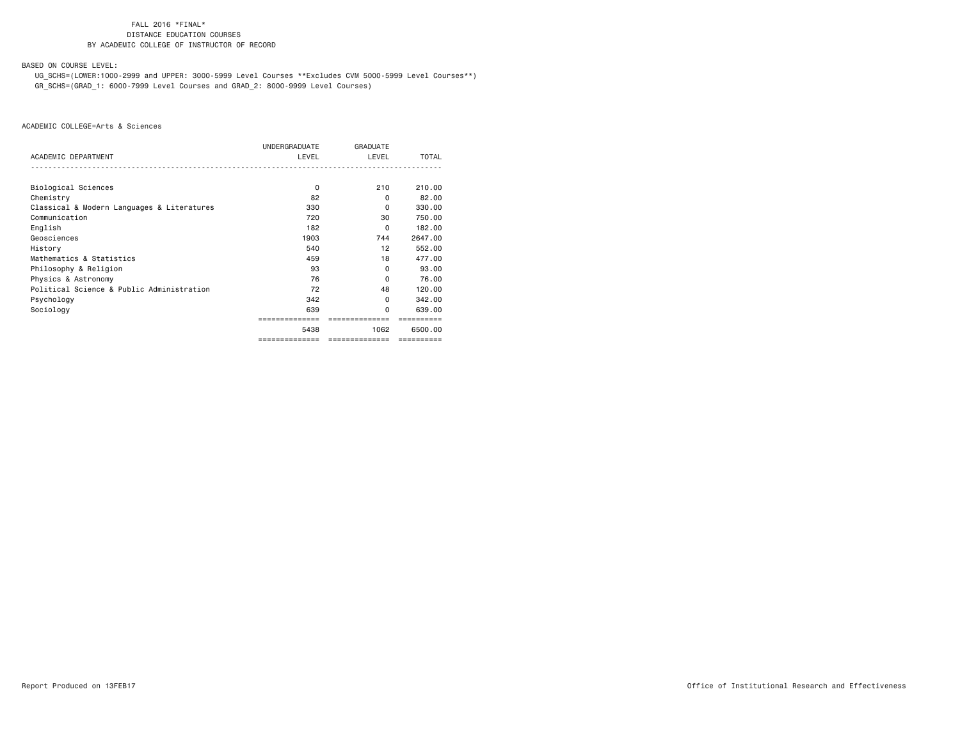BASED ON COURSE LEVEL:

 UG\_SCHS=(LOWER:1000-2999 and UPPER: 3000-5999 Level Courses \*\*Excludes CVM 5000-5999 Level Courses\*\*) GR\_SCHS=(GRAD\_1: 6000-7999 Level Courses and GRAD\_2: 8000-9999 Level Courses)

|                                            | UNDERGRADUATE  | <b>GRADUATE</b> |              |
|--------------------------------------------|----------------|-----------------|--------------|
| ACADEMIC DEPARTMENT                        | LEVEL          | LEVEL           | <b>TOTAL</b> |
|                                            |                |                 |              |
| Biological Sciences                        | 0              | 210             | 210,00       |
| Chemistry                                  | 82             | 0               | 82.00        |
| Classical & Modern Languages & Literatures | 330            | 0               | 330,00       |
| Communication                              | 720            | 30              | 750.00       |
| English                                    | 182            | 0               | 182.00       |
| Geosciences                                | 1903           | 744             | 2647.00      |
| History                                    | 540            | 12              | 552.00       |
| Mathematics & Statistics                   | 459            | 18              | 477.00       |
| Philosophy & Religion                      | 93             | $\Omega$        | 93.00        |
| Physics & Astronomy                        | 76             | $\Omega$        | 76.00        |
| Political Science & Public Administration  | 72             | 48              | 120,00       |
| Psychology                                 | 342            | 0               | 342.00       |
| Sociology                                  | 639            | <sup>0</sup>    | 639,00       |
|                                            | ============== |                 |              |
|                                            | 5438           | 1062            | 6500.00      |
|                                            | ============== | ==============  | ==========   |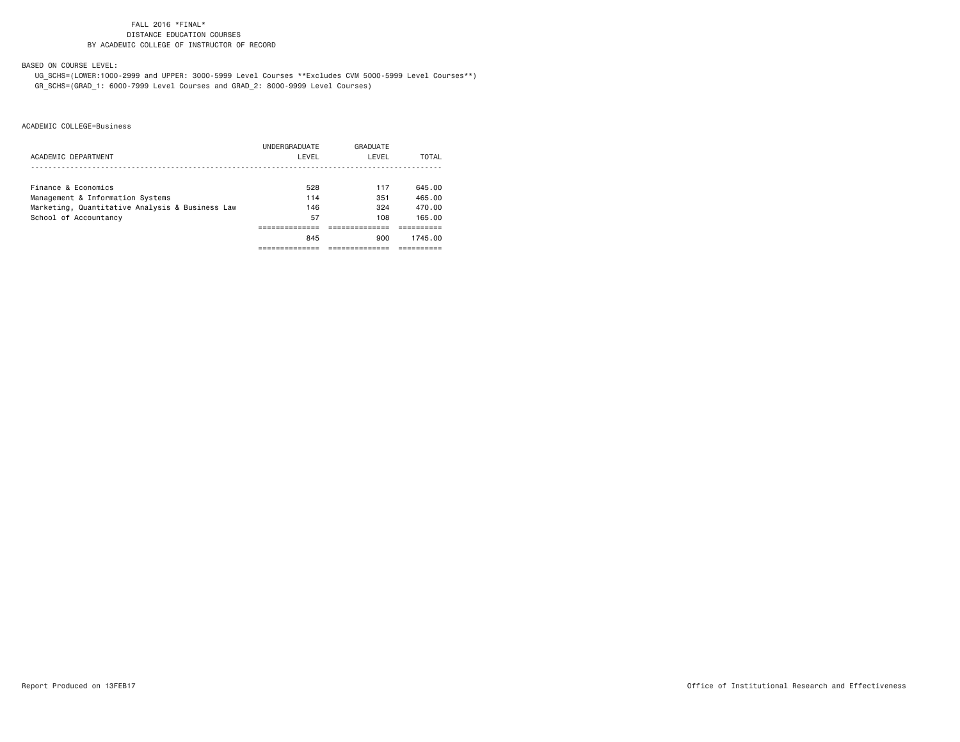BASED ON COURSE LEVEL:

 UG\_SCHS=(LOWER:1000-2999 and UPPER: 3000-5999 Level Courses \*\*Excludes CVM 5000-5999 Level Courses\*\*) GR\_SCHS=(GRAD\_1: 6000-7999 Level Courses and GRAD\_2: 8000-9999 Level Courses)

|                                                 | UNDERGRADUATE | GRADUATE |         |
|-------------------------------------------------|---------------|----------|---------|
| ACADEMIC DEPARTMENT                             | LEVEL         | LEVEL    | TOTAL   |
|                                                 |               |          |         |
| Finance & Economics                             | 528           | 117      | 645.00  |
| Management & Information Systems                | 114           | 351      | 465.00  |
| Marketing, Quantitative Analysis & Business Law | 146           | 324      | 470.00  |
| School of Accountancy                           | 57            | 108      | 165.00  |
|                                                 |               |          |         |
|                                                 | 845           | 900      | 1745.00 |
|                                                 |               |          |         |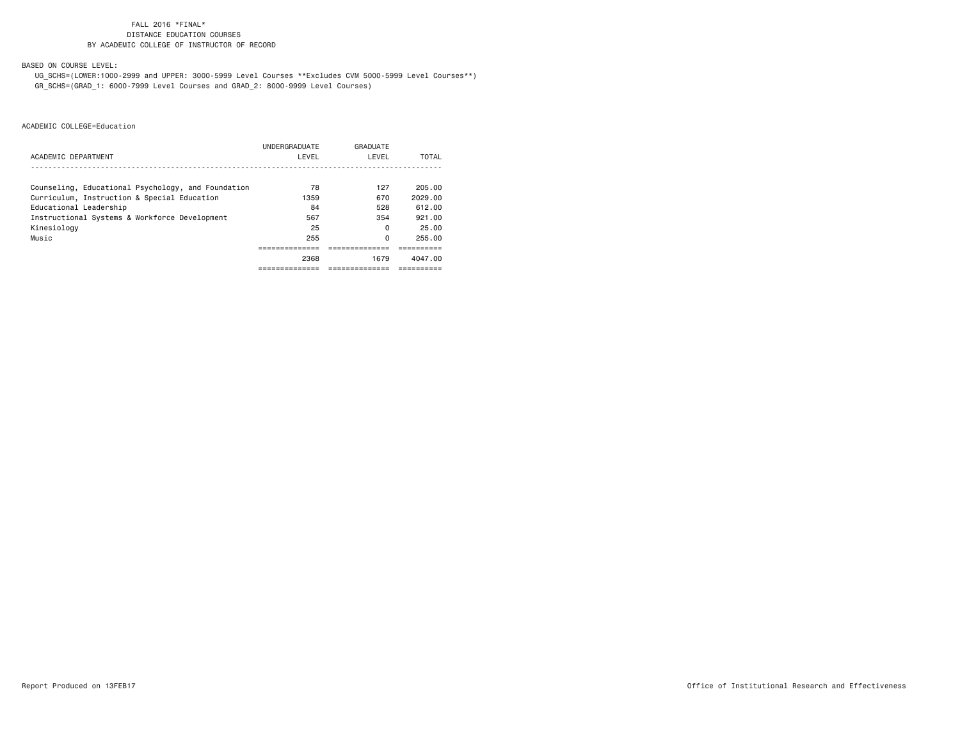BASED ON COURSE LEVEL:

 UG\_SCHS=(LOWER:1000-2999 and UPPER: 3000-5999 Level Courses \*\*Excludes CVM 5000-5999 Level Courses\*\*) GR\_SCHS=(GRAD\_1: 6000-7999 Level Courses and GRAD\_2: 8000-9999 Level Courses)

|                                                    | UNDERGRADUATE | GRADUATE |         |
|----------------------------------------------------|---------------|----------|---------|
| ACADEMIC DEPARTMENT                                | LEVEL         | LEVEL    | TOTAL   |
|                                                    |               |          |         |
| Counseling, Educational Psychology, and Foundation | 78            | 127      | 205.00  |
| Curriculum, Instruction & Special Education        | 1359          | 670      | 2029.00 |
| Educational Leadership                             | 84            | 528      | 612.00  |
| Instructional Systems & Workforce Development      | 567           | 354      | 921.00  |
| Kinesiology                                        | 25            | 0        | 25.00   |
| Music                                              | 255           | 0        | 255.00  |
|                                                    |               |          |         |
|                                                    | 2368          | 1679     | 4047.00 |
|                                                    |               |          |         |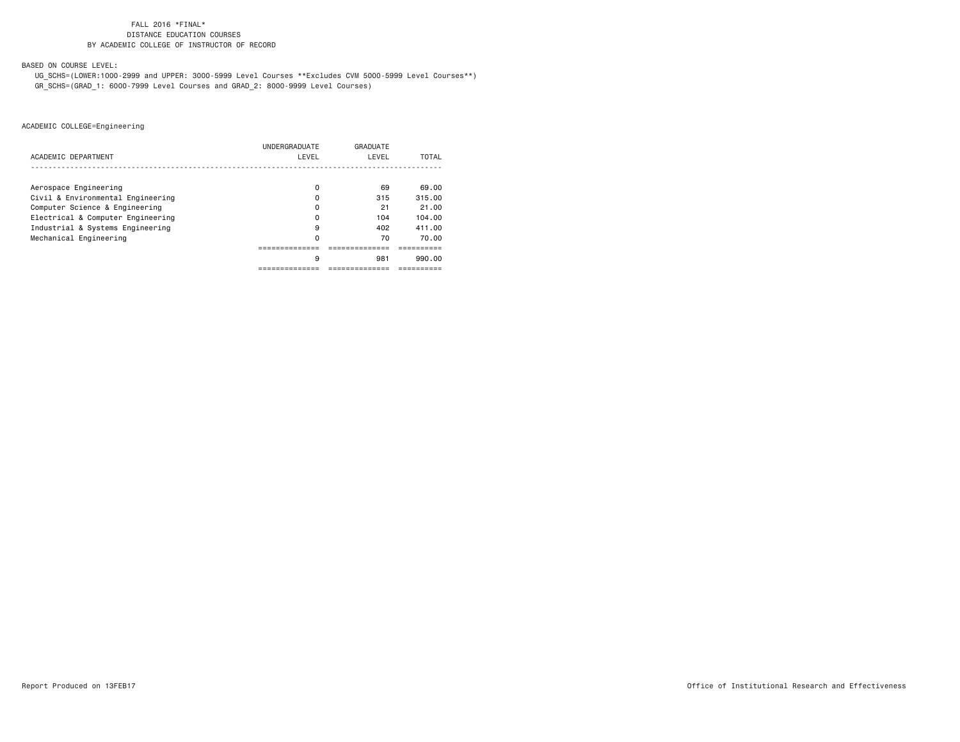BASED ON COURSE LEVEL:

 UG\_SCHS=(LOWER:1000-2999 and UPPER: 3000-5999 Level Courses \*\*Excludes CVM 5000-5999 Level Courses\*\*) GR\_SCHS=(GRAD\_1: 6000-7999 Level Courses and GRAD\_2: 8000-9999 Level Courses)

| ACADEMIC DEPARTMENT               | UNDERGRADUATE<br>LEVEL | GRADUATE<br>LEVEL | TOTAL  |
|-----------------------------------|------------------------|-------------------|--------|
|                                   |                        |                   |        |
| Aerospace Engineering             | 0                      | 69                | 69.00  |
| Civil & Environmental Engineering | 0                      | 315               | 315.00 |
| Computer Science & Engineering    | 0                      | 21                | 21.00  |
| Electrical & Computer Engineering | 0                      | 104               | 104.00 |
| Industrial & Systems Engineering  | 9                      | 402               | 411.00 |
| Mechanical Engineering            | 0                      | 70                | 70.00  |
|                                   |                        |                   |        |
|                                   | 9                      | 981               | 990.00 |
|                                   |                        |                   |        |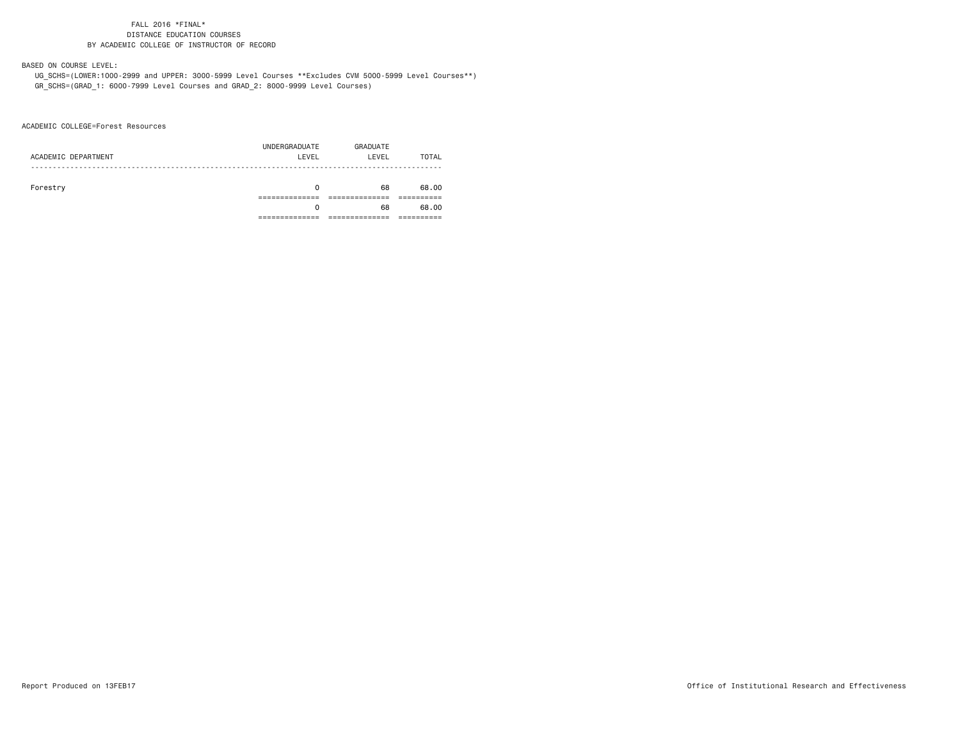### BASED ON COURSE LEVEL:

 UG\_SCHS=(LOWER:1000-2999 and UPPER: 3000-5999 Level Courses \*\*Excludes CVM 5000-5999 Level Courses\*\*) GR\_SCHS=(GRAD\_1: 6000-7999 Level Courses and GRAD\_2: 8000-9999 Level Courses)

ACADEMIC COLLEGE=Forest Resources

| ACADEMIC DEPARTMENT | UNDERGRADUATE<br>LEVEL | GRADUATE<br>LEVEL | TOTAL |
|---------------------|------------------------|-------------------|-------|
| Forestry            | 0                      | 68                | 68.00 |
|                     | 0                      | 68                | 68.00 |
|                     |                        |                   |       |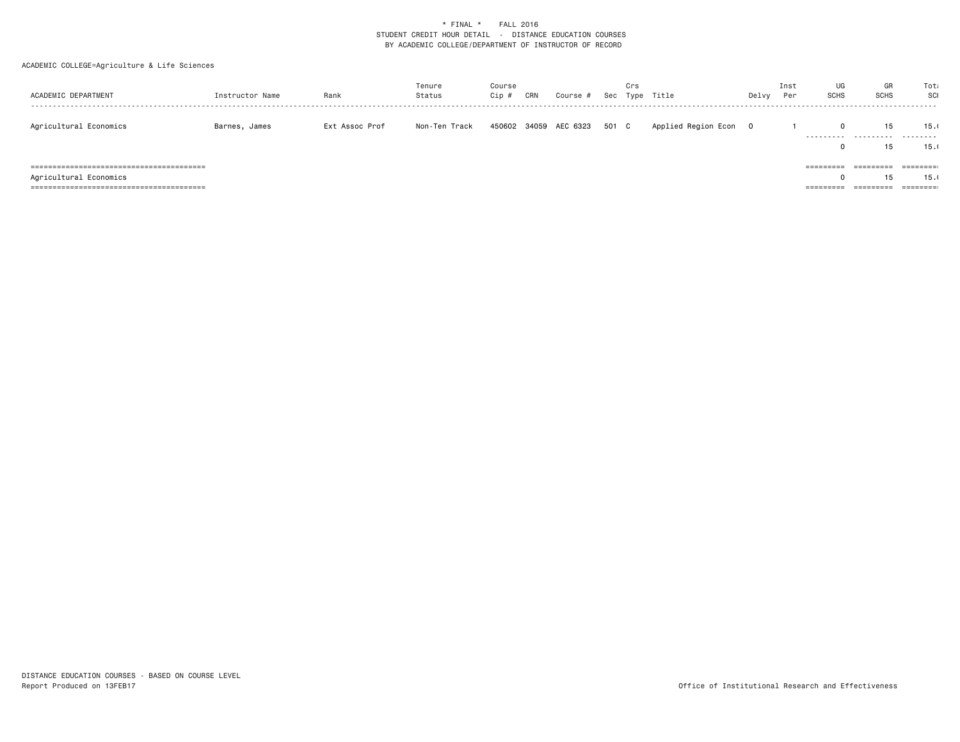### ACADEMIC COLLEGE=Agriculture & Life Sciences

| ACADEMIC DEPARTMENT    | Instructor Name | Rank           | Tenure<br>Status | Course<br>Cip ; | CRN | Course #       |       | Crs | Sec Type Title      | Delvy | Inst<br>Per | UG<br><b>SCHS</b>      | GR<br><b>SCHS</b>      | Tota<br>SCI           |
|------------------------|-----------------|----------------|------------------|-----------------|-----|----------------|-------|-----|---------------------|-------|-------------|------------------------|------------------------|-----------------------|
| Agricultural Economics | Barnes, James   | Ext Assoc Prof | Non-Ten Track    | 450602          |     | 34059 AEC 6323 | 501 C |     | Applied Region Econ |       |             | .                      | 15<br>.                | 15.0<br>.             |
|                        |                 |                |                  |                 |     |                |       |     |                     |       |             |                        | 15                     | 15.                   |
|                        |                 |                |                  |                 |     |                |       |     |                     |       |             | =========              | =========              | --------<br>--------- |
| Agricultural Economics |                 |                |                  |                 |     |                |       |     |                     |       |             |                        | 15                     | 15.                   |
|                        |                 |                |                  |                 |     |                |       |     |                     |       |             | _________<br>--------- | _________<br>--------- | ========              |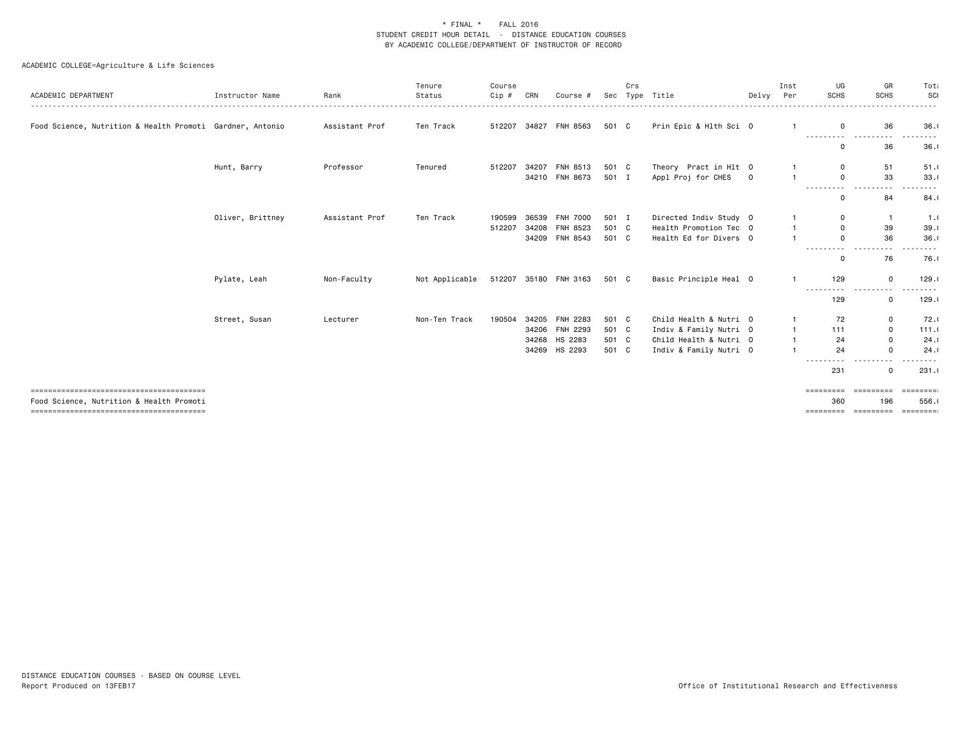### ACADEMIC COLLEGE=Agriculture & Life Sciences

| ACADEMIC DEPARTMENT                                       | Instructor Name  | Rank           | Tenure<br>Status | Course<br>Cip # | CRN   | Course #              |       | Crs | Sec Type Title         | Delvy       | Inst<br>Per  | UG<br><b>SCHS</b>     | GR<br><b>SCHS</b>      | Tota<br>SCI |
|-----------------------------------------------------------|------------------|----------------|------------------|-----------------|-------|-----------------------|-------|-----|------------------------|-------------|--------------|-----------------------|------------------------|-------------|
| Food Science, Nutrition & Health Promoti Gardner, Antonio |                  | Assistant Prof | Ten Track        | 512207          |       | 34827 FNH 8563        | 501 C |     | Prin Epic & Hlth Sci 0 |             |              | $\mathbf 0$           | 36                     | 36.1        |
|                                                           |                  |                |                  |                 |       |                       |       |     |                        |             |              |                       |                        |             |
|                                                           |                  |                |                  |                 |       |                       |       |     |                        |             |              | $\Omega$              | 36                     | 36.1        |
|                                                           | Hunt, Barry      | Professor      | Tenured          | 512207          | 34207 | FNH 8513              | 501 C |     | Theory Pract in Hlt 0  |             |              | 0                     | 51                     | 51.1        |
|                                                           |                  |                |                  |                 |       | 34210 FNH 8673        | 501 I |     | Appl Proj for CHES     | $\mathbf 0$ |              | $\Omega$              | 33                     | 33.1        |
|                                                           |                  |                |                  |                 |       |                       |       |     |                        |             |              | ---------<br>$\Omega$ | - - -<br>84            | 84.1        |
|                                                           | Oliver, Brittney | Assistant Prof | Ten Track        | 190599          | 36539 | <b>FNH 7000</b>       | 501 I |     | Directed Indiv Study 0 |             |              | 0                     | $\overline{1}$         | 1.1         |
|                                                           |                  |                |                  | 512207          |       | 34208 FNH 8523        | 501 C |     | Health Promotion Tec 0 |             |              | $\mathbf 0$           | 39                     | 39.1        |
|                                                           |                  |                |                  |                 |       | 34209 FNH 8543        | 501 C |     | Health Ed for Divers 0 |             |              | $\Omega$              | 36                     | 36.1        |
|                                                           |                  |                |                  |                 |       |                       |       |     |                        |             |              | $\Omega$              | 76                     | 76.0        |
|                                                           | Pylate, Leah     | Non-Faculty    | Not Applicable   |                 |       | 512207 35180 FNH 3163 | 501 C |     | Basic Principle Heal 0 |             |              | 129                   | $\mathbf 0$<br>---     | 129.1       |
|                                                           |                  |                |                  |                 |       |                       |       |     |                        |             |              | 129                   | $\mathbf 0$            | 129.1       |
|                                                           | Street, Susan    | Lecturer       | Non-Ten Track    | 190504          |       | 34205 FNH 2283        | 501 C |     | Child Health & Nutri 0 |             |              | 72                    | 0                      | 72.1        |
|                                                           |                  |                |                  |                 |       | 34206 FNH 2293        | 501 C |     | Indiv & Family Nutri 0 |             |              | 111                   | 0                      | 111.0       |
|                                                           |                  |                |                  |                 |       | 34268 HS 2283         | 501 C |     | Child Health & Nutri 0 |             | $\mathbf{1}$ | 24                    | $\mathbf 0$            | 24.1        |
|                                                           |                  |                |                  |                 |       | 34269 HS 2293         | 501 C |     | Indiv & Family Nutri 0 |             |              | 24                    | $\Omega$               | 24.1        |
|                                                           |                  |                |                  |                 |       |                       |       |     |                        |             |              | <u>.</u><br>231       | - - - -<br>$\mathbf 0$ | .<br>231.1  |
|                                                           |                  |                |                  |                 |       |                       |       |     |                        |             |              | =========             | =========              |             |
| Food Science, Nutrition & Health Promoti                  |                  |                |                  |                 |       |                       |       |     |                        |             |              | 360                   | 196                    | 556.1       |

======================================== ========= ========= =========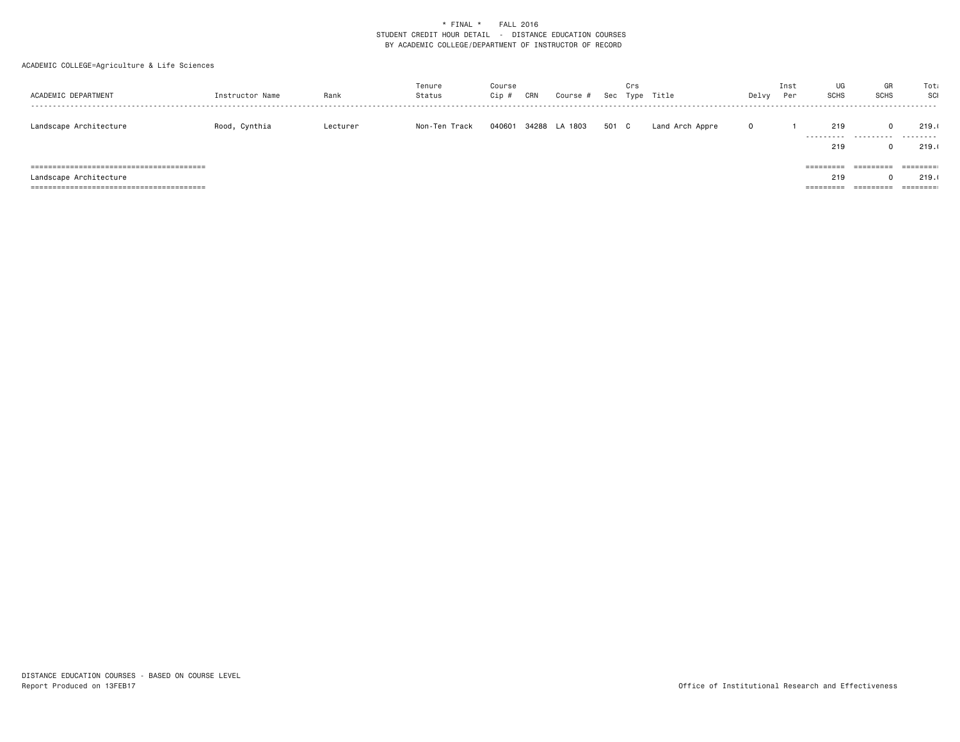### ACADEMIC COLLEGE=Agriculture & Life Sciences

| ACADEMIC DEPARTMENT    | Instructor Name | Rank     | Tenure<br>Status | Course<br>Cip ; | CRN | Course #      |       | Crs | Sec Type Title  | Delvy | Inst<br>Per | UG<br><b>SCHS</b>                          | GR<br><b>SCHS</b>                   | Tota<br>SCI                                                                            |
|------------------------|-----------------|----------|------------------|-----------------|-----|---------------|-------|-----|-----------------|-------|-------------|--------------------------------------------|-------------------------------------|----------------------------------------------------------------------------------------|
| Landscape Architecture | Rood, Cynthia   | Lecturer | Non-Ten Track    | 040601          |     | 34288 LA 1803 | 501 C |     | Land Arch Appre |       |             | 219<br>.<br>219                            | .                                   | 219.<br>.<br>219.                                                                      |
| Landscape Architecture |                 |          |                  |                 |     |               |       |     |                 |       |             | =========<br>219<br>_________<br>========= | =========<br>_________<br>--------- | $\qquad \qquad \equiv \equiv \equiv \equiv \equiv \equiv \equiv :$<br>219.<br>======== |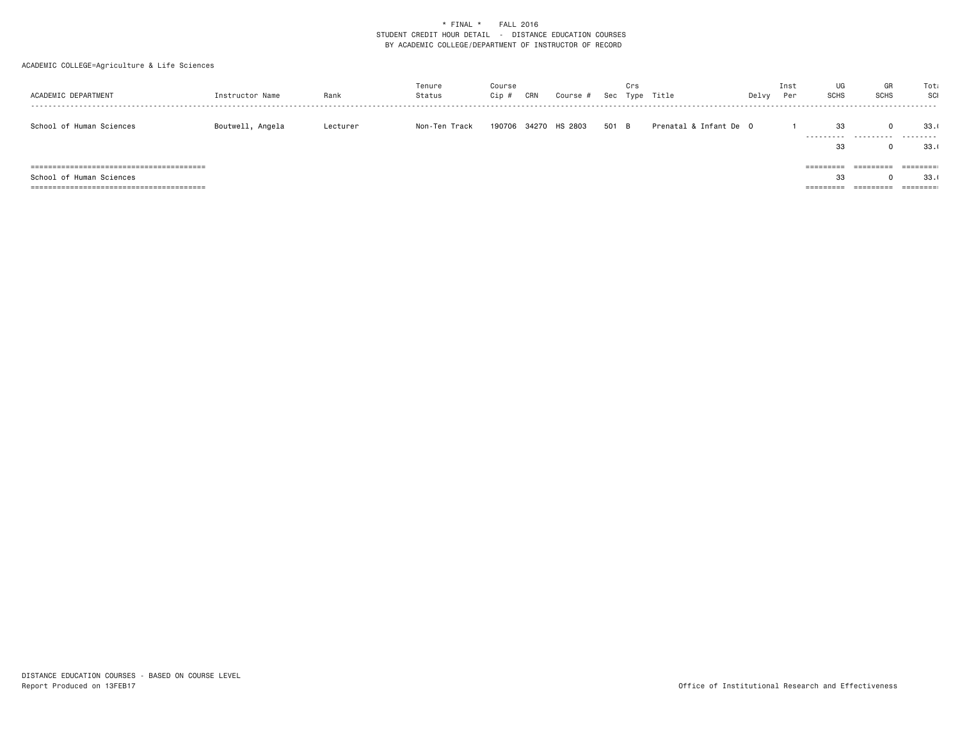### ACADEMIC COLLEGE=Agriculture & Life Sciences

| ACADEMIC DEPARTMENT      | Instructor Name  | Rank     | Tenure<br>Status | Course<br>Cip # | CRN | Course #      |       | Crs | Sec Type Title         | Delvy | Inst<br>Per | UG<br><b>SCHS</b>            | GR<br><b>SCHS</b>      | Tota<br>SCI                                                               |
|--------------------------|------------------|----------|------------------|-----------------|-----|---------------|-------|-----|------------------------|-------|-------------|------------------------------|------------------------|---------------------------------------------------------------------------|
| School of Human Sciences | Boutwell, Angela | Lecturer | Non-Ten Track    | 190706          |     | 34270 HS 2803 | 501 B |     | Prenatal & Infant De 0 |       |             | 33<br>.<br>33                | .                      | 33.<br>.<br>33.                                                           |
| School of Human Sciences |                  |          |                  |                 |     |               |       |     |                        |       |             | =========<br>33<br>========= | =========<br>========= | $=$ $=$ $=$ $=$ $=$ $=$ $=$ $:$<br>33.<br>$=$ $=$ $=$ $=$ $=$ $=$ $=$ $:$ |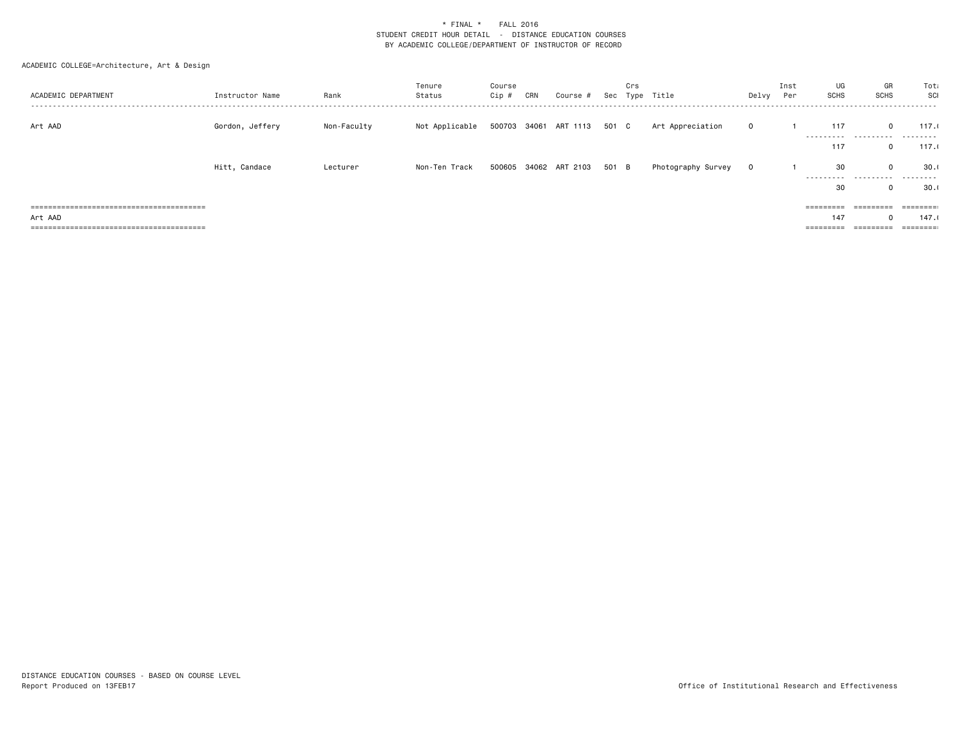| ACADEMIC DEPARTMENT | Instructor Name | Rank        | Tenure<br>Status | Course<br>Cip # | CRN | Course #                    | Crs | Sec Type Title     | Delvy Per    | Inst | UG<br><b>SCHS</b>   | GR<br><b>SCHS</b>   | Tota<br>SCI |
|---------------------|-----------------|-------------|------------------|-----------------|-----|-----------------------------|-----|--------------------|--------------|------|---------------------|---------------------|-------------|
| Art AAD             | Gordon, Jeffery | Non-Faculty | Not Applicable   |                 |     | 500703 34061 ART 1113 501 C |     | Art Appreciation   | $\mathbf{0}$ |      | 117                 | $\mathbf{0}$        | 117.1       |
|                     |                 |             |                  |                 |     |                             |     |                    |              |      | 117                 | <br>$\mathbf{0}$    | .<br>117.1  |
|                     | Hitt, Candace   | Lecturer    | Non-Ten Track    |                 |     | 500605 34062 ART 2103 501 B |     | Photography Survey | $\mathbf{0}$ |      | 30<br>----------    | $\Omega$<br>.       | 30.1<br>.   |
|                     |                 |             |                  |                 |     |                             |     |                    |              |      | 30                  | 0                   | 30.1        |
|                     |                 |             |                  |                 |     |                             |     |                    |              |      |                     | $=$ = = = = = = = = |             |
| Art AAD             |                 |             |                  |                 |     |                             |     |                    |              |      | 147                 | $\Omega$            | 147.1       |
|                     |                 |             |                  |                 |     |                             |     |                    |              |      | $=$ = = = = = = = = | =========           |             |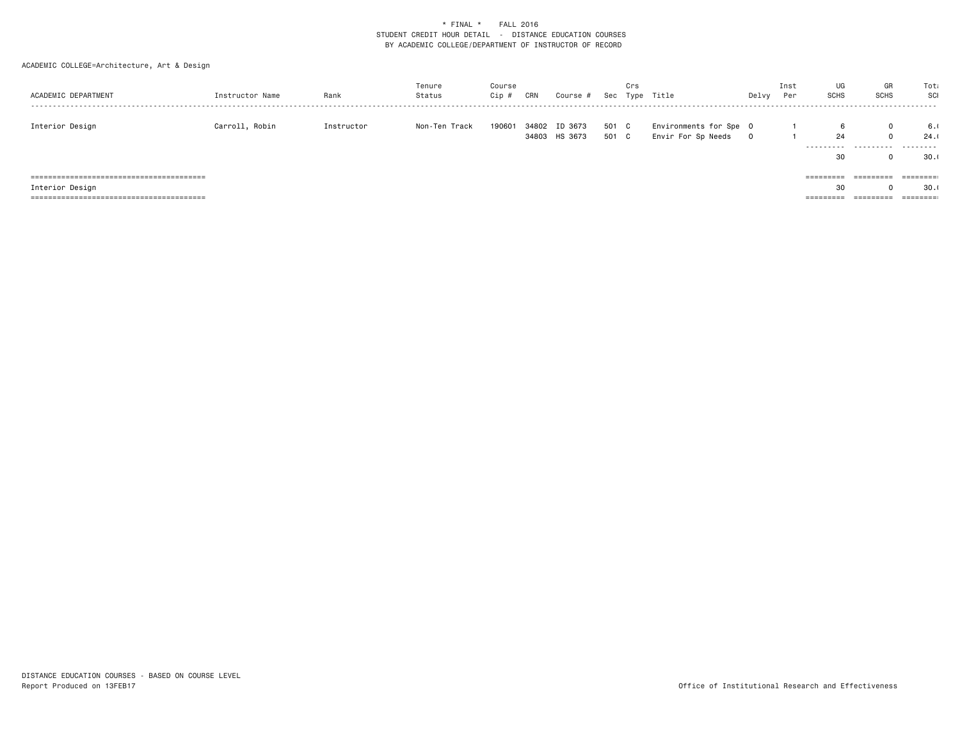| ACADEMIC DEPARTMENT | Instructor Name | Rank       | Tenure<br>Status | Course<br>Cip # | CRN | Course #                       |                | Crs | Sec Type Title                               | Delvy       | Inst<br>Per | UG<br>GR<br><b>SCHS</b><br><b>SCHS</b>     | Tota<br>SCI<br>------                                              |
|---------------------|-----------------|------------|------------------|-----------------|-----|--------------------------------|----------------|-----|----------------------------------------------|-------------|-------------|--------------------------------------------|--------------------------------------------------------------------|
| Interior Design     | Carroll, Robin  | Instructor | Non-Ten Track    | 190601          |     | 34802 ID 3673<br>34803 HS 3673 | 501 C<br>501 C |     | Environments for Spe 0<br>Envir For Sp Needs | $\mathbf 0$ |             | $\mathbf 0$<br>24<br>$\mathbf 0$<br><br>30 | 6.1<br>24.0<br>.<br>30.1                                           |
|                     |                 |            |                  |                 |     |                                |                |     |                                              |             | =========   | =========                                  |                                                                    |
| Interior Design     |                 |            |                  |                 |     |                                |                |     |                                              |             |             | 30                                         | 30.1                                                               |
|                     |                 |            |                  |                 |     |                                |                |     |                                              |             | ========    | =========                                  | $\qquad \qquad \equiv \equiv \equiv \equiv \equiv \equiv \equiv :$ |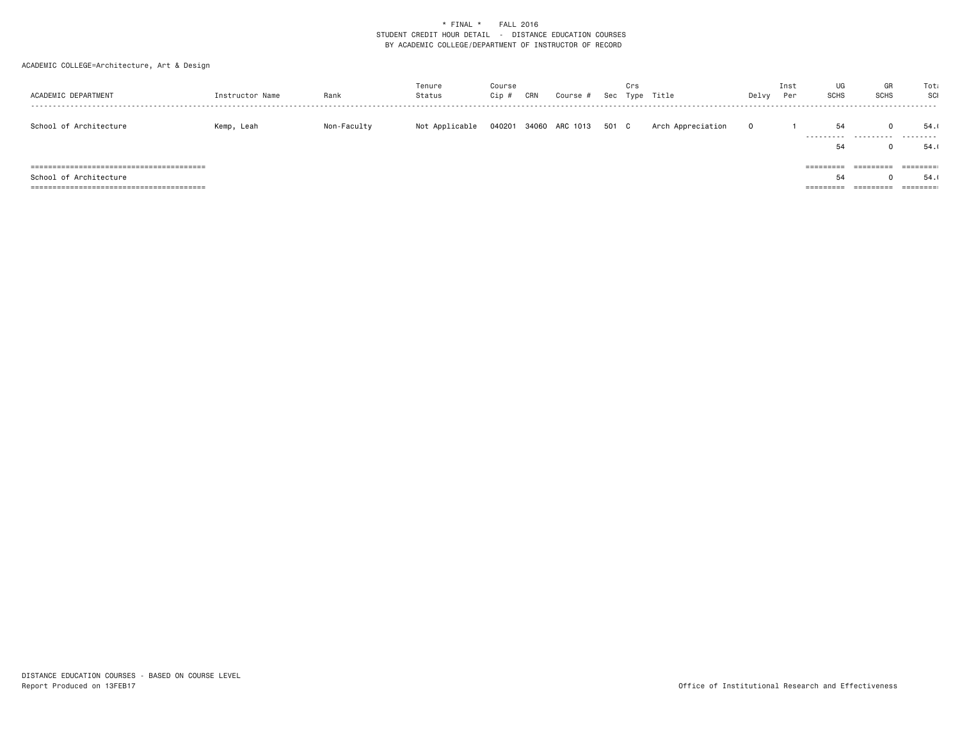| ACADEMIC DEPARTMENT    | Instructor Name | Rank        | Tenure<br>Status | Course<br>Cip ; | CRN | Course #       |       | Crs | Sec Type Title    | Delvy | Inst<br>Per | UG<br><b>SCHS</b>      | GR<br><b>SCHS</b>      | Tota<br>SCI           |
|------------------------|-----------------|-------------|------------------|-----------------|-----|----------------|-------|-----|-------------------|-------|-------------|------------------------|------------------------|-----------------------|
| School of Architecture | Kemp, Leah      | Non-Faculty | Not Applicable   | 040201          |     | 34060 ARC 1013 | 501 C |     | Arch Appreciation |       |             | 54<br>.                | .                      | 54.0<br>.             |
|                        |                 |             |                  |                 |     |                |       |     |                   |       |             | 54                     |                        | 54.                   |
|                        |                 |             |                  |                 |     |                |       |     |                   |       |             | =========              | =========              | --------<br>--------- |
| School of Architecture |                 |             |                  |                 |     |                |       |     |                   |       |             | 54                     |                        | 54.                   |
|                        |                 |             |                  |                 |     |                |       |     |                   |       |             | _________<br>========= | _________<br>--------- | ========              |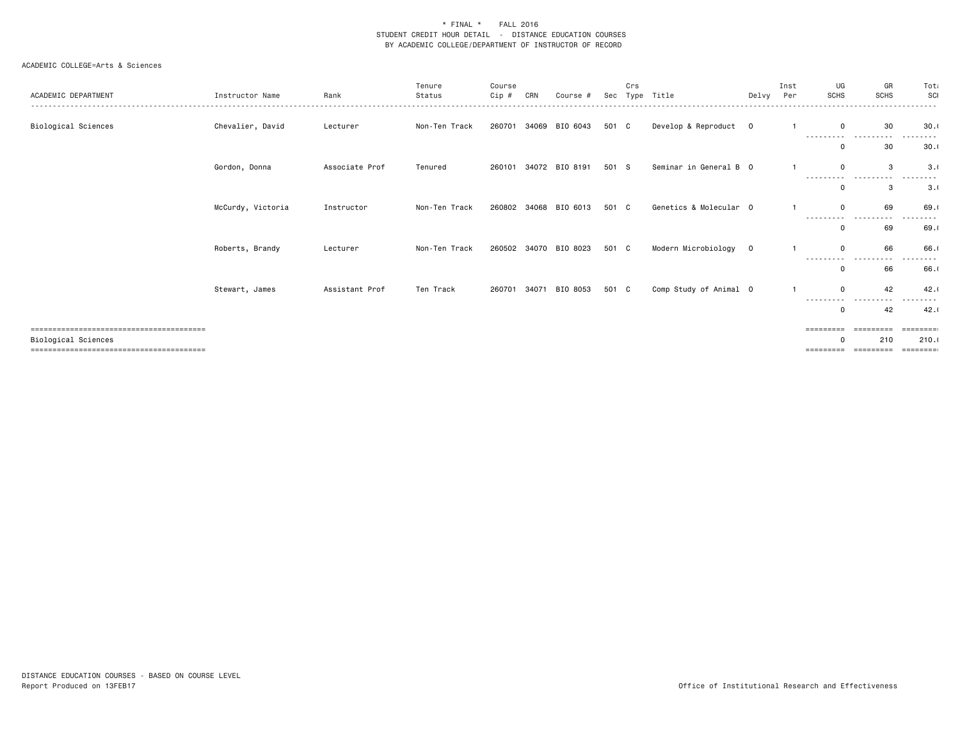| ACADEMIC DEPARTMENT        | Instructor Name   | Rank           | Tenure<br>Status | Course<br>Cip # | CRN | Course #              | Sec   | Crs<br>Type | Title                  | Delvy | Inst<br>Per | UG<br><b>SCHS</b>      | GR<br><b>SCHS</b> | Tota<br>SCI<br>. |
|----------------------------|-------------------|----------------|------------------|-----------------|-----|-----------------------|-------|-------------|------------------------|-------|-------------|------------------------|-------------------|------------------|
| Biological Sciences        | Chevalier, David  | Lecturer       | Non-Ten Track    | 260701          |     | 34069 BIO 6043        | 501 C |             | Develop & Reproduct 0  |       |             | 0<br>---------         | 30                | 30.1             |
|                            |                   |                |                  |                 |     |                       |       |             |                        |       |             | 0                      | 30                | 30.1             |
|                            | Gordon, Donna     | Associate Prof | Tenured          | 260101          |     | 34072 BIO 8191        | 501 S |             | Seminar in General B 0 |       |             | $\Omega$<br>---------- | 3<br>.            | 3.0              |
|                            |                   |                |                  |                 |     |                       |       |             |                        |       |             | 0                      | 3                 | 3.1              |
|                            | McCurdy, Victoria | Instructor     | Non-Ten Track    |                 |     | 260802 34068 BIO 6013 | 501 C |             | Genetics & Molecular 0 |       |             | $\Omega$<br>.          | 69<br>.           | 69.0<br>------   |
|                            |                   |                |                  |                 |     |                       |       |             |                        |       |             | 0                      | 69                | 69.1             |
|                            | Roberts, Brandy   | Lecturer       | Non-Ten Track    | 260502          |     | 34070 BIO 8023        | 501 C |             | Modern Microbiology 0  |       |             | 0<br>----              | 66                | 66.1             |
|                            |                   |                |                  |                 |     |                       |       |             |                        |       |             | $\Omega$               | 66                | 66.              |
|                            | Stewart, James    | Assistant Prof | Ten Track        | 260701          |     | 34071 BIO 8053        | 501 C |             | Comp Study of Animal 0 |       |             | $\Omega$<br>---------- | 42                | 42.1             |
|                            |                   |                |                  |                 |     |                       |       |             |                        |       |             | 0                      | 42                | 42.1             |
|                            |                   |                |                  |                 |     |                       |       |             |                        |       |             | $=$ = = = = = = = =    |                   | :====== <b>:</b> |
| <b>Biological Sciences</b> |                   |                |                  |                 |     |                       |       |             |                        |       |             | O<br>=========         | 210<br>=========  | 210.1            |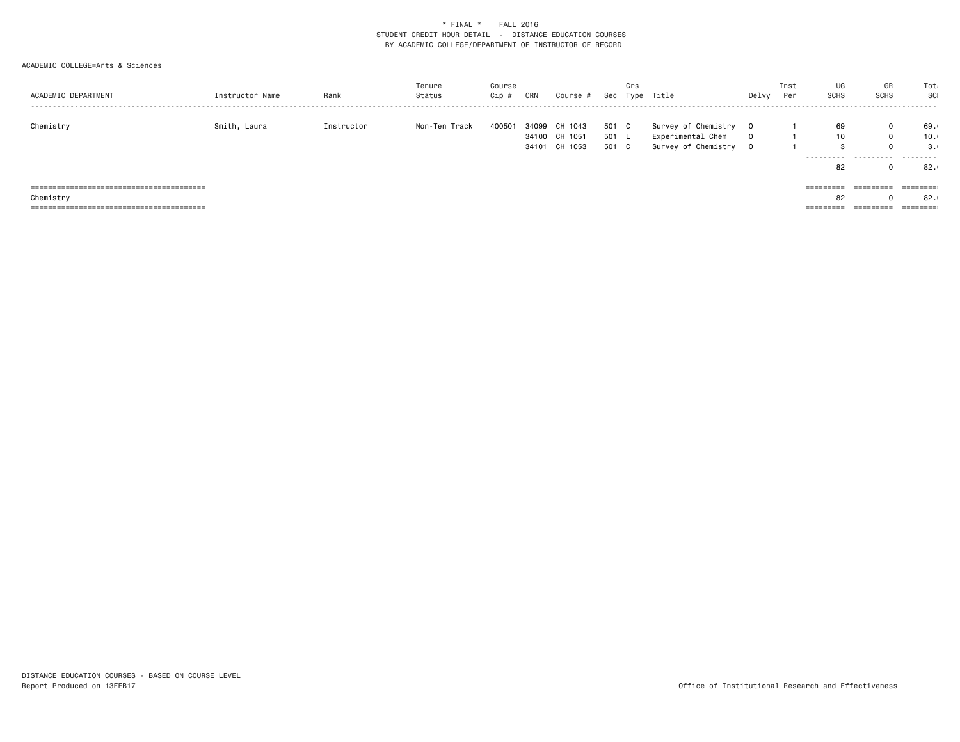| ACADEMIC DEPARTMENT | Instructor Name | Rank       | Tenure<br>Status | Course<br>Cip # | CRN | Course #      | Sec   | Crs | Type Title          | Delvy       | Inst<br>Per | UG<br>SCHS | GR<br><b>SCHS</b><br> | Tota<br>SCI         |
|---------------------|-----------------|------------|------------------|-----------------|-----|---------------|-------|-----|---------------------|-------------|-------------|------------|-----------------------|---------------------|
| Chemistry           | Smith, Laura    | Instructor | Non-Ten Track    | 400501          |     | 34099 CH 1043 | 501 C |     | Survey of Chemistry | $\Omega$    |             | 69         | 0                     | 69.0                |
|                     |                 |            |                  |                 |     | 34100 CH 1051 | 501 L |     | Experimental Chem   | $\Omega$    |             | 10         | $\Omega$              | 10.0                |
|                     |                 |            |                  |                 |     | 34101 CH 1053 | 501 C |     | Survey of Chemistry | $\mathbf 0$ |             | 3          |                       | 3.0                 |
|                     |                 |            |                  |                 |     |               |       |     |                     |             |             | .<br>82    | .                     | .<br>82.0           |
|                     |                 |            |                  |                 |     |               |       |     |                     |             |             |            |                       |                     |
|                     |                 |            |                  |                 |     |               |       |     |                     |             |             | =========  | =========             | ========            |
| Chemistry           |                 |            |                  |                 |     |               |       |     |                     |             |             | 82         |                       | 82.                 |
|                     |                 |            |                  |                 |     |               |       |     |                     |             |             | =========  | =========             | $=$ = = = = = = = : |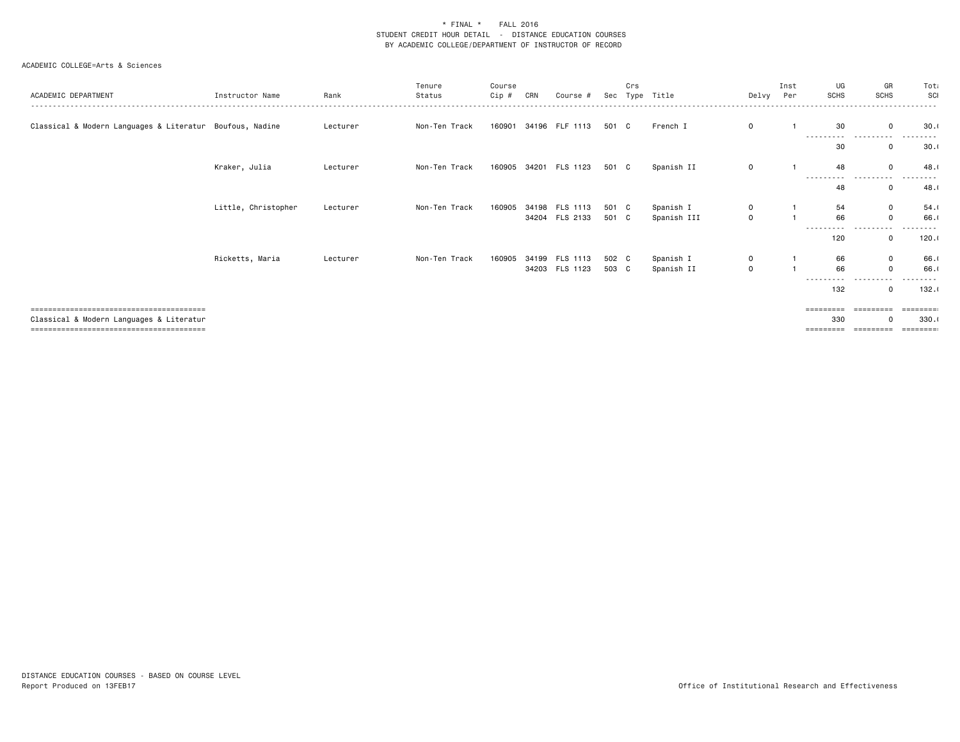| ACADEMIC DEPARTMENT                                      | Instructor Name     | Rank     | Tenure<br>Status | Course<br>Cip # | CRN | Course #                         | Sec            | Crs | Type Title               | Delvy            | Inst<br>Per | UG<br><b>SCHS</b>         | GR<br><b>SCHS</b>       | Tota<br>SCI       |
|----------------------------------------------------------|---------------------|----------|------------------|-----------------|-----|----------------------------------|----------------|-----|--------------------------|------------------|-------------|---------------------------|-------------------------|-------------------|
| Classical & Modern Languages & Literatur Boufous, Nadine |                     | Lecturer | Non-Ten Track    | 160901          |     | 34196 FLF 1113                   | 501 C          |     | French I                 | $\Omega$         |             | 30<br>.<br>-----          | $\Omega$<br>$\cdots$    | 30.1              |
|                                                          |                     |          |                  |                 |     |                                  |                |     |                          |                  |             | 30                        | 0                       | 30.1              |
|                                                          | Kraker, Julia       | Lecturer | Non-Ten Track    | 160905          |     | 34201 FLS 1123                   | 501 C          |     | Spanish II               | $\mathbf 0$      |             | 48<br>- - - - - - - - - - | $\Omega$<br>-----       | 48.0              |
|                                                          |                     |          |                  |                 |     |                                  |                |     |                          |                  |             | 48                        | 0                       | 48.0              |
|                                                          | Little, Christopher | Lecturer | Non-Ten Track    | 160905          |     | 34198 FLS 1113<br>34204 FLS 2133 | 501 C<br>501 C |     | Spanish I<br>Spanish III | 0<br>$\mathbf 0$ |             | 54<br>66                  | $\mathbf 0$<br>$\Omega$ | 54.1<br>66.       |
|                                                          |                     |          |                  |                 |     |                                  |                |     |                          |                  |             | ----------<br>120         | .<br>$\mathbf 0$        | -----<br>120.1    |
|                                                          | Ricketts, Maria     | Lecturer | Non-Ten Track    | 160905          |     | 34199 FLS 1113                   | 502 C          |     | Spanish I                | $\mathbf 0$      |             | 66                        | $\mathbf 0$             | 66.               |
|                                                          |                     |          |                  |                 |     | 34203 FLS 1123                   | 503 C          |     | Spanish II               | $\mathbf 0$      |             | 66<br>----------          | -----<br>$\cdots$       | 66.<br>.          |
|                                                          |                     |          |                  |                 |     |                                  |                |     |                          |                  |             | 132                       | 0                       | 132.1             |
|                                                          |                     |          |                  |                 |     |                                  |                |     |                          |                  |             | =========                 | ----------              | =========         |
| Classical & Modern Languages & Literatur                 |                     |          |                  |                 |     |                                  |                |     |                          |                  |             | 330<br>=========          |                         | 330.1<br>======== |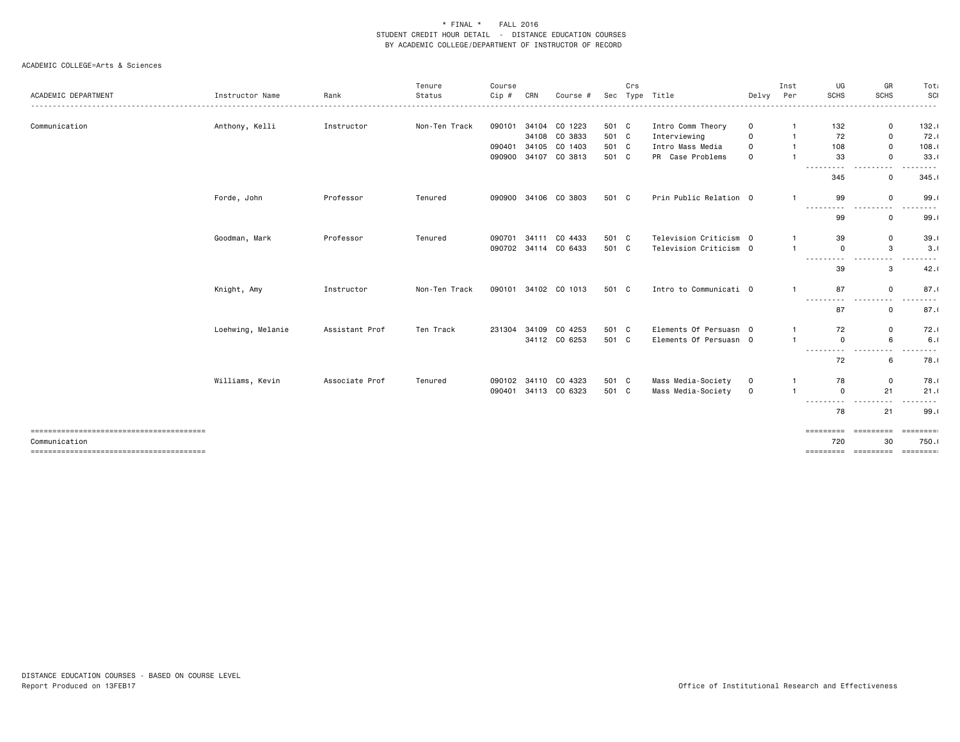|                     |                   |                | Tenure        | Course |       |                      |       | Crs |                        |              | Inst           | UG              | GR                                                                                                                                                                                                                                                     | Tota             |
|---------------------|-------------------|----------------|---------------|--------|-------|----------------------|-------|-----|------------------------|--------------|----------------|-----------------|--------------------------------------------------------------------------------------------------------------------------------------------------------------------------------------------------------------------------------------------------------|------------------|
| ACADEMIC DEPARTMENT | Instructor Name   | Rank           | Status        | Cip #  | CRN   | Course #             | Sec   |     | Type Title             | Delvy        | Per            | <b>SCHS</b>     | <b>SCHS</b>                                                                                                                                                                                                                                            | SCI              |
| Communication       | Anthony, Kelli    | Instructor     | Non-Ten Track | 090101 |       | 34104 CO 1223        | 501 C |     | Intro Comm Theory      | 0            |                | 132             | 0                                                                                                                                                                                                                                                      | 132.1            |
|                     |                   |                |               |        |       | 34108 CO 3833        | 501 C |     | Interviewing           | $\Omega$     | $\mathbf{1}$   | 72              | 0                                                                                                                                                                                                                                                      | 72.1             |
|                     |                   |                |               | 090401 |       | 34105 CO 1403        | 501 C |     | Intro Mass Media       | $\mathbf 0$  |                | 108             | 0                                                                                                                                                                                                                                                      | 108.1            |
|                     |                   |                |               | 090900 |       | 34107 CO 3813        | 501 C |     | PR Case Problems       | $\mathbf 0$  |                | 33              | $\mathbf 0$                                                                                                                                                                                                                                            | 33.1             |
|                     |                   |                |               |        |       |                      |       |     |                        |              |                | .<br>345        | $\sim$ $\sim$<br>$\mathbf 0$                                                                                                                                                                                                                           | 345.1            |
|                     | Forde, John       | Professor      | Tenured       | 090900 |       | 34106 CO 3803        | 501 C |     | Prin Public Relation 0 |              | $\mathbf{1}$   | 99              | 0                                                                                                                                                                                                                                                      | 99.1             |
|                     |                   |                |               |        |       |                      |       |     |                        |              |                | ---------<br>99 | $\cdots$<br>.<br>0                                                                                                                                                                                                                                     | ----<br>99.1     |
|                     | Goodman, Mark     | Professor      | Tenured       | 090701 | 34111 | CO 4433              | 501 C |     | Television Criticism 0 |              | $\mathbf{1}$   | 39              | $\mathbf 0$                                                                                                                                                                                                                                            | 39.1             |
|                     |                   |                |               |        |       | 090702 34114 CO 6433 | 501 C |     | Television Criticism 0 |              | $\overline{1}$ | $\mathbf 0$     | 3                                                                                                                                                                                                                                                      | 3.0              |
|                     |                   |                |               |        |       |                      |       |     |                        |              |                | ---------       | $\frac{1}{2} \left( \frac{1}{2} \right) \left( \frac{1}{2} \right) \left( \frac{1}{2} \right)$<br>$\frac{1}{2} \left( \frac{1}{2} \right) \left( \frac{1}{2} \right) \left( \frac{1}{2} \right) \left( \frac{1}{2} \right) \left( \frac{1}{2} \right)$ | .                |
|                     |                   |                |               |        |       |                      |       |     |                        |              |                | 39              | 3                                                                                                                                                                                                                                                      | 42.1             |
|                     | Knight, Amy       | Instructor     | Non-Ten Track | 090101 |       | 34102 CO 1013        | 501 C |     | Intro to Communicati 0 |              | $\mathbf{1}$   | 87<br>.         | $\mathbf 0$<br>$\cdots$<br>$- - -$                                                                                                                                                                                                                     | 87.1<br>$\cdots$ |
|                     |                   |                |               |        |       |                      |       |     |                        |              |                | 87              | $\mathbf 0$                                                                                                                                                                                                                                            | 87.1             |
|                     | Loehwing, Melanie | Assistant Prof | Ten Track     | 231304 |       | 34109 CO 4253        | 501 C |     | Elements Of Persuasn 0 |              | $\mathbf{1}$   | 72              | 0                                                                                                                                                                                                                                                      | 72.1             |
|                     |                   |                |               |        |       | 34112 CO 6253        | 501 C |     | Elements Of Persuasn 0 |              | $\mathbf{1}$   | $\mathbf 0$     | 6                                                                                                                                                                                                                                                      | 6.1              |
|                     |                   |                |               |        |       |                      |       |     |                        |              |                | .<br>72         | $\frac{1}{2}$<br>6                                                                                                                                                                                                                                     | 78.1             |
|                     | Williams, Kevin   | Associate Prof | Tenured       | 090102 |       | 34110 CO 4323        | 501 C |     | Mass Media-Society     | 0            | $\mathbf{1}$   | 78              | $\mathbf 0$                                                                                                                                                                                                                                            | 78.0             |
|                     |                   |                |               | 090401 |       | 34113 CO 6323        | 501 C |     | Mass Media-Society     | $\mathbf{O}$ | $\overline{1}$ | $\mathbf 0$     | 21                                                                                                                                                                                                                                                     | 21.1             |
|                     |                   |                |               |        |       |                      |       |     |                        |              |                | .<br>78         | $\sim$ $\sim$<br>21                                                                                                                                                                                                                                    | 99.1             |
|                     |                   |                |               |        |       |                      |       |     |                        |              |                | =========       | EEEEEEEE                                                                                                                                                                                                                                               |                  |
| Communication       |                   |                |               |        |       |                      |       |     |                        |              |                | 720             | 30                                                                                                                                                                                                                                                     | 750.0            |
|                     |                   |                |               |        |       |                      |       |     |                        |              |                | =========       | =========                                                                                                                                                                                                                                              | ========         |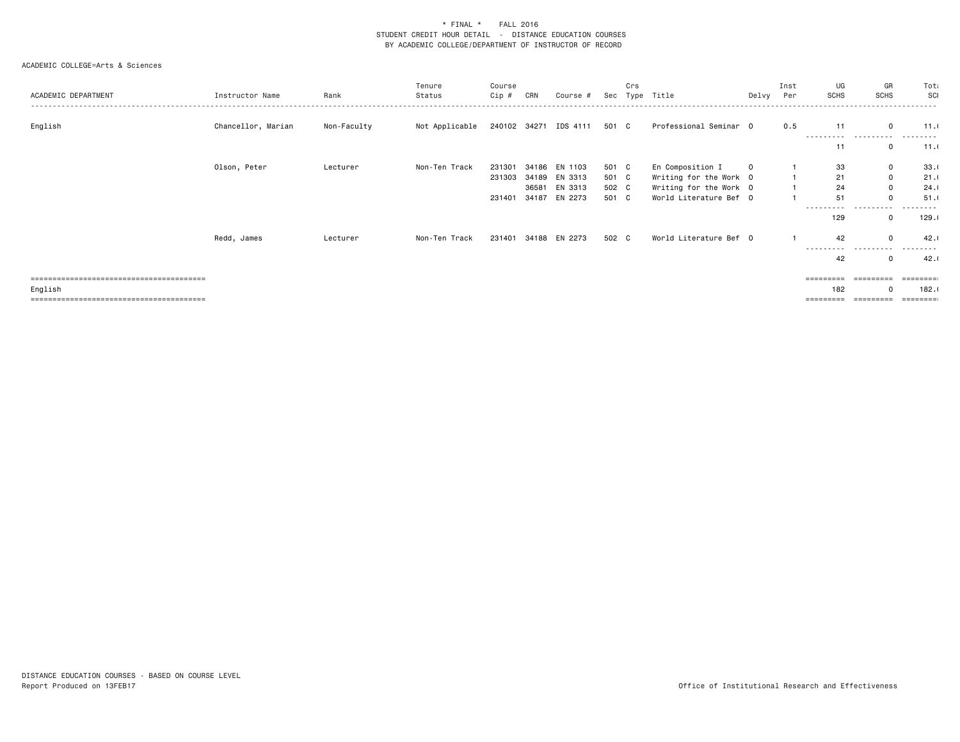|                     |                    |             | Tenure         | Course |       |                             |       | Crs  |                        |          | Inst | UG          | GR           | Tota     |
|---------------------|--------------------|-------------|----------------|--------|-------|-----------------------------|-------|------|------------------------|----------|------|-------------|--------------|----------|
| ACADEMIC DEPARTMENT | Instructor Name    | Rank        | Status         | Cip #  | CRN   | Course #                    | Sec   | Type | Title                  | Delvy    | Per  | <b>SCHS</b> | <b>SCHS</b>  | SCI      |
|                     |                    |             |                |        |       |                             |       |      |                        |          |      |             |              |          |
| English             | Chancellor, Marian | Non-Faculty | Not Applicable |        |       | 240102 34271 IDS 4111 501 C |       |      | Professional Seminar 0 |          | 0.5  | 11          | $\Omega$     | 11.0     |
|                     |                    |             |                |        |       |                             |       |      |                        |          |      |             |              |          |
|                     |                    |             |                |        |       |                             |       |      |                        |          |      | 11          | 0            | 11.0     |
|                     |                    |             |                |        |       |                             |       |      |                        |          |      |             |              |          |
|                     | Olson, Peter       | Lecturer    | Non-Ten Track  | 231301 | 34186 | EN 1103                     | 501 C |      | En Composition I       | $\Omega$ |      | 33          | $\mathbf 0$  | 33.1     |
|                     |                    |             |                | 231303 |       | 34189 EN 3313               | 501 C |      | Writing for the Work 0 |          |      | 21          | $\mathbf{0}$ | 21.1     |
|                     |                    |             |                |        |       | 36581 EN 3313               | 502 C |      | Writing for the Work 0 |          |      | 24          | $\mathbf 0$  | 24.1     |
|                     |                    |             |                | 231401 | 34187 | EN 2273                     | 501 C |      | World Literature Bef 0 |          |      | 51          | 0            | 51.1     |
|                     |                    |             |                |        |       |                             |       |      |                        |          |      | ----------  | .            | .        |
|                     |                    |             |                |        |       |                             |       |      |                        |          |      | 129         | 0            | 129.1    |
|                     | Redd, James        | Lecturer    | Non-Ten Track  | 231401 |       | 34188 EN 2273               | 502 C |      | World Literature Bef 0 |          |      | 42          | $\Omega$     | 42.1     |
|                     |                    |             |                |        |       |                             |       |      |                        |          |      | ----------  | $- - - -$    |          |
|                     |                    |             |                |        |       |                             |       |      |                        |          |      | 42          | 0            | 42.1     |
|                     |                    |             |                |        |       |                             |       |      |                        |          |      |             |              |          |
|                     |                    |             |                |        |       |                             |       |      |                        |          |      | =========   | =========    | ======== |
| English             |                    |             |                |        |       |                             |       |      |                        |          |      | 182         | $\Omega$     | 182.1    |
|                     |                    |             |                |        |       |                             |       |      |                        |          |      |             |              | ======== |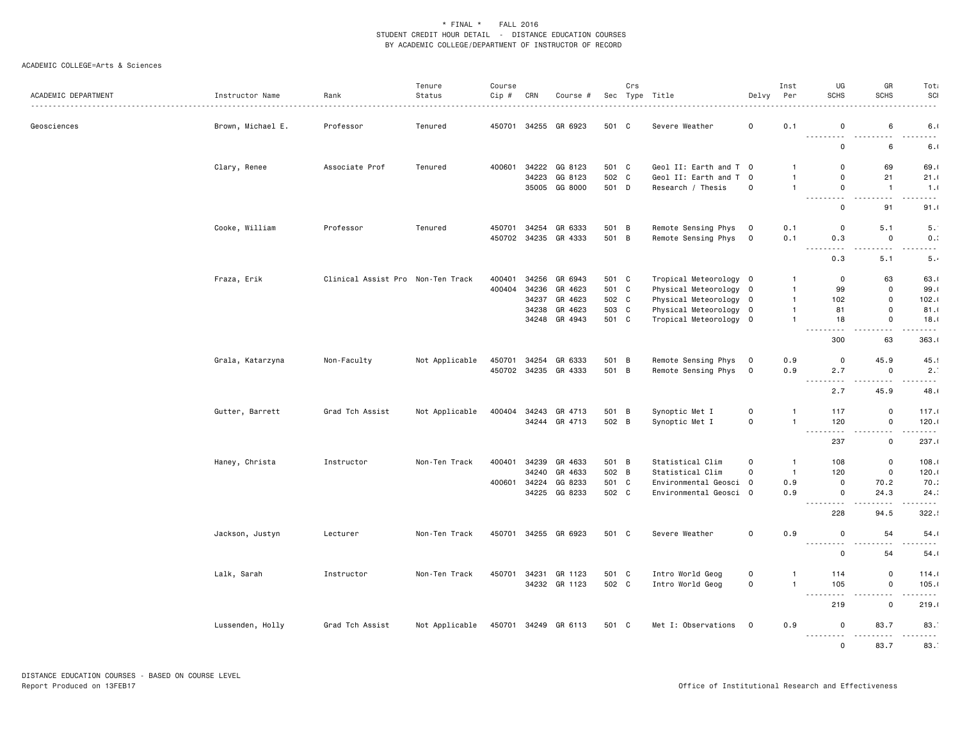| ACADEMIC DEPARTMENT | Instructor Name   | Rank<br>.                         | Tenure<br>Status | Course<br>Cip #  | CRN   | Course #                 |                | Crs          | Sec Type Title                             | Delvy                            | Inst<br>Per                  | UG<br><b>SCHS</b>                                                                                                                                        | GR<br><b>SCHS</b>                                                                                                                             | Tot<br>SCI<br>.                |
|---------------------|-------------------|-----------------------------------|------------------|------------------|-------|--------------------------|----------------|--------------|--------------------------------------------|----------------------------------|------------------------------|----------------------------------------------------------------------------------------------------------------------------------------------------------|-----------------------------------------------------------------------------------------------------------------------------------------------|--------------------------------|
| Geosciences         | Brown, Michael E. | Professor                         | Tenured          | 450701           |       | 34255 GR 6923            | 501 C          |              | Severe Weather                             | $\mathsf{O}\xspace$              | 0.1                          | $\Omega$<br>.                                                                                                                                            | 6<br>$- - - - -$                                                                                                                              | 6.1<br>- - -                   |
|                     |                   |                                   |                  |                  |       |                          |                |              |                                            |                                  |                              | 0                                                                                                                                                        | 6                                                                                                                                             | 6.1                            |
|                     | Clary, Renee      | Associate Prof                    | Tenured          | 400601           |       | 34222 GG 8123            | 501 C          |              | Geol II: Earth and T 0                     |                                  |                              | 0                                                                                                                                                        | 69                                                                                                                                            | 69.0                           |
|                     |                   |                                   |                  |                  | 34223 | GG 8123<br>35005 GG 8000 | 502 C<br>501 D |              | Geol II: Earth and T<br>Research / Thesis  | $\overline{0}$<br>0              | $\mathbf{1}$<br>$\mathbf{1}$ | 0<br>$\mathbf 0$                                                                                                                                         | 21<br>$\overline{1}$                                                                                                                          | 21.1<br>1.1                    |
|                     |                   |                                   |                  |                  |       |                          |                |              |                                            |                                  |                              | $\sim$ $\sim$ $\sim$ $\sim$<br>$\sim$ $\sim$ $\sim$ $\sim$<br>0                                                                                          | .<br>91                                                                                                                                       | .<br>91.1                      |
|                     |                   |                                   |                  |                  |       |                          |                |              |                                            |                                  |                              |                                                                                                                                                          |                                                                                                                                               |                                |
|                     | Cooke, William    | Professor                         | Tenured          | 450701<br>450702 | 34254 | GR 6333<br>34235 GR 4333 | 501 B<br>501 B |              | Remote Sensing Phys<br>Remote Sensing Phys | $\overline{0}$<br>$\overline{0}$ | 0.1<br>0.1                   | $\mathbf 0$<br>0.3                                                                                                                                       | 5.1<br>$\mathbf 0$                                                                                                                            | 5.<br>0.3                      |
|                     |                   |                                   |                  |                  |       |                          |                |              |                                            |                                  |                              | $\sim$ $\sim$ $\sim$ $\sim$<br>$\frac{1}{2}$<br>0.3                                                                                                      | $\sim$ $\sim$ $\sim$<br>5.1                                                                                                                   | .<br>5.4                       |
|                     | Fraza, Erik       | Clinical Assist Pro Non-Ten Track |                  | 400401           | 34256 | GR 6943                  | 501 C          |              | Tropical Meteorology 0                     |                                  | $\mathbf 1$                  | 0                                                                                                                                                        | 63                                                                                                                                            | 63.0                           |
|                     |                   |                                   |                  | 400404           |       | 34236 GR 4623            | 501 C          |              | Physical Meteorology 0                     |                                  | $\overline{1}$               | 99                                                                                                                                                       | $\mathbf 0$                                                                                                                                   | 99.1                           |
|                     |                   |                                   |                  |                  | 34237 | GR 4623                  | 502 C          |              | Physical Meteorology                       | $\overline{0}$                   | $\mathbf{1}$                 | 102                                                                                                                                                      | $\mathbf 0$                                                                                                                                   | 102.1                          |
|                     |                   |                                   |                  |                  | 34238 | GR 4623                  | 503 C          |              | Physical Meteorology 0                     |                                  | $\overline{1}$               | 81                                                                                                                                                       | $\mathbf 0$                                                                                                                                   | 81.1                           |
|                     |                   |                                   |                  |                  |       | 34248 GR 4943            | 501 C          |              | Tropical Meteorology 0                     |                                  | $\overline{1}$               | 18<br>$\sim$ $\sim$ $\sim$                                                                                                                               | $\mathbf 0$<br>د د د                                                                                                                          | 18.1<br>.                      |
|                     |                   |                                   |                  |                  |       |                          |                |              |                                            |                                  |                              | 300                                                                                                                                                      | 63                                                                                                                                            | 363.1                          |
|                     | Grala, Katarzyna  | Non-Faculty                       | Not Applicable   | 450701           | 34254 | GR 6333                  | 501 B          |              | Remote Sensing Phys                        | $\overline{0}$                   | 0.9                          | $\mathbf 0$                                                                                                                                              | 45.9                                                                                                                                          | 45.                            |
|                     |                   |                                   |                  | 450702           |       | 34235 GR 4333            | 501 B          |              | Remote Sensing Phys                        | 0                                | 0.9                          | 2.7<br>$\frac{1}{2} \frac{1}{2} \frac{1}{2} \frac{1}{2} \frac{1}{2}$<br>.                                                                                | $\mathbf 0$<br>.                                                                                                                              | 2.<br>$\frac{1}{2}$            |
|                     |                   |                                   |                  |                  |       |                          |                |              |                                            |                                  |                              | 2.7                                                                                                                                                      | 45.9                                                                                                                                          | 48.1                           |
|                     | Gutter, Barrett   | Grad Tch Assist                   | Not Applicable   | 400404           |       | 34243 GR 4713            | 501 B          |              | Synoptic Met I                             | 0                                | -1                           | 117                                                                                                                                                      | $\mathbf 0$                                                                                                                                   | 117.0                          |
|                     |                   |                                   |                  |                  |       | 34244 GR 4713            | 502 B          |              | Synoptic Met I                             | 0                                | $\overline{1}$               | 120<br>$\frac{1}{2} \left( \frac{1}{2} \right) \left( \frac{1}{2} \right) \left( \frac{1}{2} \right) \left( \frac{1}{2} \right)$<br>$\sim$ $\sim$ $\sim$ | $\mathbf 0$<br>.<br>$\frac{1}{2} \left( \frac{1}{2} \right) \left( \frac{1}{2} \right) \left( \frac{1}{2} \right) \left( \frac{1}{2} \right)$ | 120.1<br>.                     |
|                     |                   |                                   |                  |                  |       |                          |                |              |                                            |                                  |                              | 237                                                                                                                                                      | $\mathbf 0$                                                                                                                                   | 237.1                          |
|                     | Haney, Christa    | Instructor                        | Non-Ten Track    | 400401           | 34239 | GR 4633                  | 501 B          |              | Statistical Clim                           | $\Omega$                         | $\overline{1}$               | 108                                                                                                                                                      | $\mathbf 0$                                                                                                                                   | 108.1                          |
|                     |                   |                                   |                  |                  |       | 34240 GR 4633            | 502 B          |              | Statistical Clim                           | $\mathbf 0$                      | $\overline{1}$               | 120                                                                                                                                                      | $\mathbf 0$                                                                                                                                   | 120.1                          |
|                     |                   |                                   |                  | 400601           | 34224 | GG 8233                  | 501            | $\mathbf{C}$ | Environmental Geosci 0                     |                                  | 0.9                          | $\mathbf 0$                                                                                                                                              | 70.2                                                                                                                                          | 70.3                           |
|                     |                   |                                   |                  |                  |       | 34225 GG 8233            | 502 C          |              | Environmental Geosci 0                     |                                  | 0.9                          | $\mathbf 0$<br>$\sim$ $\sim$ $\sim$ $\sim$<br>.                                                                                                          | 24.3<br>$\sim$ $\sim$                                                                                                                         | 24:<br>-----                   |
|                     |                   |                                   |                  |                  |       |                          |                |              |                                            |                                  |                              | 228                                                                                                                                                      | 94.5                                                                                                                                          | 322.5                          |
|                     | Jackson, Justyn   | Lecturer                          | Non-Ten Track    |                  |       | 450701 34255 GR 6923     | 501 C          |              | Severe Weather                             | $\mathsf{O}\xspace$              | 0.9                          | $\mathbf 0$<br><u>.</u>                                                                                                                                  | 54<br>- - -                                                                                                                                   | 54.1<br>.                      |
|                     |                   |                                   |                  |                  |       |                          |                |              |                                            |                                  |                              | $\Omega$                                                                                                                                                 | 54                                                                                                                                            | 54.1                           |
|                     | Lalk, Sarah       | Instructor                        | Non-Ten Track    | 450701           | 34231 | GR 1123                  | 501 C          |              | Intro World Geog                           | 0                                | -1                           | 114                                                                                                                                                      | $\mathbf 0$                                                                                                                                   | 114.0                          |
|                     |                   |                                   |                  |                  |       | 34232 GR 1123            | 502 C          |              | Intro World Geog                           | $\mathsf{O}\xspace$              | $\overline{1}$               | 105<br>$\sim$ $\sim$ $\sim$<br>$\sim$ $\sim$ $\sim$                                                                                                      | $\mathbf 0$<br>.                                                                                                                              | 105.1<br>.                     |
|                     |                   |                                   |                  |                  |       |                          |                |              |                                            |                                  |                              | 219                                                                                                                                                      | $\mathbf 0$                                                                                                                                   | 219.1                          |
|                     | Lussenden, Holly  | Grad Tch Assist                   | Not Applicable   |                  |       | 450701 34249 GR 6113     | 501 C          |              | Met I: Observations 0                      |                                  | 0.9                          | $\mathbf 0$<br><u>.</u>                                                                                                                                  | 83.7<br>.                                                                                                                                     | 83.<br><u> - - - - - - - -</u> |
|                     |                   |                                   |                  |                  |       |                          |                |              |                                            |                                  |                              | $\mathbf 0$                                                                                                                                              | 83.7                                                                                                                                          | 83.                            |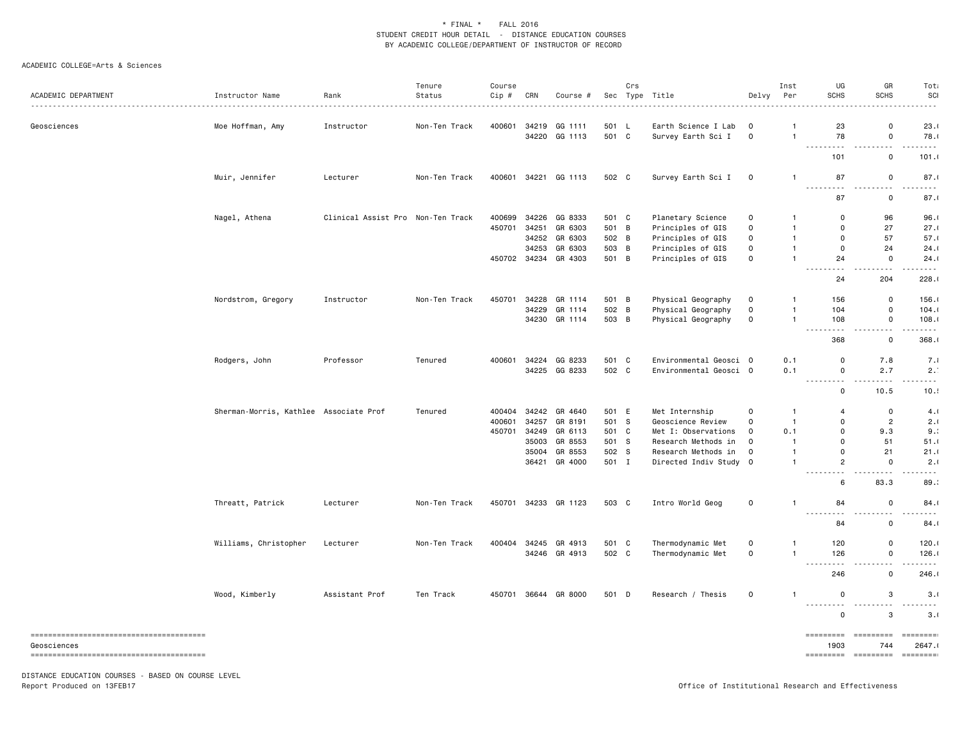#### ACADEMIC COLLEGE=Arts & Sciences

| ACADEMIC DEPARTMENT | Instructor Name                        | Rank                              | Tenure<br>Status | Course<br>Cip # | CRN   | Course #      |       | Crs | Sec Type Title         | Delvy               | Inst<br>Per    | UG<br><b>SCHS</b>                                                                                                                                       | GR<br><b>SCHS</b>                   | Tota<br>SCI<br>.                                                                                                                  |
|---------------------|----------------------------------------|-----------------------------------|------------------|-----------------|-------|---------------|-------|-----|------------------------|---------------------|----------------|---------------------------------------------------------------------------------------------------------------------------------------------------------|-------------------------------------|-----------------------------------------------------------------------------------------------------------------------------------|
| Geosciences         | Moe Hoffman, Amy                       | Instructor                        | Non-Ten Track    | 400601          | 34219 | GG 1111       | 501 L |     | Earth Science I Lab    | $\circ$             | $\mathbf{1}$   | 23                                                                                                                                                      | $\mathbf 0$                         | 23.1                                                                                                                              |
|                     |                                        |                                   |                  |                 | 34220 | GG 1113       | 501 C |     | Survey Earth Sci I     | $\circ$             | $\mathbf{1}$   | 78<br>$  -$<br>$- - -$                                                                                                                                  | $\mathsf 0$<br>$- - -$              | 78.1<br>.                                                                                                                         |
|                     |                                        |                                   |                  |                 |       |               |       |     |                        |                     |                | 101                                                                                                                                                     | $\mathsf 0$                         | 101.0                                                                                                                             |
|                     | Muir, Jennifer                         | Lecturer                          | Non-Ten Track    | 400601          |       | 34221 GG 1113 | 502 C |     | Survey Earth Sci I     | $\mathbf 0$         | $\overline{1}$ | 87<br>.                                                                                                                                                 | 0<br>$\sim$ $\sim$                  | 87.1<br>.                                                                                                                         |
|                     |                                        |                                   |                  |                 |       |               |       |     |                        |                     |                | 87                                                                                                                                                      | 0                                   | 87.1                                                                                                                              |
|                     | Nagel, Athena                          | Clinical Assist Pro Non-Ten Track |                  | 400699          |       | 34226 GG 8333 | 501 C |     | Planetary Science      | $\Omega$            | $\mathbf{1}$   | $\mathbf 0$                                                                                                                                             | 96                                  | 96.1                                                                                                                              |
|                     |                                        |                                   |                  | 450701          | 34251 | GR 6303       | 501   | B   | Principles of GIS      | $\mathsf{O}\xspace$ | $\mathbf{1}$   | $\mathbf 0$                                                                                                                                             | 27                                  | 27.1                                                                                                                              |
|                     |                                        |                                   |                  |                 | 34252 | GR 6303       | 502 B |     | Principles of GIS      | 0                   | $\mathbf{1}$   | $\mathbf 0$                                                                                                                                             | 57                                  | 57.1                                                                                                                              |
|                     |                                        |                                   |                  |                 | 34253 | GR 6303       | 503 B |     | Principles of GIS      | 0                   | $\mathbf{1}$   | $\mathbf 0$                                                                                                                                             | 24                                  | 24.1                                                                                                                              |
|                     |                                        |                                   |                  | 450702 34234    |       | GR 4303       | 501 B |     | Principles of GIS      | $\mathbf 0$         | $\overline{1}$ | 24<br>$\frac{1}{2} \left( \frac{1}{2} \right) \left( \frac{1}{2} \right) \left( \frac{1}{2} \right) \left( \frac{1}{2} \right)$<br>$\sim$ $\sim$ $\sim$ | $\mathbf 0$<br>$\sim$ $\sim$ $\sim$ | 24.1<br>.                                                                                                                         |
|                     |                                        |                                   |                  |                 |       |               |       |     |                        |                     |                | 24                                                                                                                                                      | 204                                 | 228.1                                                                                                                             |
|                     | Nordstrom, Gregory                     | Instructor                        | Non-Ten Track    | 450701          |       | 34228 GR 1114 | 501 B |     | Physical Geography     | 0                   | $\mathbf{1}$   | 156                                                                                                                                                     | $\mathsf 0$                         | 156.1                                                                                                                             |
|                     |                                        |                                   |                  |                 | 34229 | GR 1114       | 502   | B   | Physical Geography     | $\mathsf{o}\,$      | $\overline{1}$ | 104                                                                                                                                                     | $\mathsf 0$                         | 104.1                                                                                                                             |
|                     |                                        |                                   |                  |                 | 34230 | GR 1114       | 503 B |     | Physical Geography     | $\mathsf{O}\xspace$ | $\overline{1}$ | 108                                                                                                                                                     | $\mathsf 0$                         | 108.1                                                                                                                             |
|                     |                                        |                                   |                  |                 |       |               |       |     |                        |                     |                | .<br>$- - -$<br>368                                                                                                                                     | $\sim$ $\sim$ $\sim$<br>$\mathbf 0$ | $\frac{1}{2} \left( \frac{1}{2} \right) \left( \frac{1}{2} \right) \left( \frac{1}{2} \right) \left( \frac{1}{2} \right)$<br>368. |
|                     | Rodgers, John                          | Professor                         | Tenured          | 400601          | 34224 | GG 8233       | 501 C |     | Environmental Geosci 0 |                     | 0.1            | $\mathbf 0$                                                                                                                                             | 7.8                                 | 7.1                                                                                                                               |
|                     |                                        |                                   |                  |                 |       | 34225 GG 8233 | 502 C |     | Environmental Geosci 0 |                     | 0.1            | $\mathbf 0$                                                                                                                                             | 2.7                                 | 2.1                                                                                                                               |
|                     |                                        |                                   |                  |                 |       |               |       |     |                        |                     |                | $\sim$ $\sim$<br>$\mathbf 0$                                                                                                                            | 10.5                                | 10.5                                                                                                                              |
|                     | Sherman-Morris, Kathlee Associate Prof |                                   | Tenured          | 400404          |       | 34242 GR 4640 | 501 E |     | Met Internship         | 0                   | $\mathbf{1}$   | $\overline{4}$                                                                                                                                          | $\mathbf 0$                         | 4.1                                                                                                                               |
|                     |                                        |                                   |                  | 400601          | 34257 | GR 8191       | 501   | s   | Geoscience Review      | $\mathsf{O}\xspace$ | $\overline{1}$ | $\mathbf 0$                                                                                                                                             | $\overline{2}$                      | 2.1                                                                                                                               |
|                     |                                        |                                   |                  | 450701          | 34249 | GR 6113       | 501 C |     | Met I: Observations    | $\mathbf 0$         | 0.1            | $\mathbf 0$                                                                                                                                             | 9.3                                 | 9:                                                                                                                                |
|                     |                                        |                                   |                  |                 | 35003 | GR 8553       | 501 S |     | Research Methods in    | $\Omega$            | $\mathbf{1}$   | $\mathbf 0$                                                                                                                                             | 51                                  | 51.1                                                                                                                              |
|                     |                                        |                                   |                  |                 | 35004 | GR 8553       | 502 S |     | Research Methods in    | $\Omega$            | $\mathbf{1}$   | $\mathbf 0$                                                                                                                                             | 21                                  | 21.1                                                                                                                              |
|                     |                                        |                                   |                  |                 | 36421 | GR 4000       | 501 I |     | Directed Indiv Study   | $\mathbf 0$         | $\overline{1}$ | $\overline{c}$<br>.                                                                                                                                     | $\mathsf 0$<br>.                    | 2.1<br>.                                                                                                                          |
|                     |                                        |                                   |                  |                 |       |               |       |     |                        |                     |                | 6                                                                                                                                                       | 83.3                                | 89.3                                                                                                                              |
|                     | Threatt, Patrick                       | Lecturer                          | Non-Ten Track    | 450701          |       | 34233 GR 1123 | 503 C |     | Intro World Geog       | $\mathsf{o}$        | $\mathbf{1}$   | 84                                                                                                                                                      | 0                                   | 84.1                                                                                                                              |
|                     |                                        |                                   |                  |                 |       |               |       |     |                        |                     |                | 84                                                                                                                                                      | 0                                   | 84.1                                                                                                                              |
|                     | Williams, Christopher                  | Lecturer                          | Non-Ten Track    | 400404          | 34245 | GR 4913       | 501 C |     | Thermodynamic Met      | $\mathsf{o}$        | $\overline{1}$ | 120                                                                                                                                                     | 0                                   | 120.1                                                                                                                             |
|                     |                                        |                                   |                  |                 |       | 34246 GR 4913 | 502 C |     | Thermodynamic Met      | $\mathsf{o}\xspace$ | $\mathbf{1}$   | 126                                                                                                                                                     | $\mathsf 0$                         | 126.1                                                                                                                             |
|                     |                                        |                                   |                  |                 |       |               |       |     |                        |                     |                | $\sim$ $\sim$ $\sim$<br>$  -$<br>246                                                                                                                    | .<br>$\mathbf 0$                    | $\sim$ $\sim$ $\sim$<br>246.1                                                                                                     |
|                     | Wood, Kimberly                         | Assistant Prof                    | Ten Track        | 450701          |       | 36644 GR 8000 | 501 D |     | Research / Thesis      | $\mathsf{o}$        | $\overline{1}$ | $\mathbf 0$                                                                                                                                             | 3                                   | 3.1                                                                                                                               |
|                     |                                        |                                   |                  |                 |       |               |       |     |                        |                     |                | <b></b><br>$\mathbf 0$                                                                                                                                  | 3                                   | .<br>3.1                                                                                                                          |
|                     |                                        |                                   |                  |                 |       |               |       |     |                        |                     |                |                                                                                                                                                         |                                     |                                                                                                                                   |
|                     |                                        |                                   |                  |                 |       |               |       |     |                        |                     |                | =========                                                                                                                                               | ----------                          | essesses:                                                                                                                         |
| Geosciences         |                                        |                                   |                  |                 |       |               |       |     |                        |                     |                | 1903                                                                                                                                                    | 744                                 | 2647.1                                                                                                                            |

Report Produced on 13FEB17 Office of Institutional Research and Effectiveness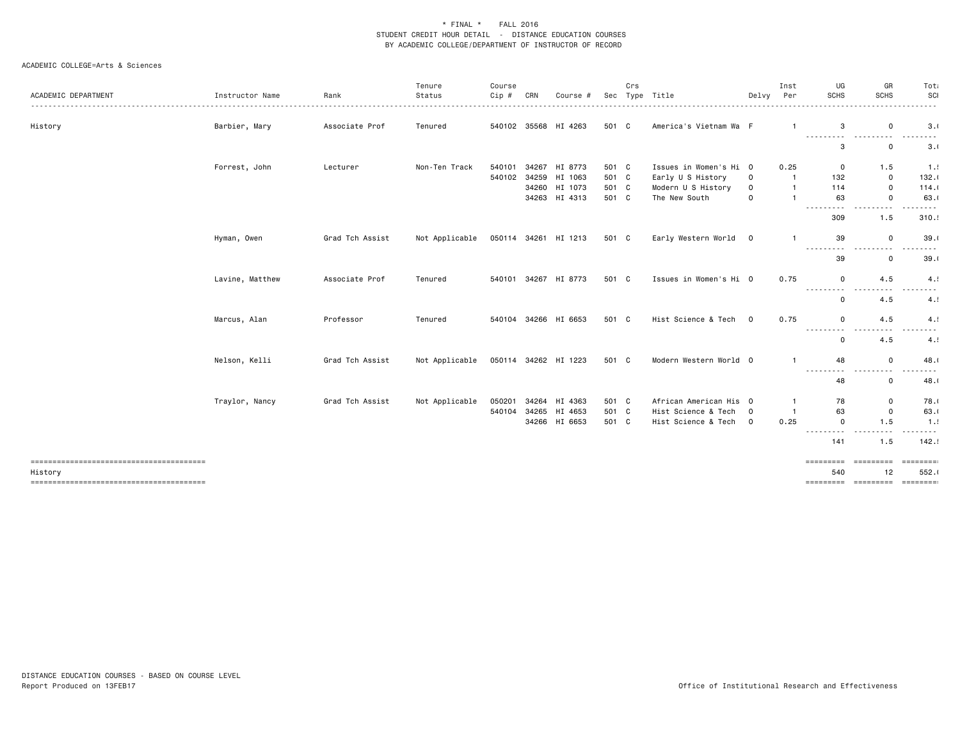| ACADEMIC DEPARTMENT                    | Instructor Name | Rank            | Tenure<br>Status | Course<br>Cip # | CRN | Course #             |       | Crs | Sec Type Title         | Delvy          | Inst<br>Per             | UG<br><b>SCHS</b>                                                                                                                                                            | GR<br><b>SCHS</b>                                                                                                                                         | Tota<br>SCI<br>. |
|----------------------------------------|-----------------|-----------------|------------------|-----------------|-----|----------------------|-------|-----|------------------------|----------------|-------------------------|------------------------------------------------------------------------------------------------------------------------------------------------------------------------------|-----------------------------------------------------------------------------------------------------------------------------------------------------------|------------------|
| History                                | Barbier, Mary   | Associate Prof  | Tenured          |                 |     | 540102 35568 HI 4263 | 501 C |     | America's Vietnam Wa F |                |                         | 3                                                                                                                                                                            | 0                                                                                                                                                         | 3.1              |
|                                        |                 |                 |                  |                 |     |                      |       |     |                        |                |                         | $\cdots$<br>3                                                                                                                                                                | 0                                                                                                                                                         | 3.0              |
|                                        | Forrest, John   | Lecturer        | Non-Ten Track    | 540101          |     | 34267 HI 8773        | 501 C |     | Issues in Women's Hi 0 |                | 0.25                    | $\mathbf 0$                                                                                                                                                                  | 1.5                                                                                                                                                       | 1.5              |
|                                        |                 |                 |                  | 540102          |     | 34259 HI 1063        | 501 C |     | Early U S History      | $\mathsf 0$    | $\overline{1}$          | 132                                                                                                                                                                          | 0                                                                                                                                                         | 132.1            |
|                                        |                 |                 |                  |                 |     | 34260 HI 1073        | 501 C |     | Modern U S History     | $\mathsf 0$    | $\overline{\mathbf{1}}$ | 114                                                                                                                                                                          | $\mathsf 0$                                                                                                                                               | 114.0            |
|                                        |                 |                 |                  |                 |     | 34263 HI 4313        | 501 C |     | The New South          | $\mathbf 0$    | $\overline{\mathbf{1}}$ | 63<br>$\frac{1}{2}$                                                                                                                                                          | 0                                                                                                                                                         | 63.0             |
|                                        |                 |                 |                  |                 |     |                      |       |     |                        |                |                         | 309                                                                                                                                                                          | 1.5                                                                                                                                                       | 310.5            |
|                                        | Hyman, Owen     | Grad Tch Assist | Not Applicable   |                 |     | 050114 34261 HI 1213 | 501 C |     | Early Western World 0  |                | $\mathbf 1$             | 39                                                                                                                                                                           | 0                                                                                                                                                         | 39.1             |
|                                        |                 |                 |                  |                 |     |                      |       |     |                        |                |                         | .<br>$\cdots$<br>39                                                                                                                                                          | .<br>0                                                                                                                                                    | ----<br>39.1     |
|                                        | Lavine, Matthew | Associate Prof  | Tenured          | 540101          |     | 34267 HI 8773        | 501 C |     | Issues in Women's Hi 0 |                | 0.75                    | $\mathbf 0$                                                                                                                                                                  | 4.5                                                                                                                                                       | 4.1              |
|                                        |                 |                 |                  |                 |     |                      |       |     |                        |                |                         | $\frac{1}{2} \left( \frac{1}{2} \right) \left( \frac{1}{2} \right) \left( \frac{1}{2} \right) \left( \frac{1}{2} \right) \left( \frac{1}{2} \right)$<br>- - -<br>$\mathbf 0$ | 4.5                                                                                                                                                       | 4.1              |
|                                        | Marcus, Alan    | Professor       | Tenured          |                 |     | 540104 34266 HI 6653 | 501 C |     | Hist Science & Tech 0  |                | 0.75                    | $\mathbf 0$                                                                                                                                                                  | 4.5                                                                                                                                                       | 4.1              |
|                                        |                 |                 |                  |                 |     |                      |       |     |                        |                |                         | <b>.</b> .<br>$\Omega$                                                                                                                                                       | 4.5                                                                                                                                                       | -------<br>4.1   |
|                                        | Nelson, Kelli   | Grad Tch Assist | Not Applicable   |                 |     | 050114 34262 HI 1223 | 501 C |     | Modern Western World 0 |                |                         | 48                                                                                                                                                                           | $\mathsf 0$                                                                                                                                               | 48.0             |
|                                        |                 |                 |                  |                 |     |                      |       |     |                        |                |                         | ---------<br>48                                                                                                                                                              | $\frac{1}{2} \left( \frac{1}{2} \right) \left( \frac{1}{2} \right) \left( \frac{1}{2} \right) \left( \frac{1}{2} \right) \left( \frac{1}{2} \right)$<br>0 | -----<br>48.1    |
|                                        | Traylor, Nancy  | Grad Tch Assist | Not Applicable   | 050201          |     | 34264 HI 4363        | 501 C |     | African American His 0 |                | $\overline{1}$          | 78                                                                                                                                                                           | 0                                                                                                                                                         | 78.0             |
|                                        |                 |                 |                  | 540104          |     | 34265 HI 4653        | 501 C |     | Hist Science & Tech    | $\overline{0}$ | $\overline{1}$          | 63                                                                                                                                                                           | $\mathsf 0$                                                                                                                                               | 63.0             |
|                                        |                 |                 |                  |                 |     | 34266 HI 6653        | 501 C |     | Hist Science & Tech    | $\overline{0}$ | 0.25                    | $\Omega$                                                                                                                                                                     | 1.5                                                                                                                                                       | 1.5              |
|                                        |                 |                 |                  |                 |     |                      |       |     |                        |                |                         | ----<br>$- - - -$<br>141                                                                                                                                                     | 1.5                                                                                                                                                       | -----<br>142.5   |
| -------------------------------------- |                 |                 |                  |                 |     |                      |       |     |                        |                |                         | =========                                                                                                                                                                    | =========                                                                                                                                                 | <b>EDECEMBER</b> |
| History                                |                 |                 |                  |                 |     |                      |       |     |                        |                |                         | 540                                                                                                                                                                          | 12<br>===============================                                                                                                                     | 552.0            |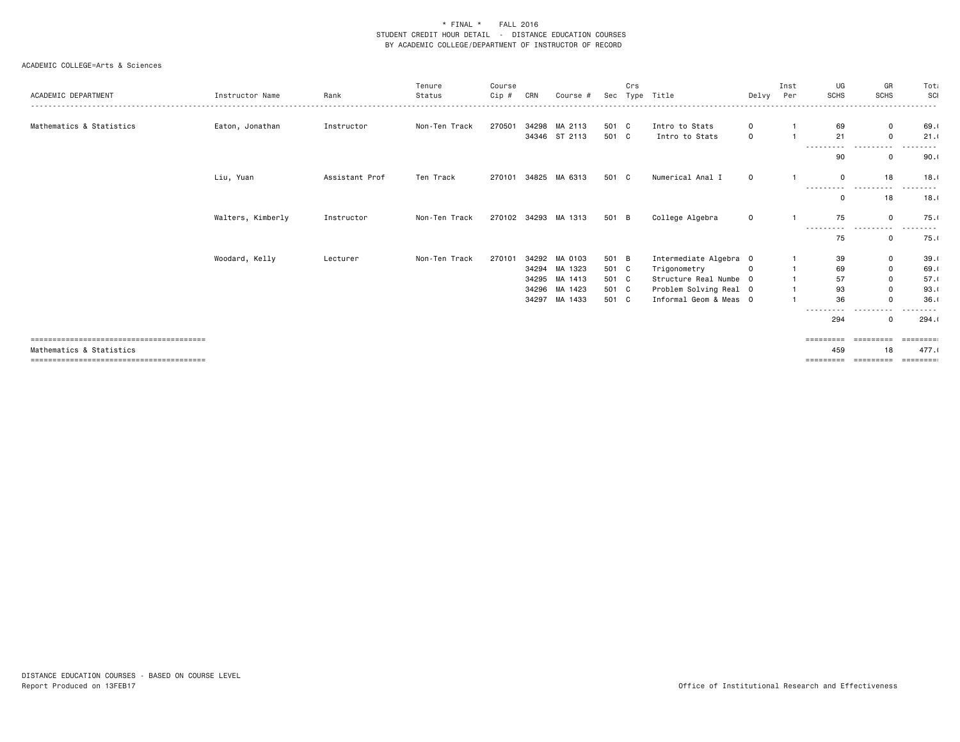| ACADEMIC DEPARTMENT      | Instructor Name   | Rank           | Tenure<br>Status | Course<br>Cip # | CRN   | Course #             |       | Crs | Sec Type Title         | Delvy Per   | Inst | UG<br><b>SCHS</b>   | GR<br><b>SCHS</b>    | Tota<br>SCI   |
|--------------------------|-------------------|----------------|------------------|-----------------|-------|----------------------|-------|-----|------------------------|-------------|------|---------------------|----------------------|---------------|
|                          |                   |                |                  |                 |       |                      |       |     |                        |             |      |                     |                      |               |
| Mathematics & Statistics | Eaton, Jonathan   | Instructor     | Non-Ten Track    | 270501          |       | 34298 MA 2113        | 501 C |     | Intro to Stats         | 0           |      | 69                  | $\mathbf 0$          | 69.1          |
|                          |                   |                |                  |                 |       | 34346 ST 2113        | 501 C |     | Intro to Stats         | $\mathbf 0$ |      | 21                  | $\mathbf 0$          | 21.1          |
|                          |                   |                |                  |                 |       |                      |       |     |                        |             |      | .<br>90             | - - -<br>$\mathbf 0$ | 90.1          |
|                          | Liu, Yuan         | Assistant Prof | Ten Track        | 270101          |       | 34825 MA 6313        | 501 C |     | Numerical Anal I       | $\mathbf 0$ |      | $\mathbf 0$<br>.    | 18<br>.              | 18.1<br>----- |
|                          |                   |                |                  |                 |       |                      |       |     |                        |             |      | $\Omega$            | 18                   | 18.1          |
|                          | Walters, Kimberly | Instructor     | Non-Ten Track    |                 |       | 270102 34293 MA 1313 | 501 B |     | College Algebra        | $\mathbf 0$ |      | 75<br>----------    | $\mathbf{0}$<br>.    | 75.0<br>----- |
|                          |                   |                |                  |                 |       |                      |       |     |                        |             |      | 75                  | $\mathbf 0$          | 75.0          |
|                          | Woodard, Kelly    | Lecturer       | Non-Ten Track    | 270101          |       | 34292 MA 0103        | 501 B |     | Intermediate Algebra 0 |             |      | 39                  | 0                    | 39.1          |
|                          |                   |                |                  |                 |       | 34294 MA 1323        | 501 C |     | Trigonometry           | $\Omega$    |      | 69                  | $\mathbf 0$          | 69.1          |
|                          |                   |                |                  |                 |       | 34295 MA 1413        | 501 C |     | Structure Real Numbe 0 |             |      | 57                  | $\mathbf 0$          | 57.1          |
|                          |                   |                |                  |                 |       | 34296 MA 1423        | 501 C |     | Problem Solving Real 0 |             |      | 93                  | $\mathbf 0$          | 93.1          |
|                          |                   |                |                  |                 | 34297 | MA 1433              | 501 C |     | Informal Geom & Meas 0 |             |      | 36                  | $\Omega$             | 36.1          |
|                          |                   |                |                  |                 |       |                      |       |     |                        |             |      | 294                 | $\mathbf 0$          | 294.1         |
|                          |                   |                |                  |                 |       |                      |       |     |                        |             |      | $=$ = = = = = = = = | -----                |               |
| Mathematics & Statistics |                   |                |                  |                 |       |                      |       |     |                        |             |      | 459                 | 18                   | 477.1         |
|                          |                   |                |                  |                 |       |                      |       |     |                        |             |      | =========           | ----------           | ========      |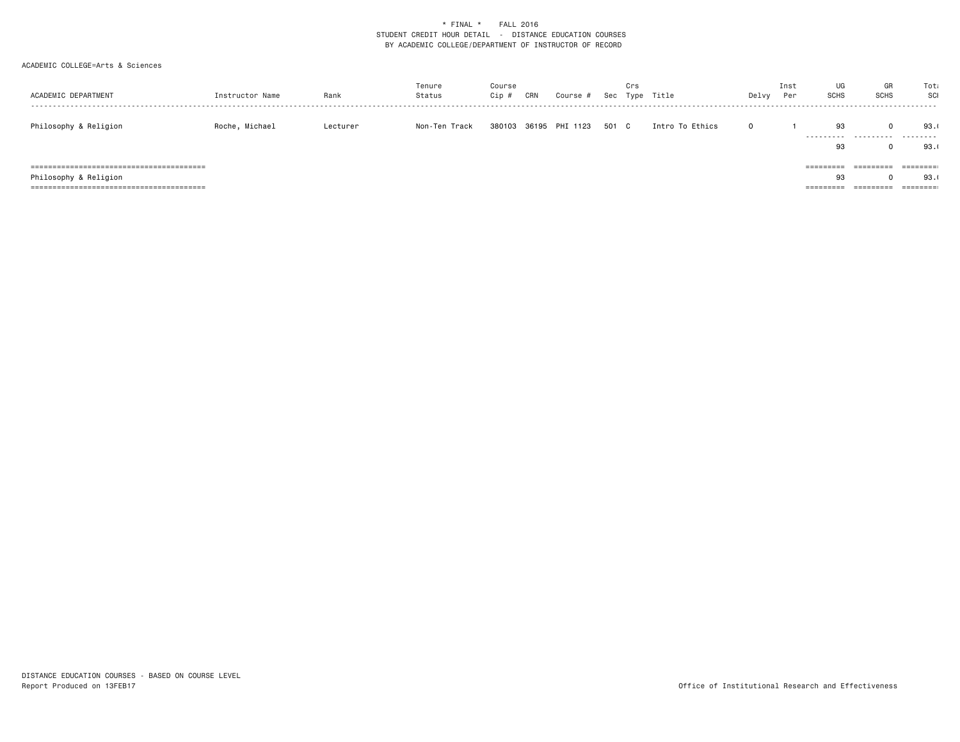| ACADEMIC DEPARTMENT   | Instructor Name | Rank     | Tenure<br>Status | Course<br>Cip# | CRN | Course #              |       | Crs | Sec Type Title  | Delvy | Inst<br>Per | UG<br><b>SCHS</b> | GR<br><b>SCHS</b>      | Tota<br>SCI                  |
|-----------------------|-----------------|----------|------------------|----------------|-----|-----------------------|-------|-----|-----------------|-------|-------------|-------------------|------------------------|------------------------------|
| Philosophy & Religion | Roche, Michael  | Lecturer | Non-Ten Track    |                |     | 380103 36195 PHI 1123 | 501 C |     | Intro To Ethics |       |             | 93<br>93          | $\Omega$<br>           | 93.1<br>.<br>93.0            |
| Philosophy & Religion |                 |          |                  |                |     |                       |       |     |                 |       |             | =========<br>93   | =========<br>========= | 93.<br>$=$ = = = = = = = $=$ |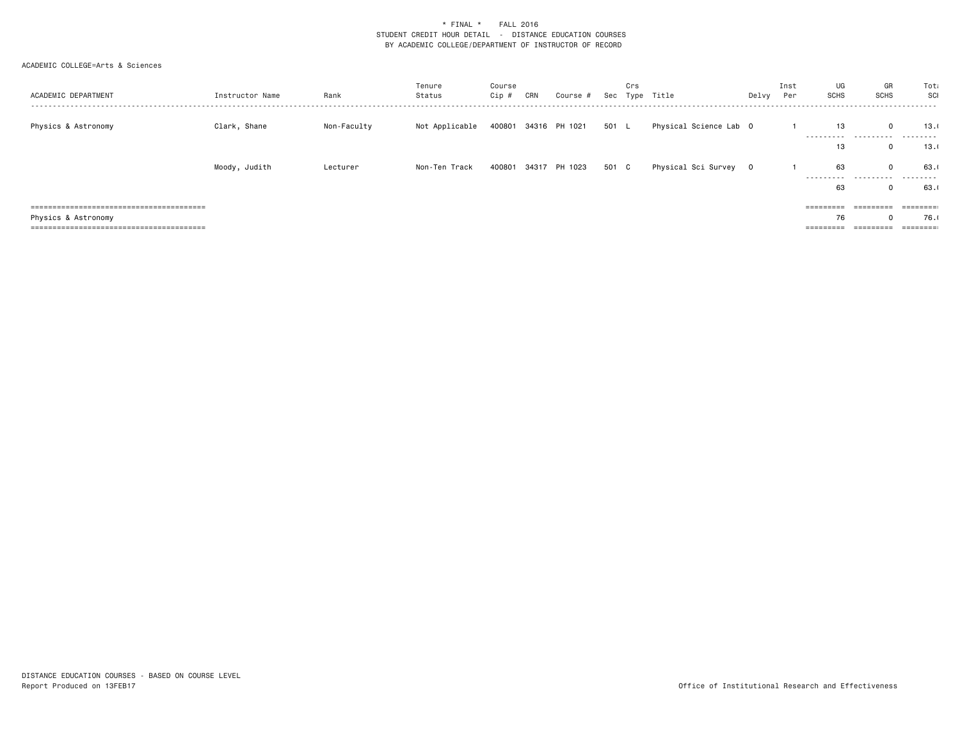| ACADEMIC DEPARTMENT | Instructor Name | Rank        | Tenure<br>Status | Course<br>Cip # | CRN | Course #             |       | Crs | Sec Type Title         | Delvy | Inst<br>Per | UG<br>SCHS          | GR<br><b>SCHS</b>                     | Tota<br>SCI<br>------ |
|---------------------|-----------------|-------------|------------------|-----------------|-----|----------------------|-------|-----|------------------------|-------|-------------|---------------------|---------------------------------------|-----------------------|
| Physics & Astronomy | Clark, Shane    | Non-Faculty | Not Applicable   |                 |     | 400801 34316 PH 1021 | 501 L |     | Physical Science Lab 0 |       |             | 13                  | $\Omega$<br>_________________________ | 13.0<br>.             |
|                     |                 |             |                  |                 |     |                      |       |     |                        |       |             | 13                  | 0                                     | 13.0                  |
|                     | Moody, Judith   | Lecturer    | Non-Ten Track    | 400801          |     | 34317 PH 1023        | 501 C |     | Physical Sci Survey 0  |       |             | 63                  | $\Omega$                              | 63.                   |
|                     |                 |             |                  |                 |     |                      |       |     |                        |       |             | 63                  | _________________________<br>0        | .<br>63.              |
|                     |                 |             |                  |                 |     |                      |       |     |                        |       |             | =========           | =========                             |                       |
| Physics & Astronomy |                 |             |                  |                 |     |                      |       |     |                        |       |             | 76                  | $\Omega$                              | 76.0                  |
|                     |                 |             |                  |                 |     |                      |       |     |                        |       |             | $=$ = = = = = = = = |                                       |                       |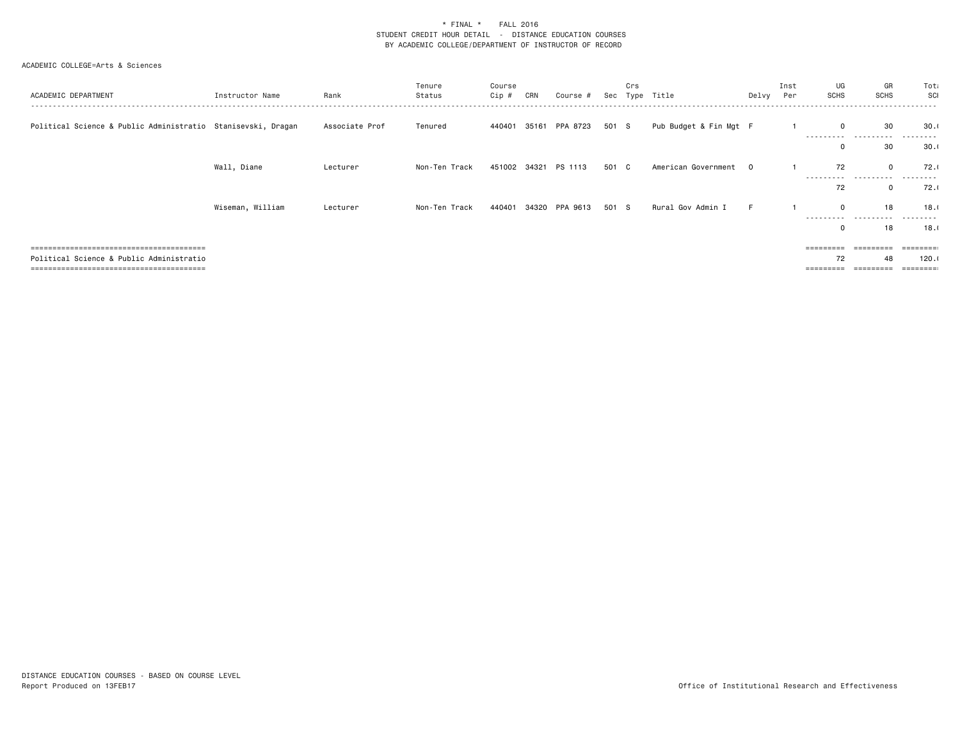| ACADEMIC DEPARTMENT                                          | Instructor Name  | Rank           | Tenure<br>Status | Course<br>Cip # | CRN   | Course #                    |       | Crs | Sec Type Title         | Delvy Per | Inst | UG<br><b>SCHS</b>         | GR<br><b>SCHS</b> | Tota<br>SCI      |
|--------------------------------------------------------------|------------------|----------------|------------------|-----------------|-------|-----------------------------|-------|-----|------------------------|-----------|------|---------------------------|-------------------|------------------|
| Political Science & Public Administratio Stanisevski, Dragan |                  | Associate Prof | Tenured          |                 |       | 440401 35161 PPA 8723 501 S |       |     | Pub Budget & Fin Mgt F |           |      | 0<br>----------           | 30<br>.           | 30.1<br>-------- |
|                                                              |                  |                |                  |                 |       |                             |       |     |                        |           |      | 0                         | 30                | 30.1             |
|                                                              | Wall, Diane      | Lecturer       | Non-Ten Track    |                 |       | 451002 34321 PS 1113        | 501 C |     | American Government 0  |           |      | 72                        | $\mathbf 0$       | 72.1             |
|                                                              |                  |                |                  |                 |       |                             |       |     |                        |           |      | .<br>72                   | .<br>$\mathbf{0}$ | 72.0             |
|                                                              | Wiseman, William | Lecturer       | Non-Ten Track    | 440401          | 34320 | PPA 9613                    | 501 S |     | Rural Gov Admin I      |           |      | $\mathbf 0$               | 18                | 18.0             |
|                                                              |                  |                |                  |                 |       |                             |       |     |                        |           |      | ----------<br>$\mathbf 0$ | .<br>18           | .<br>18.0        |
|                                                              |                  |                |                  |                 |       |                             |       |     |                        |           |      | ========                  |                   |                  |
| Political Science & Public Administratio                     |                  |                |                  |                 |       |                             |       |     |                        |           |      | 72                        | 48                | 120.1            |
| =============================                                |                  |                |                  |                 |       |                             |       |     |                        |           |      |                           |                   |                  |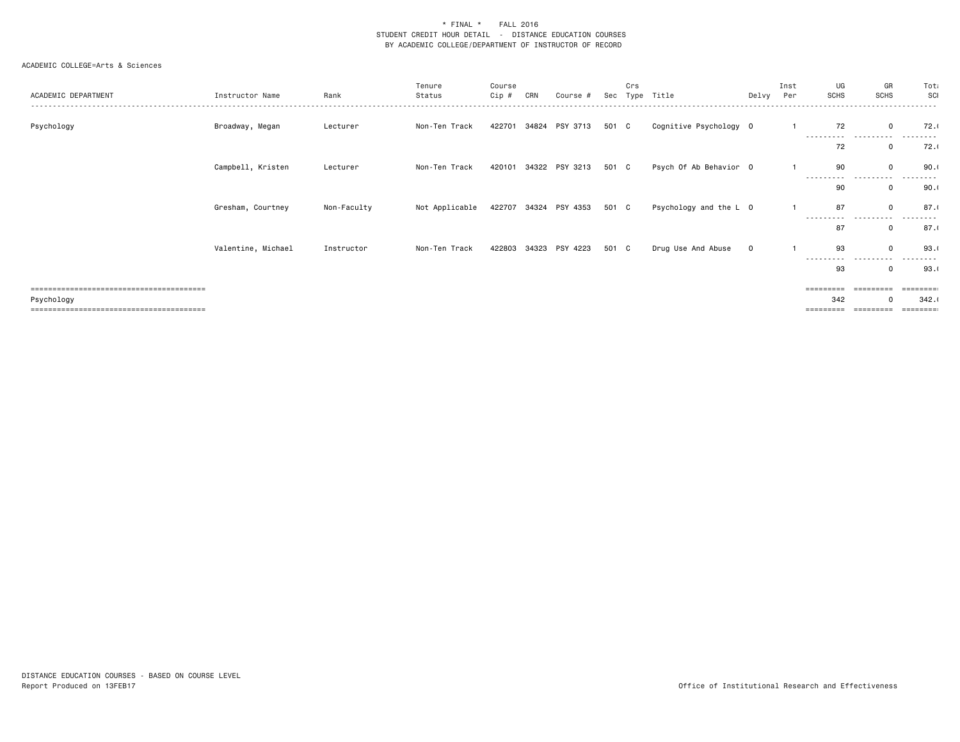| ACADEMIC DEPARTMENT | Instructor Name    | Rank        | Tenure<br>Status | Course<br>Cip # | CRN | Course #                    | Sec   | Crs<br>Type | Title                  | Delvy       | Inst<br>Per | UG<br><b>SCHS</b>       | GR<br><b>SCHS</b>   | Tota<br>SCI    |
|---------------------|--------------------|-------------|------------------|-----------------|-----|-----------------------------|-------|-------------|------------------------|-------------|-------------|-------------------------|---------------------|----------------|
| Psychology          | Broadway, Megan    | Lecturer    | Non-Ten Track    | 422701          |     | 34824 PSY 3713              | 501 C |             | Cognitive Psychology 0 |             |             | 72<br>-----<br>-----    | $\mathbf 0$<br>.    | 72.1           |
|                     |                    |             |                  |                 |     |                             |       |             |                        |             |             | 72                      | 0                   | 72.1           |
|                     | Campbell, Kristen  | Lecturer    | Non-Ten Track    | 420101          |     | 34322 PSY 3213              | 501 C |             | Psych Of Ab Behavior 0 |             |             | 90<br>- - - - - - - - - | $\mathbf 0$         | 90.1           |
|                     |                    |             |                  |                 |     |                             |       |             |                        |             |             | 90                      | $\Omega$            | 90.1           |
|                     | Gresham, Courtney  | Non-Faculty | Not Applicable   |                 |     | 422707 34324 PSY 4353 501 C |       |             | Psychology and the L 0 |             |             | 87<br>----------        | $\mathbf 0$         | 87.1           |
|                     |                    |             |                  |                 |     |                             |       |             |                        |             |             | 87                      | $\mathbf 0$         | 87.1           |
|                     | Valentine, Michael | Instructor  | Non-Ten Track    |                 |     | 422803 34323 PSY 4223       | 501 C |             | Drug Use And Abuse     | $\mathbf 0$ |             | 93<br>.<br>----         | $\mathbf 0$<br>---- | 93.1           |
|                     |                    |             |                  |                 |     |                             |       |             |                        |             |             | 93                      | 0                   | 93.1           |
|                     |                    |             |                  |                 |     |                             |       |             |                        |             |             | =========<br>342        | $\Omega$            | =====<br>342.1 |
| Psychology          |                    |             |                  |                 |     |                             |       |             |                        |             |             |                         |                     | ======         |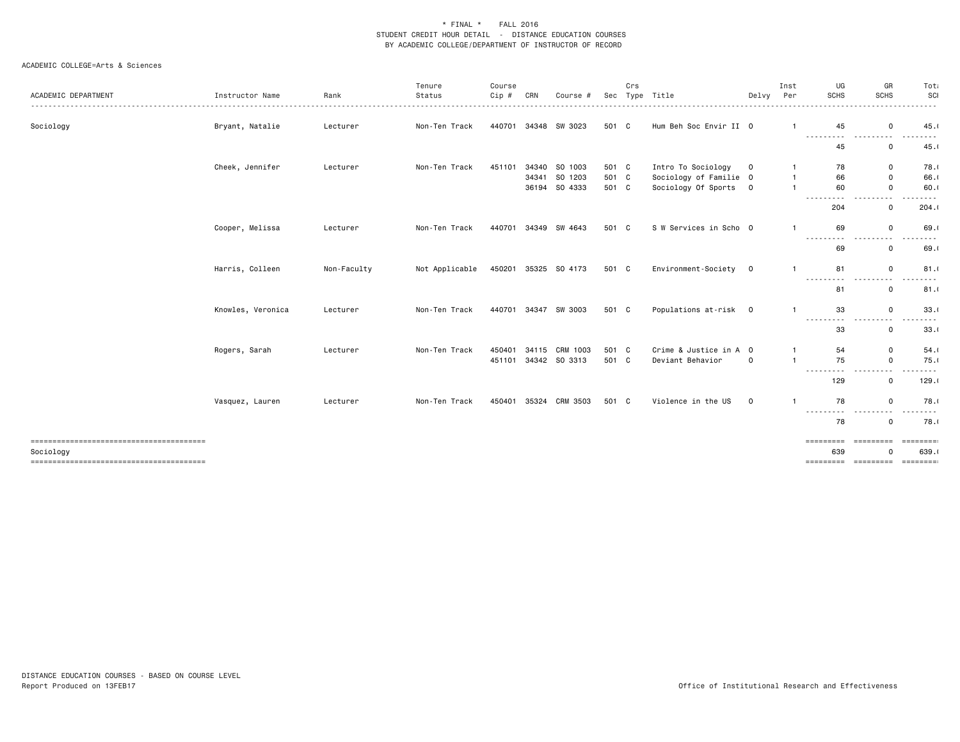|                                        |                   |             | Tenure         | Course |       |               |       | Crs |                        |             | Inst                    | UG                                                                                                                                                                                                                                                                                                                                                                                                 | GR                                                                                                                                                                                    | Tot                                                                                                                                                          |
|----------------------------------------|-------------------|-------------|----------------|--------|-------|---------------|-------|-----|------------------------|-------------|-------------------------|----------------------------------------------------------------------------------------------------------------------------------------------------------------------------------------------------------------------------------------------------------------------------------------------------------------------------------------------------------------------------------------------------|---------------------------------------------------------------------------------------------------------------------------------------------------------------------------------------|--------------------------------------------------------------------------------------------------------------------------------------------------------------|
| ACADEMIC DEPARTMENT                    | Instructor Name   | Rank        | Status         | Cip #  | CRN   | Course #      | Sec   |     | Type Title             | Delvy       | Per                     | <b>SCHS</b>                                                                                                                                                                                                                                                                                                                                                                                        | <b>SCHS</b>                                                                                                                                                                           | SCI<br>.                                                                                                                                                     |
| Sociology                              | Bryant, Natalie   | Lecturer    | Non-Ten Track  | 440701 |       | 34348 SW 3023 | 501 C |     | Hum Beh Soc Envir II 0 |             |                         | 45                                                                                                                                                                                                                                                                                                                                                                                                 | $\mathbf 0$                                                                                                                                                                           | 45.1                                                                                                                                                         |
|                                        |                   |             |                |        |       |               |       |     |                        |             |                         | ---------<br>45                                                                                                                                                                                                                                                                                                                                                                                    | ---------<br>0                                                                                                                                                                        | .<br>45.1                                                                                                                                                    |
|                                        | Cheek, Jennifer   | Lecturer    | Non-Ten Track  | 451101 |       | 34340 SO 1003 | 501 C |     | Intro To Sociology     | $\mathbf 0$ |                         | 78                                                                                                                                                                                                                                                                                                                                                                                                 | 0                                                                                                                                                                                     | 78.0                                                                                                                                                         |
|                                        |                   |             |                |        |       | 34341 SO 1203 | 501 C |     | Sociology of Familie 0 |             | $\mathbf{1}$            | 66                                                                                                                                                                                                                                                                                                                                                                                                 | 0                                                                                                                                                                                     | 66.                                                                                                                                                          |
|                                        |                   |             |                |        |       | 36194 SO 4333 | 501 C |     | Sociology Of Sports    | 0           | $\overline{\mathbf{1}}$ | 60<br>$\frac{1}{2} \frac{1}{2} \frac{1}{2} \frac{1}{2} \frac{1}{2} \frac{1}{2} \frac{1}{2} \frac{1}{2} \frac{1}{2} \frac{1}{2} \frac{1}{2} \frac{1}{2} \frac{1}{2} \frac{1}{2} \frac{1}{2} \frac{1}{2} \frac{1}{2} \frac{1}{2} \frac{1}{2} \frac{1}{2} \frac{1}{2} \frac{1}{2} \frac{1}{2} \frac{1}{2} \frac{1}{2} \frac{1}{2} \frac{1}{2} \frac{1}{2} \frac{1}{2} \frac{1}{2} \frac{1}{2} \frac{$ | $\mathsf 0$                                                                                                                                                                           | 60.1                                                                                                                                                         |
|                                        |                   |             |                |        |       |               |       |     |                        |             |                         | 204                                                                                                                                                                                                                                                                                                                                                                                                | 0                                                                                                                                                                                     | 204.1                                                                                                                                                        |
|                                        | Cooper, Melissa   | Lecturer    | Non-Ten Track  | 440701 |       | 34349 SW 4643 | 501 C |     | S W Services in Scho 0 |             |                         | 69<br>$\frac{1}{2} \left( \frac{1}{2} \right) \left( \frac{1}{2} \right) \left( \frac{1}{2} \right)$                                                                                                                                                                                                                                                                                               | $\mathsf 0$<br>- - -                                                                                                                                                                  | 69.<br>$\frac{1}{2}$                                                                                                                                         |
|                                        |                   |             |                |        |       |               |       |     |                        |             |                         | 69                                                                                                                                                                                                                                                                                                                                                                                                 | 0                                                                                                                                                                                     | 69.                                                                                                                                                          |
|                                        | Harris, Colleen   | Non-Faculty | Not Applicable | 450201 |       | 35325 SO 4173 | 501 C |     | Environment-Society    | $\mathbf 0$ | $\mathbf{1}$            | 81                                                                                                                                                                                                                                                                                                                                                                                                 | 0                                                                                                                                                                                     | 81.1                                                                                                                                                         |
|                                        |                   |             |                |        |       |               |       |     |                        |             |                         | $\cdots$<br>81                                                                                                                                                                                                                                                                                                                                                                                     | 0                                                                                                                                                                                     | 81.1                                                                                                                                                         |
|                                        | Knowles, Veronica | Lecturer    | Non-Ten Track  | 440701 |       | 34347 SW 3003 | 501 C |     | Populations at-risk    | $\mathbf 0$ | $\mathbf{1}$            | 33                                                                                                                                                                                                                                                                                                                                                                                                 | $\mathbf 0$                                                                                                                                                                           | 33.1                                                                                                                                                         |
|                                        |                   |             |                |        |       |               |       |     |                        |             |                         | ---------<br>33                                                                                                                                                                                                                                                                                                                                                                                    | $\cdots$<br>.<br>0                                                                                                                                                                    | $\frac{1}{2} \left( \frac{1}{2} \right) \left( \frac{1}{2} \right) \left( \frac{1}{2} \right) \left( \frac{1}{2} \right)$<br>33.1                            |
|                                        | Rogers, Sarah     | Lecturer    | Non-Ten Track  | 450401 | 34115 | CRM 1003      | 501 C |     | Crime & Justice in A 0 |             |                         | 54                                                                                                                                                                                                                                                                                                                                                                                                 | 0                                                                                                                                                                                     | 54.1                                                                                                                                                         |
|                                        |                   |             |                | 451101 |       | 34342 SO 3313 | 501 C |     | Deviant Behavior       | $\mathbf 0$ | $\overline{1}$          | 75<br>---------                                                                                                                                                                                                                                                                                                                                                                                    | $\mathsf{o}$<br>$\frac{1}{2} \left( \frac{1}{2} \right) \left( \frac{1}{2} \right) \left( \frac{1}{2} \right) \left( \frac{1}{2} \right) \left( \frac{1}{2} \right)$<br>$\frac{1}{2}$ | 75.1<br>$\frac{1}{2} \left( \frac{1}{2} \right) \left( \frac{1}{2} \right) \left( \frac{1}{2} \right) \left( \frac{1}{2} \right) \left( \frac{1}{2} \right)$ |
|                                        |                   |             |                |        |       |               |       |     |                        |             |                         | 129                                                                                                                                                                                                                                                                                                                                                                                                | 0                                                                                                                                                                                     | 129.1                                                                                                                                                        |
|                                        | Vasquez, Lauren   | Lecturer    | Non-Ten Track  | 450401 | 35324 | CRM 3503      | 501 C |     | Violence in the US     | $\mathbf 0$ | $\overline{\mathbf{1}}$ | 78                                                                                                                                                                                                                                                                                                                                                                                                 | $\mathbf 0$                                                                                                                                                                           | 78.0                                                                                                                                                         |
|                                        |                   |             |                |        |       |               |       |     |                        |             |                         | .<br>78                                                                                                                                                                                                                                                                                                                                                                                            | ----<br>- - -<br>0                                                                                                                                                                    | ----<br>78.0                                                                                                                                                 |
| -------------------------------------- |                   |             |                |        |       |               |       |     |                        |             |                         | =========                                                                                                                                                                                                                                                                                                                                                                                          | =========                                                                                                                                                                             | $=$ ========                                                                                                                                                 |
| Sociology                              |                   |             |                |        |       |               |       |     |                        |             |                         | 639                                                                                                                                                                                                                                                                                                                                                                                                | O                                                                                                                                                                                     | 639.0                                                                                                                                                        |
|                                        |                   |             |                |        |       |               |       |     |                        |             |                         |                                                                                                                                                                                                                                                                                                                                                                                                    | ===============================                                                                                                                                                       |                                                                                                                                                              |
|                                        |                   |             |                |        |       |               |       |     |                        |             |                         |                                                                                                                                                                                                                                                                                                                                                                                                    |                                                                                                                                                                                       |                                                                                                                                                              |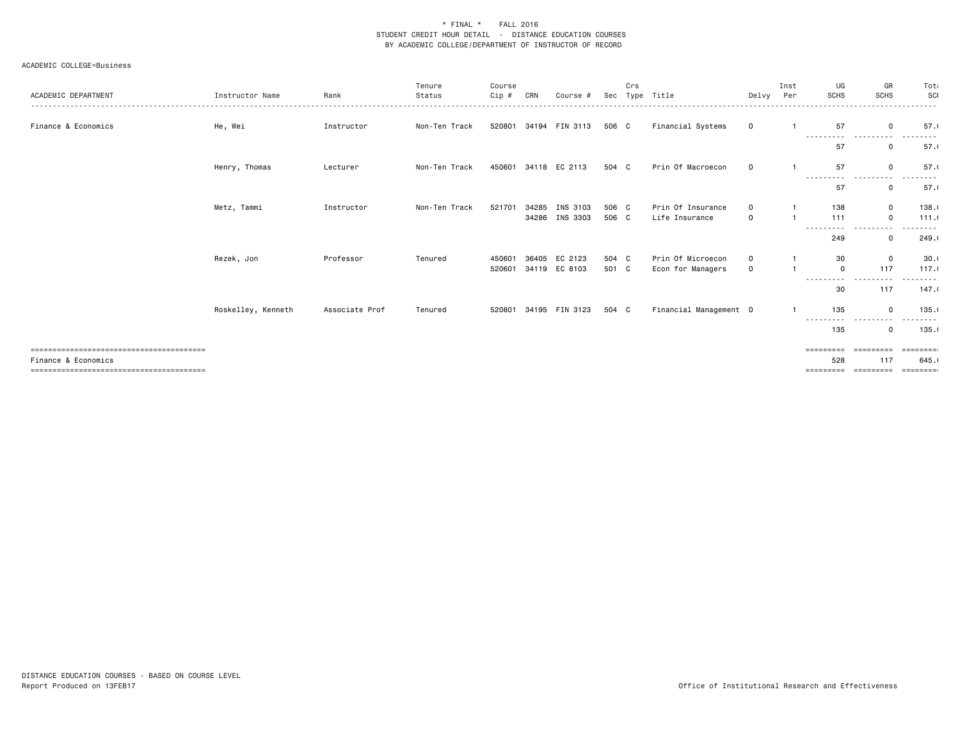| ACADEMIC DEPARTMENT | Instructor Name    | Rank           | Tenure<br>Status | Course<br>Cip # | CRN   | Course #              | Sec   | Crs<br>Type | Title                  | Delvy Per   | Inst | UG<br><b>SCHS</b> | GR<br><b>SCHS</b>                                                                                                                                                                                                                                                     | Tota<br>SCI                                                                                                                                                                              |
|---------------------|--------------------|----------------|------------------|-----------------|-------|-----------------------|-------|-------------|------------------------|-------------|------|-------------------|-----------------------------------------------------------------------------------------------------------------------------------------------------------------------------------------------------------------------------------------------------------------------|------------------------------------------------------------------------------------------------------------------------------------------------------------------------------------------|
|                     |                    |                |                  |                 |       |                       |       |             |                        |             |      |                   |                                                                                                                                                                                                                                                                       |                                                                                                                                                                                          |
| Finance & Economics | He, Wei            | Instructor     | Non-Ten Track    |                 |       | 520801 34194 FIN 3113 | 506 C |             | Financial Systems      | $\mathbf 0$ |      | 57<br>----------  | $\mathbf 0$<br>.<br>$\frac{1}{2} \left( \frac{1}{2} \right) \left( \frac{1}{2} \right) \left( \frac{1}{2} \right) \left( \frac{1}{2} \right)$                                                                                                                         | 57.1<br>.<br>$\cdots$                                                                                                                                                                    |
|                     |                    |                |                  |                 |       |                       |       |             |                        |             |      | 57                | $\Omega$                                                                                                                                                                                                                                                              | 57.1                                                                                                                                                                                     |
|                     | Henry, Thomas      | Lecturer       | Non-Ten Track    | 450601          |       | 34118 EC 2113         | 504 C |             | Prin Of Macroecon      | $\mathbf 0$ |      | 57<br>----------  | $\mathbf 0$<br>----------                                                                                                                                                                                                                                             | 57.1<br>-----                                                                                                                                                                            |
|                     |                    |                |                  |                 |       |                       |       |             |                        |             |      | 57                | $\mathbf 0$                                                                                                                                                                                                                                                           | 57.1                                                                                                                                                                                     |
|                     | Metz, Tammi        | Instructor     | Non-Ten Track    | 521701          | 34285 | INS 3103              | 506 C |             | Prin Of Insurance      | $\Omega$    |      | 138               | $\mathbf 0$                                                                                                                                                                                                                                                           | 138.1                                                                                                                                                                                    |
|                     |                    |                |                  |                 |       | 34286 INS 3303        | 506 C |             | Life Insurance         | $\mathbf 0$ |      | 111<br>---------- | $\mathbf 0$<br>------<br>- - - -                                                                                                                                                                                                                                      | 111.0<br>.                                                                                                                                                                               |
|                     |                    |                |                  |                 |       |                       |       |             |                        |             |      | 249               | $\mathbf 0$                                                                                                                                                                                                                                                           | 249.1                                                                                                                                                                                    |
|                     | Rezek, Jon         | Professor      | Tenured          | 450601          |       | 36405 EC 2123         | 504 C |             | Prin Of Microecon      | $\Omega$    |      | 30                | $\mathbf 0$                                                                                                                                                                                                                                                           | 30.1                                                                                                                                                                                     |
|                     |                    |                |                  | 520601          |       | 34119 EC 8103         | 501 C |             | Econ for Managers      | $\Omega$    |      | $\mathbf 0$       | 117                                                                                                                                                                                                                                                                   | 117.1                                                                                                                                                                                    |
|                     |                    |                |                  |                 |       |                       |       |             |                        |             |      | ----------<br>30  | ----------<br>117                                                                                                                                                                                                                                                     | $\frac{1}{2} \left( \frac{1}{2} \right) \left( \frac{1}{2} \right) \left( \frac{1}{2} \right) \left( \frac{1}{2} \right) \left( \frac{1}{2} \right) \left( \frac{1}{2} \right)$<br>147.1 |
|                     | Roskelley, Kenneth | Associate Prof | Tenured          | 520801          |       | 34195 FIN 3123        | 504 C |             | Financial Management 0 |             |      | 135               | $\mathbf 0$                                                                                                                                                                                                                                                           | 135.1                                                                                                                                                                                    |
|                     |                    |                |                  |                 |       |                       |       |             |                        |             |      | ----------<br>135 | $\begin{array}{cccccccccccccc} \bullet & \bullet & \bullet & \bullet & \bullet & \bullet & \bullet & \bullet \end{array}$<br>$\frac{1}{2} \left( \frac{1}{2} \right) \left( \frac{1}{2} \right) \left( \frac{1}{2} \right) \left( \frac{1}{2} \right)$<br>$\mathbf 0$ | .<br>135.1                                                                                                                                                                               |
|                     |                    |                |                  |                 |       |                       |       |             |                        |             |      |                   |                                                                                                                                                                                                                                                                       |                                                                                                                                                                                          |
| Finance & Economics |                    |                |                  |                 |       |                       |       |             |                        |             |      | =========<br>528  | =========<br>117                                                                                                                                                                                                                                                      | ---------<br>645.1                                                                                                                                                                       |
|                     |                    |                |                  |                 |       |                       |       |             |                        |             |      |                   |                                                                                                                                                                                                                                                                       | ========                                                                                                                                                                                 |
|                     |                    |                |                  |                 |       |                       |       |             |                        |             |      |                   |                                                                                                                                                                                                                                                                       |                                                                                                                                                                                          |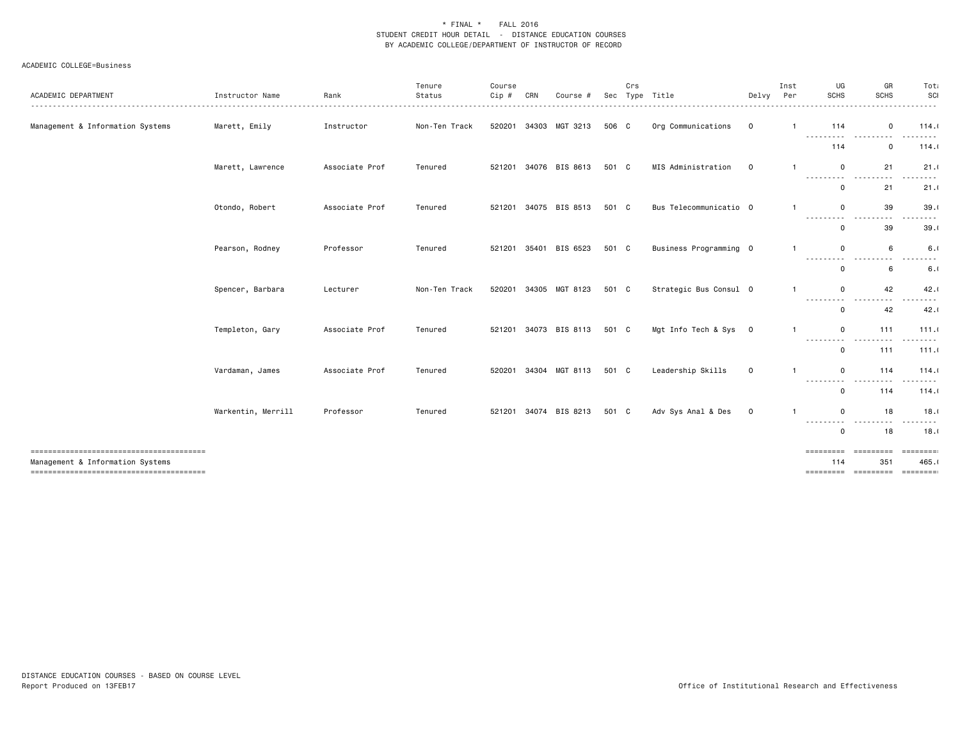| ACADEMIC DEPARTMENT                    | Instructor Name    | Rank           | Tenure<br>Status<br>. | Course<br>Cip # | CRN   | Course         | Sec   | Crs | Type Title             | Delvy       | Inst<br>Per  | UG<br>SCHS<br>.                      | GR<br>SCHS                                                                                                                           | Tot<br>SCI<br>.                                                                                                                                              |
|----------------------------------------|--------------------|----------------|-----------------------|-----------------|-------|----------------|-------|-----|------------------------|-------------|--------------|--------------------------------------|--------------------------------------------------------------------------------------------------------------------------------------|--------------------------------------------------------------------------------------------------------------------------------------------------------------|
| Management & Information Systems       | Marett, Emily      | Instructor     | Non-Ten Track         | 520201          |       | 34303 MGT 3213 | 506 C |     | Org Communications     | $\mathbf 0$ |              | 114                                  | $\mathbf 0$                                                                                                                          | 114.1                                                                                                                                                        |
|                                        |                    |                |                       |                 |       |                |       |     |                        |             |              | .<br>114                             | $ -$<br>$\mathbf 0$                                                                                                                  | .<br>114.1                                                                                                                                                   |
|                                        | Marett, Lawrence   | Associate Prof | Tenured               | 521201          |       | 34076 BIS 8613 | 501 C |     | MIS Administration     | $\mathbf 0$ | -1           | $\mathbf 0$                          | 21<br>$- - -$                                                                                                                        | 21.1                                                                                                                                                         |
|                                        |                    |                |                       |                 |       |                |       |     |                        |             |              | ---------<br>$\mathbf 0$             | .<br>21                                                                                                                              | . <b>.</b><br>21.1                                                                                                                                           |
|                                        | Otondo, Robert     | Associate Prof | Tenured               | 521201          |       | 34075 BIS 8513 | 501 C |     | Bus Telecommunicatio 0 |             | $\mathbf{1}$ | $\Omega$                             | 39<br>$\cdots$<br>$- - -$                                                                                                            | 39.1<br>$\frac{1}{2} \left( \frac{1}{2} \right) \left( \frac{1}{2} \right) \left( \frac{1}{2} \right) \left( \frac{1}{2} \right) \left( \frac{1}{2} \right)$ |
|                                        |                    |                |                       |                 |       |                |       |     |                        |             |              | ---------<br>$\mathbf 0$             | 39                                                                                                                                   | 39.1                                                                                                                                                         |
|                                        | Pearson, Rodney    | Professor      | Tenured               | 521201          | 35401 | BIS 6523       | 501 C |     | Business Programming 0 |             |              | $\Omega$<br>---------                | 6                                                                                                                                    | 6.1                                                                                                                                                          |
|                                        |                    |                |                       |                 |       |                |       |     |                        |             |              | $\mathbf 0$                          | 6                                                                                                                                    | 6.1                                                                                                                                                          |
|                                        | Spencer, Barbara   | Lecturer       | Non-Ten Track         | 520201          |       | 34305 MGT 8123 | 501 C |     | Strategic Bus Consul 0 |             |              | $\Omega$<br>---------                | 42<br>$\frac{1}{2} \left( \frac{1}{2} \right) \left( \frac{1}{2} \right) \left( \frac{1}{2} \right) \left( \frac{1}{2} \right)$<br>. | 42.1<br>.                                                                                                                                                    |
|                                        |                    |                |                       |                 |       |                |       |     |                        |             |              | $\Omega$                             | 42                                                                                                                                   | 42.1                                                                                                                                                         |
|                                        | Templeton, Gary    | Associate Prof | Tenured               | 521201          |       | 34073 BIS 8113 | 501 C |     | Mgt Info Tech & Sys 0  |             | -1           | $\mathbf 0$<br>$\frac{1}{2}$<br>---- | 111                                                                                                                                  | 111.0<br>-----                                                                                                                                               |
|                                        |                    |                |                       |                 |       |                |       |     |                        |             |              | $\mathbf 0$                          | 111                                                                                                                                  | 111.0                                                                                                                                                        |
|                                        | Vardaman, James    | Associate Prof | Tenured               | 520201          | 34304 | MGT 8113       | 501 C |     | Leadership Skills      | $\mathsf 0$ | $\mathbf{1}$ | $\mathbf 0$<br>---------             | 114<br>.<br>$- - -$                                                                                                                  | 114.1<br>.                                                                                                                                                   |
|                                        |                    |                |                       |                 |       |                |       |     |                        |             |              | $\mathbf 0$                          | 114                                                                                                                                  | 114.1                                                                                                                                                        |
|                                        | Warkentin, Merrill | Professor      | Tenured               | 521201          |       | 34074 BIS 8213 | 501 C |     | Adv Sys Anal & Des     | $\mathbf 0$ |              | $\mathbf 0$<br>---------             | 18<br>$- - -$<br>$\frac{1}{2} \frac{1}{2} \frac{1}{2} \frac{1}{2} \frac{1}{2} \frac{1}{2}$                                           | 18.1<br><u>.</u>                                                                                                                                             |
|                                        |                    |                |                       |                 |       |                |       |     |                        |             |              | $\mathbf 0$                          | 18                                                                                                                                   | 18.1                                                                                                                                                         |
| -------------------------------------- |                    |                |                       |                 |       |                |       |     |                        |             |              | =========<br>114                     | =========<br>351                                                                                                                     | =========<br>465.1                                                                                                                                           |
| Management & Information Systems       |                    |                |                       |                 |       |                |       |     |                        |             |              | =========                            | =========                                                                                                                            | <b>EBBEEBER</b>                                                                                                                                              |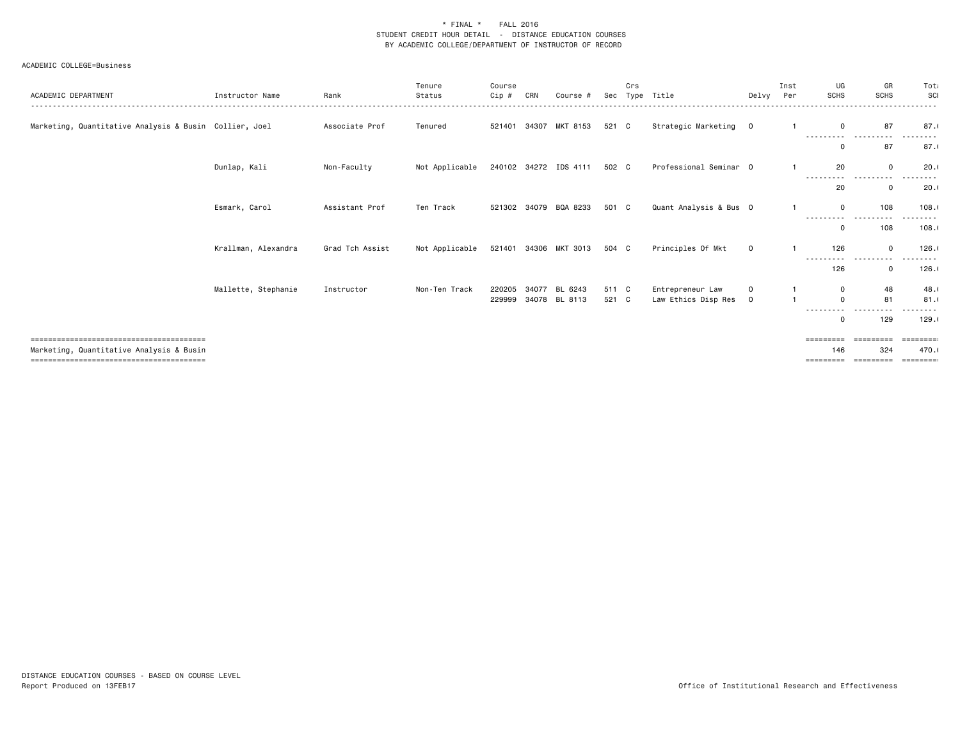| ACADEMIC DEPARTMENT                                    | Instructor Name     | Rank            | Tenure<br>Status | Course<br>Cip #  | CRN | Course #                       |                | Crs | Sec Type Title                          | Delvy                    | Inst<br>Per | UG<br><b>SCHS</b>      | GR<br><b>SCHS</b>   | Tota<br>SCI        |
|--------------------------------------------------------|---------------------|-----------------|------------------|------------------|-----|--------------------------------|----------------|-----|-----------------------------------------|--------------------------|-------------|------------------------|---------------------|--------------------|
|                                                        |                     |                 |                  |                  |     |                                |                |     |                                         |                          |             |                        |                     |                    |
| Marketing, Quantitative Analysis & Busin Collier, Joel |                     | Associate Prof  | Tenured          |                  |     | 521401 34307 MKT 8153          | 521 C          |     | Strategic Marketing 0                   |                          |             | $\mathbf 0$            | 87                  | 87.1               |
|                                                        |                     |                 |                  |                  |     |                                |                |     |                                         |                          |             | 0                      | 87                  | 87.1               |
|                                                        | Dunlap, Kali        | Non-Faculty     | Not Applicable   |                  |     | 240102 34272 IDS 4111          | 502 C          |     | Professional Seminar 0                  |                          |             | 20                     | $\Omega$<br>-----   | 20.1               |
|                                                        |                     |                 |                  |                  |     |                                |                |     |                                         |                          |             | ---------<br>20        | $- - -$<br>$\Omega$ | 20.1               |
|                                                        | Esmark, Carol       | Assistant Prof  | Ten Track        |                  |     | 521302 34079 BQA 8233          | 501 C          |     | Quant Analysis & Bus 0                  |                          |             | $\mathbf 0$            | 108                 | 108.1              |
|                                                        |                     |                 |                  |                  |     |                                |                |     |                                         |                          |             | .<br>$\mathbf 0$       | 108                 | .<br>108.1         |
|                                                        | Krallman, Alexandra | Grad Tch Assist | Not Applicable   |                  |     | 521401 34306 MKT 3013          | 504 C          |     | Principles Of Mkt                       | $\mathbf{O}$             |             | 126                    | $\mathsf 0$         | 126.1              |
|                                                        |                     |                 |                  |                  |     |                                |                |     |                                         |                          |             | ---<br>126             | $\mathbf 0$         | 126.1              |
|                                                        | Mallette, Stephanie | Instructor      | Non-Ten Track    | 220205<br>229999 |     | 34077 BL 6243<br>34078 BL 8113 | 511 C<br>521 C |     | Entrepreneur Law<br>Law Ethics Disp Res | $\Omega$<br>$\mathbf{O}$ |             | $^{\circ}$<br>$\Omega$ | 48<br>81            | 48.1<br>81.1       |
|                                                        |                     |                 |                  |                  |     |                                |                |     |                                         |                          |             | 0                      | 129                 | 129.1              |
|                                                        |                     |                 |                  |                  |     |                                |                |     |                                         |                          |             |                        |                     | ========           |
| Marketing, Quantitative Analysis & Busin               |                     |                 |                  |                  |     |                                |                |     |                                         |                          |             | 146<br>=========       | 324<br>=========    | 470.1<br>--------- |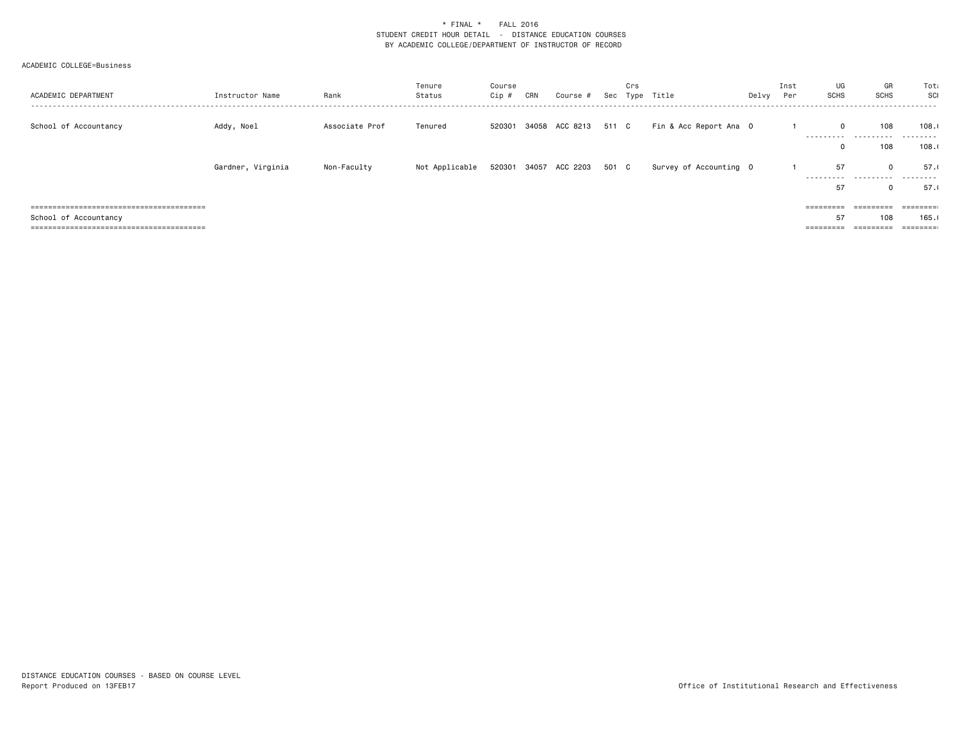| ACADEMIC DEPARTMENT   | Instructor Name   | Rank           | Tenure<br>Status | Course<br>Cip# | CRN | Course #                    | Crs | Sec Type Title         | Delvy Per | Inst | UG<br>SCHS  | GR<br>SCHS                   | Tota<br>SCI<br>. |
|-----------------------|-------------------|----------------|------------------|----------------|-----|-----------------------------|-----|------------------------|-----------|------|-------------|------------------------------|------------------|
| School of Accountancy | Addy, Noel        | Associate Prof | Tenured          | 520301         |     | 34058 ACC 8213 511 C        |     | Fin & Acc Report Ana 0 |           |      | $\mathbf 0$ | 108                          | 108.1            |
|                       |                   |                |                  |                |     |                             |     |                        |           |      |             | ---------- ----------<br>108 | .<br>108.1       |
|                       | Gardner, Virginia | Non-Faculty    | Not Applicable   |                |     | 520301 34057 ACC 2203 501 C |     | Survey of Accounting 0 |           |      | 57          | $\mathbf 0$                  | 57.1             |
|                       |                   |                |                  |                |     |                             |     |                        |           |      | 57          | <br>0                        | 57.1             |
|                       |                   |                |                  |                |     |                             |     |                        |           |      |             | $=$ = = = = = = = =          |                  |
| School of Accountancy |                   |                |                  |                |     |                             |     |                        |           |      | 57          | 108                          | 165.1            |
|                       |                   |                |                  |                |     |                             |     |                        |           |      | =========   | =========                    |                  |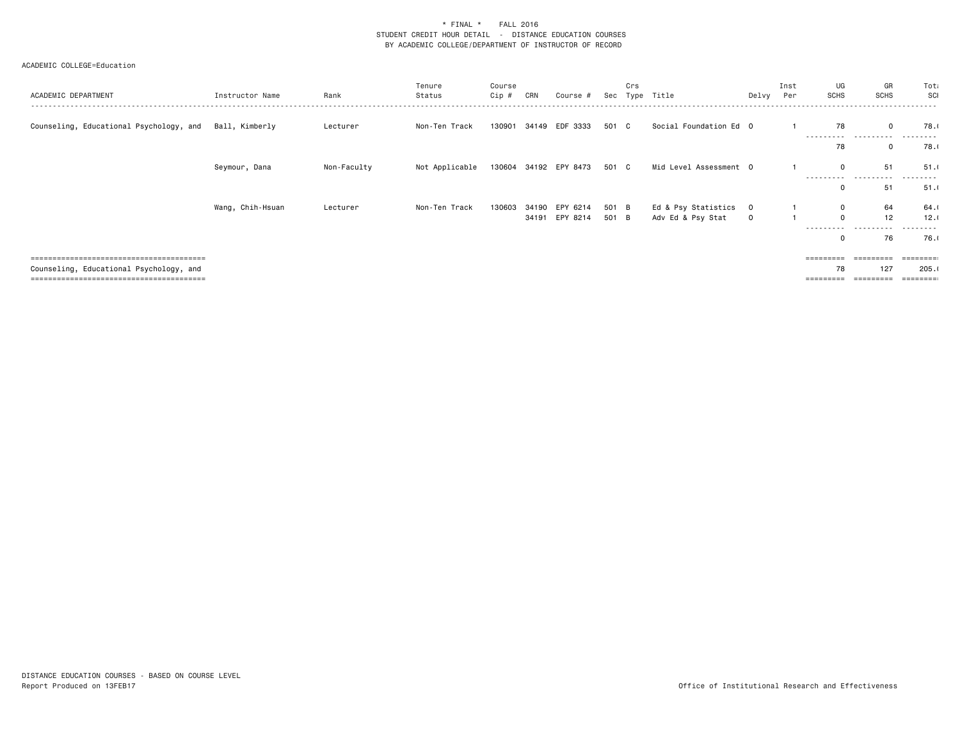| ACADEMIC DEPARTMENT                     | Instructor Name  | Rank        | Tenure<br>Status | Course<br>Cip # | CRN | Course #              |       | Crs | Sec Type Title         | Delvy Per    | Inst | UG<br><b>SCHS</b>               | GR<br><b>SCHS</b> | Tota<br>SCI       |
|-----------------------------------------|------------------|-------------|------------------|-----------------|-----|-----------------------|-------|-----|------------------------|--------------|------|---------------------------------|-------------------|-------------------|
| Counseling, Educational Psychology, and | Ball, Kimberly   | Lecturer    | Non-Ten Track    | 130901          |     | 34149 EDF 3333        | 501 C |     | Social Foundation Ed 0 |              |      | 78<br>- - - - - - - - - -       | $\Omega$<br>.     | 78.0              |
|                                         |                  |             |                  |                 |     |                       |       |     |                        |              |      | 78                              | $\mathbf 0$       | 78.1              |
|                                         | Seymour, Dana    | Non-Faculty | Not Applicable   |                 |     | 130604 34192 EPY 8473 | 501 C |     | Mid Level Assessment 0 |              |      | $\Omega$<br>- - - - - - - - - - | 51<br>.<br>.      | 51.1<br>- - - - - |
|                                         |                  |             |                  |                 |     |                       |       |     |                        |              |      | $\mathbf 0$                     | 51                | 51.1              |
|                                         | Wang, Chih-Hsuan | Lecturer    | Non-Ten Track    | 130603          |     | 34190 EPY 6214        | 501 B |     | Ed & Psy Statistics    | $\mathbf 0$  |      | $\mathbf 0$                     | 64                | 64.               |
|                                         |                  |             |                  |                 |     | 34191 EPY 8214        | 501 B |     | Adv Ed & Psy Stat      | $\mathbf{0}$ |      | $\Omega$                        | 12                | 12.1              |
|                                         |                  |             |                  |                 |     |                       |       |     |                        |              |      | ----------<br>0                 | .<br>76           | -----<br>76.0     |
|                                         |                  |             |                  |                 |     |                       |       |     |                        |              |      |                                 |                   |                   |
| Counseling, Educational Psychology, and |                  |             |                  |                 |     |                       |       |     |                        |              |      | 78                              | 127               | 205.1             |
|                                         |                  |             |                  |                 |     |                       |       |     |                        |              |      | =========                       |                   |                   |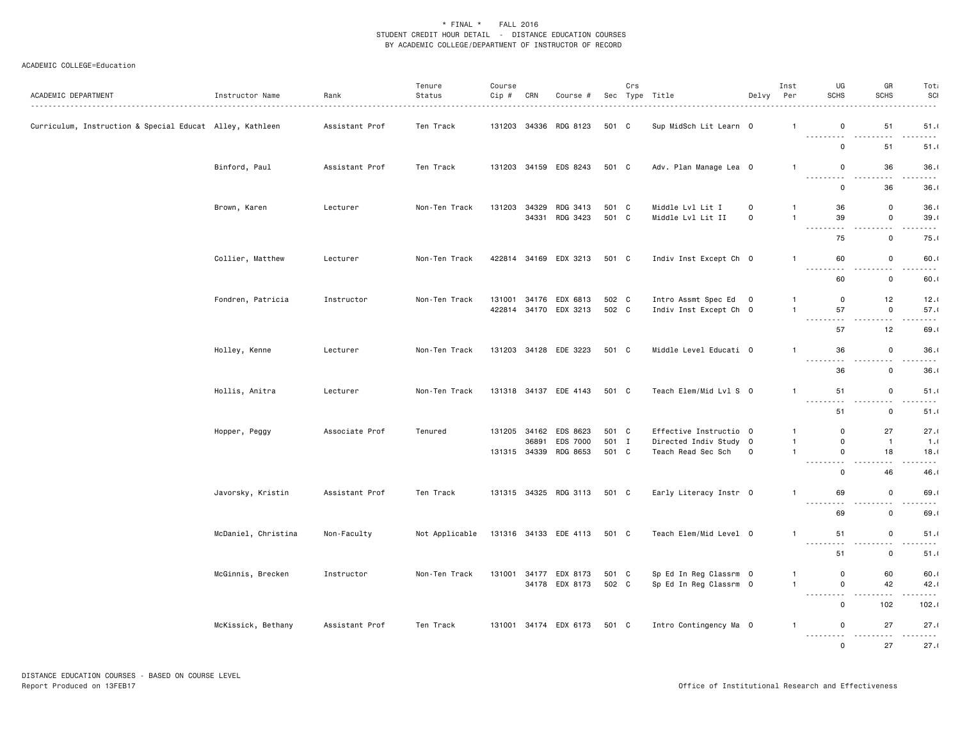| ACADEMIC DEPARTMENT                                      | Instructor Name     | Rank           | Tenure<br>Status | Course<br>$Cip \#$ | CRN   | Course #                                |                | Crs | Sec Type Title                                   | Delvy Per    | Inst                         | UG<br><b>SCHS</b>                                                                                                                                                                                                                                                                                                                                                                                                          | GR<br><b>SCHS</b>                                                                                                                                                | Tot<br>SCI                          |
|----------------------------------------------------------|---------------------|----------------|------------------|--------------------|-------|-----------------------------------------|----------------|-----|--------------------------------------------------|--------------|------------------------------|----------------------------------------------------------------------------------------------------------------------------------------------------------------------------------------------------------------------------------------------------------------------------------------------------------------------------------------------------------------------------------------------------------------------------|------------------------------------------------------------------------------------------------------------------------------------------------------------------|-------------------------------------|
| Curriculum, Instruction & Special Educat Alley, Kathleen |                     | Assistant Prof | Ten Track        |                    |       | 131203 34336 RDG 8123                   | 501 C          |     | Sup MidSch Lit Learn 0                           |              | $\mathbf{1}$                 | 0<br>.                                                                                                                                                                                                                                                                                                                                                                                                                     | 51<br>$\sim$ $\sim$ $\sim$                                                                                                                                       | 51.1<br>.                           |
|                                                          |                     |                |                  |                    |       |                                         |                |     |                                                  |              |                              | $\mathbf 0$                                                                                                                                                                                                                                                                                                                                                                                                                | 51                                                                                                                                                               | 51.1                                |
|                                                          | Binford, Paul       | Assistant Prof | Ten Track        |                    |       | 131203 34159 EDS 8243                   | 501 C          |     | Adv. Plan Manage Lea 0                           |              | $\mathbf{1}$                 | $\mathbf 0$                                                                                                                                                                                                                                                                                                                                                                                                                | 36                                                                                                                                                               | 36.1                                |
|                                                          |                     |                |                  |                    |       |                                         |                |     |                                                  |              |                              | .<br>$\mathbf 0$                                                                                                                                                                                                                                                                                                                                                                                                           | $\sim$ $\sim$ $\sim$<br>36                                                                                                                                       | .<br>36.1                           |
|                                                          |                     |                |                  | 131203             | 34329 | RDG 3413                                | 501 C          |     | Middle Lvl Lit I                                 | $\mathsf{O}$ | $\mathbf{1}$                 | 36                                                                                                                                                                                                                                                                                                                                                                                                                         | $\mathsf 0$                                                                                                                                                      | 36.1                                |
|                                                          | Brown, Karen        | Lecturer       | Non-Ten Track    |                    |       | 34331 RDG 3423                          | 501 C          |     | Middle Lvl Lit II                                | $\mathbf 0$  | $\mathbf{1}$                 | 39                                                                                                                                                                                                                                                                                                                                                                                                                         | $\mathsf 0$                                                                                                                                                      | 39.1                                |
|                                                          |                     |                |                  |                    |       |                                         |                |     |                                                  |              |                              | $\frac{1}{2} \left( \frac{1}{2} \right) \left( \frac{1}{2} \right) \left( \frac{1}{2} \right) \left( \frac{1}{2} \right)$<br>$\sim$ $\sim$ $\sim$                                                                                                                                                                                                                                                                          | .                                                                                                                                                                | $- - - -$                           |
|                                                          |                     |                |                  |                    |       |                                         |                |     |                                                  |              |                              | 75                                                                                                                                                                                                                                                                                                                                                                                                                         | $\mathbf 0$                                                                                                                                                      | 75.1                                |
|                                                          | Collier, Matthew    | Lecturer       | Non-Ten Track    |                    |       | 422814 34169 EDX 3213                   | 501 C          |     | Indiv Inst Except Ch 0                           |              | $\mathbf{1}$                 | 60<br>.                                                                                                                                                                                                                                                                                                                                                                                                                    | $\mathbf 0$<br>$\frac{1}{2}$<br>$\sim$ $\sim$                                                                                                                    | 60.1<br>.                           |
|                                                          |                     |                |                  |                    |       |                                         |                |     |                                                  |              |                              | 60                                                                                                                                                                                                                                                                                                                                                                                                                         | $\mathbf 0$                                                                                                                                                      | 60.1                                |
|                                                          | Fondren, Patricia   | Instructor     | Non-Ten Track    | 131001             |       | 34176 EDX 6813                          | 502 C          |     | Intro Assmt Spec Ed                              | $\mathbf 0$  | $\mathbf{1}$                 | 0                                                                                                                                                                                                                                                                                                                                                                                                                          | 12                                                                                                                                                               | 12.0                                |
|                                                          |                     |                |                  |                    |       | 422814 34170 EDX 3213                   | 502 C          |     | Indiv Inst Except Ch 0                           |              | $\mathbf{1}$                 | 57                                                                                                                                                                                                                                                                                                                                                                                                                         | $\mathbf 0$                                                                                                                                                      | 57.1                                |
|                                                          |                     |                |                  |                    |       |                                         |                |     |                                                  |              |                              | . <b>.</b><br>57                                                                                                                                                                                                                                                                                                                                                                                                           | $\sim$ $\sim$ $\sim$<br>12                                                                                                                                       | .<br>69.0                           |
|                                                          |                     |                |                  |                    |       |                                         |                |     |                                                  |              |                              |                                                                                                                                                                                                                                                                                                                                                                                                                            |                                                                                                                                                                  |                                     |
|                                                          | Holley, Kenne       | Lecturer       | Non-Ten Track    |                    |       | 131203 34128 EDE 3223                   | 501 C          |     | Middle Level Educati 0                           |              | $\mathbf{1}$                 | 36<br>.                                                                                                                                                                                                                                                                                                                                                                                                                    | $\mathbf 0$<br>$\frac{1}{2} \left( \frac{1}{2} \right) \left( \frac{1}{2} \right) \left( \frac{1}{2} \right) \left( \frac{1}{2} \right)$<br>$\sim$ $\sim$ $\sim$ | 36.1<br>.                           |
|                                                          |                     |                |                  |                    |       |                                         |                |     |                                                  |              |                              | 36                                                                                                                                                                                                                                                                                                                                                                                                                         | $\mathbf 0$                                                                                                                                                      | 36.1                                |
|                                                          | Hollis, Anitra      | Lecturer       | Non-Ten Track    |                    |       | 131318 34137 EDE 4143                   | 501 C          |     | Teach Elem/Mid Lvl S 0                           |              | $\mathbf{1}$                 | 51                                                                                                                                                                                                                                                                                                                                                                                                                         | $\mathbf 0$                                                                                                                                                      | 51.1<br>د د د د                     |
|                                                          |                     |                |                  |                    |       |                                         |                |     |                                                  |              |                              | $\sim$ $\sim$ $\sim$<br>الأناب<br>51                                                                                                                                                                                                                                                                                                                                                                                       | $\sim$ $\sim$<br>$\mathsf 0$                                                                                                                                     | 51.1                                |
|                                                          | Hopper, Peggy       | Associate Prof | Tenured          | 131205 34162       |       | EDS 8623                                | 501 C          |     | Effective Instructio 0                           |              | $\mathbf{1}$                 | $\mathbf 0$                                                                                                                                                                                                                                                                                                                                                                                                                | 27                                                                                                                                                               | 27.1                                |
|                                                          |                     |                |                  |                    | 36891 | EDS 7000                                | 501 I          |     | Directed Indiv Study 0                           |              | $\mathbf{1}$                 | $\mathbf 0$                                                                                                                                                                                                                                                                                                                                                                                                                | $\mathbf{1}$                                                                                                                                                     | 1.1                                 |
|                                                          |                     |                |                  |                    |       | 131315 34339 RDG 8653                   | 501 C          |     | Teach Read Sec Sch                               | 0            | $\mathbf{1}$                 | $\mathbf 0$<br>.                                                                                                                                                                                                                                                                                                                                                                                                           | 18<br>.                                                                                                                                                          | 18.1<br>$\sim$ $\sim$ $\sim$ $\sim$ |
|                                                          |                     |                |                  |                    |       |                                         |                |     |                                                  |              |                              | $\mathbf 0$                                                                                                                                                                                                                                                                                                                                                                                                                | 46                                                                                                                                                               | 46.1                                |
|                                                          | Javorsky, Kristin   | Assistant Prof | Ten Track        |                    |       | 131315 34325 RDG 3113                   | 501 C          |     | Early Literacy Instr 0                           |              | $\mathbf{1}$                 | 69                                                                                                                                                                                                                                                                                                                                                                                                                         | $\mathbf 0$                                                                                                                                                      | 69.1                                |
|                                                          |                     |                |                  |                    |       |                                         |                |     |                                                  |              |                              | .<br>69                                                                                                                                                                                                                                                                                                                                                                                                                    | $\sim$ $\sim$ $\sim$<br>$\mathbf 0$                                                                                                                              | .<br>69.0                           |
|                                                          | McDaniel, Christina | Non-Faculty    | Not Applicable   |                    |       | 131316  34133  EDE  4113                | 501 C          |     | Teach Elem/Mid Level 0                           |              | $\mathbf{1}$                 | 51                                                                                                                                                                                                                                                                                                                                                                                                                         | $\mathsf 0$                                                                                                                                                      | 51.1                                |
|                                                          |                     |                |                  |                    |       |                                         |                |     |                                                  |              |                              | $\sim$ $\sim$ $\sim$<br>$\frac{1}{2} \frac{1}{2} \frac{1}{2} \frac{1}{2} \frac{1}{2} \frac{1}{2} \frac{1}{2} \frac{1}{2} \frac{1}{2} \frac{1}{2} \frac{1}{2} \frac{1}{2} \frac{1}{2} \frac{1}{2} \frac{1}{2} \frac{1}{2} \frac{1}{2} \frac{1}{2} \frac{1}{2} \frac{1}{2} \frac{1}{2} \frac{1}{2} \frac{1}{2} \frac{1}{2} \frac{1}{2} \frac{1}{2} \frac{1}{2} \frac{1}{2} \frac{1}{2} \frac{1}{2} \frac{1}{2} \frac{$<br>51 | $\sim$ $\sim$<br>$\mathbf 0$                                                                                                                                     | 51.1                                |
|                                                          |                     |                |                  |                    |       |                                         |                |     |                                                  |              |                              |                                                                                                                                                                                                                                                                                                                                                                                                                            |                                                                                                                                                                  |                                     |
|                                                          | McGinnis, Brecken   | Instructor     | Non-Ten Track    |                    |       | 131001 34177 EDX 8173<br>34178 EDX 8173 | 501 C<br>502 C |     | Sp Ed In Reg Classrm 0<br>Sp Ed In Reg Classrm 0 |              | $\mathbf{1}$<br>$\mathbf{1}$ | 0<br>$\mathbf 0$                                                                                                                                                                                                                                                                                                                                                                                                           | 60<br>42                                                                                                                                                         | 60.1<br>42.1                        |
|                                                          |                     |                |                  |                    |       |                                         |                |     |                                                  |              |                              | ---------                                                                                                                                                                                                                                                                                                                                                                                                                  | $\sim$ $\sim$ $\sim$                                                                                                                                             | -----                               |
|                                                          |                     |                |                  |                    |       |                                         |                |     |                                                  |              |                              | $\mathbf 0$                                                                                                                                                                                                                                                                                                                                                                                                                | 102                                                                                                                                                              | 102.1                               |
|                                                          | McKissick, Bethany  | Assistant Prof | Ten Track        | 131001             |       | 34174 EDX 6173                          | 501 C          |     | Intro Contingency Ma 0                           |              | $\mathbf{1}$                 | 0                                                                                                                                                                                                                                                                                                                                                                                                                          | 27                                                                                                                                                               | 27.1                                |
|                                                          |                     |                |                  |                    |       |                                         |                |     |                                                  |              |                              | .<br>$\Omega$                                                                                                                                                                                                                                                                                                                                                                                                              | 27                                                                                                                                                               | <b></b><br>27.1                     |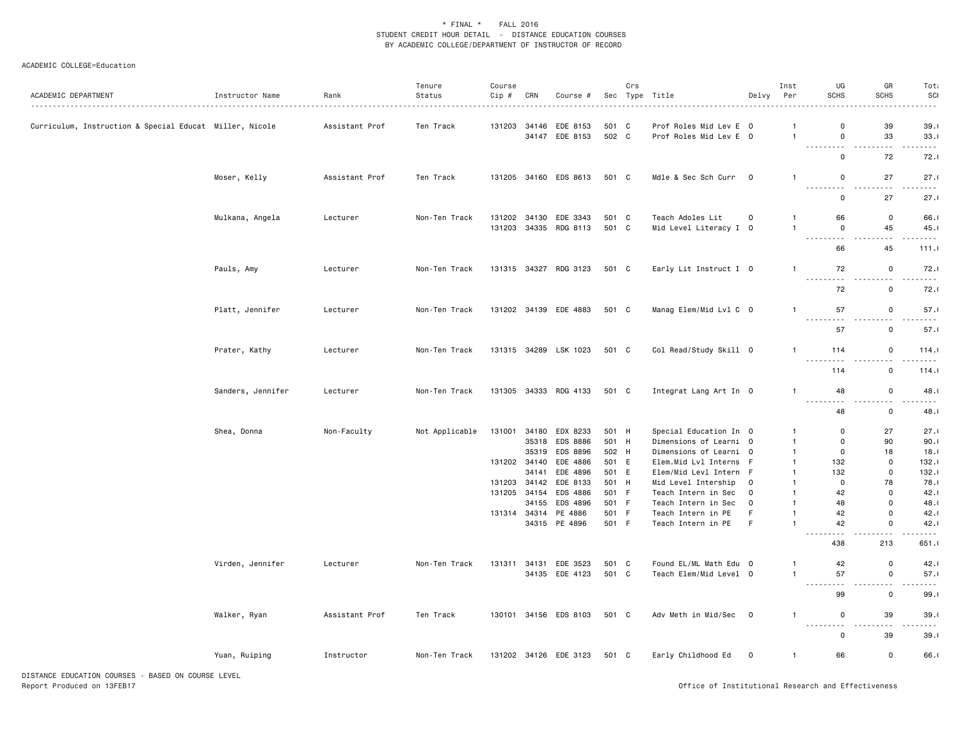#### ACADEMIC COLLEGE=Education

| 39<br>131203 34146<br>EDE 8153<br>501 C<br>Prof Roles Mid Lev E 0<br>$\Omega$<br>Curriculum, Instruction & Special Educat Miller, Nicole<br>Assistant Prof<br>Ten Track<br>ា<br>34147 EDE 8153<br>502 C<br>Prof Roles Mid Lev E 0<br>33<br>$\mathbf 0$<br>$\overline{1}$<br>$\sim$<br>$\omega$ is $\omega$ in<br>$\sim$ $\sim$ $\sim$<br>$\sim$ $\sim$<br>72<br>0<br>Moser, Kelly<br>Assistant Prof<br>Ten Track<br>131205 34160 EDS 8613<br>501 C<br>Mdle & Sec Sch Curr 0<br>$\mathbf 0$<br>27<br>$\mathbf{1}$<br>.<br>$\sim$ $\sim$ $\sim$<br>.<br>$\mathbf 0$<br>27<br>66<br>$\mathbf 0$<br>Mulkana, Angela<br>Lecturer<br>Non-Ten Track<br>131202 34130 EDE 3343<br>501 C<br>Teach Adoles Lit<br>0<br>$\mathbf{1}$<br>34335 RDG 8113<br>501 C<br>Mid Level Literacy I 0<br>$\mathbf 0$<br>45<br>131203<br>45.1<br>.<br>.<br>.<br>45<br>66<br>131315 34327 RDG 3123<br>Early Lit Instruct I 0<br>72<br>$\mathbf 0$<br>Pauls, Amy<br>Lecturer<br>Non-Ten Track<br>501 C<br>$\mathbf{1}$<br>.<br>.<br>72<br>$\mathbf 0$<br>57<br>131202 34139 EDE 4883<br>501 C<br>Manag Elem/Mid Lvl C 0<br>$\mathbf 0$<br>Platt, Jennifer<br>Lecturer<br>Non-Ten Track<br>$\mathbf{1}$<br>57<br>$\mathbf 0$<br>Prater, Kathy<br>131315 34289 LSK 1023<br>501 C<br>Col Read/Study Skill 0<br>114<br>$\mathbf 0$<br>Lecturer<br>Non-Ten Track<br>$\mathbf{1}$<br>.<br>.<br>.<br>114<br>$\mathbf 0$<br>131305 34333 RDG 4133<br>48<br>$\mathbf 0$<br>Sanders, Jennifer<br>Lecturer<br>Non-Ten Track<br>501 C<br>Integrat Lang Art In 0<br>$\mathbf{1}$<br>.<br>$\sim$ $\sim$<br>$\overline{\phantom{a}}$<br>.<br>48<br>$\mathbf 0$<br>Shea, Donna<br>Non-Faculty<br>Not Applicable<br>131001 34180<br>EDX 8233<br>501 H<br>Special Education In 0<br>$\mathbf 0$<br>27<br>$\mathbf{1}$<br>35318<br>EDS 8886<br>501 H<br>Dimensions of Learni 0<br>$\mathbf 0$<br>90<br>$\mathbf{1}$<br>502 H<br>35319<br>EDS 8896<br>Dimensions of Learni 0<br>$\mathbf 0$<br>18<br>18.1<br>-1<br>131202 34140<br>EDE 4886<br>501 E<br>Elem.Mid Lvl Interns<br>132<br>$\mathbf 0$<br>132.1<br>-F<br>$\mathbf{1}$<br>$\mathbf 0$<br>34141<br>EDE 4896<br>501 E<br>132<br>132.1<br>Elem/Mid Levl Intern<br>-F<br>$\mathbf{1}$<br>131203 34142<br>EDE 8133<br>$\mathbf 0$<br>501<br>H<br>Mid Level Intership<br>0<br>78<br>78.0<br>$\mathbf{1}$<br>131205 34154<br>EDS 4886<br>501<br>$\mathbf 0$<br>- F<br>Teach Intern in Sec<br>42<br>42.1<br>$\mathbf 0$<br>$\mathbf{1}$<br>34155<br>EDS 4896<br>501 F<br>$\mathbf 0$<br>48.1<br>Teach Intern in Sec<br>$\mathbf 0$<br>48<br>$\mathbf{1}$<br>501 F<br>$\Omega$<br>131314 34314 PE 4886<br>Teach Intern in PE<br>42<br>42.1<br>F<br>$\mathbf{1}$<br>34315 PE 4896<br>501 F<br>Teach Intern in PE<br>E<br>42<br>$\mathbf 0$<br>$\overline{1}$<br>$\sim$ $\sim$ $\sim$<br>.<br>$- - - -$<br>213<br>438<br>42<br>$\mathbf 0$<br>Virden, Jennifer<br>131311 34131 EDE 3523<br>501 C<br>Found EL/ML Math Edu 0<br>Lecturer<br>Non-Ten Track<br>$\mathbf{1}$<br>501 C<br>57<br>$\mathbf 0$<br>34135 EDE 4123<br>Teach Elem/Mid Level 0<br>$\mathbf{1}$<br>.<br>$\overline{a}$<br>$\sim$ $\sim$ $\sim$<br>$\mathbf 0$<br>99<br>Walker, Ryan<br>Assistant Prof<br>Ten Track<br>130101 34156 EDS 8103<br>501 C<br>Adv Meth in Mid/Sec 0<br>$\mathbf 0$<br>39<br>-1<br><u>.</u><br>$\sim$ $\sim$ $\sim$<br>.<br>39<br>0<br>Early Childhood Ed<br>66<br>$\mathbf 0$<br>Yuan, Ruiping<br>Instructor<br>Non-Ten Track<br>131202 34126 EDE 3123<br>501 C<br>$\overline{0}$<br>$\mathbf{1}$ | ACADEMIC DEPARTMENT | Instructor Name | Rank | Tenure<br>Status | Course<br>Cip # | CRN | Course # | Crs | Sec Type Title | Delvy | Inst<br>Per | UG<br>SCHS | GR<br>SCHS | Tota<br>SCI<br>. |
|-----------------------------------------------------------------------------------------------------------------------------------------------------------------------------------------------------------------------------------------------------------------------------------------------------------------------------------------------------------------------------------------------------------------------------------------------------------------------------------------------------------------------------------------------------------------------------------------------------------------------------------------------------------------------------------------------------------------------------------------------------------------------------------------------------------------------------------------------------------------------------------------------------------------------------------------------------------------------------------------------------------------------------------------------------------------------------------------------------------------------------------------------------------------------------------------------------------------------------------------------------------------------------------------------------------------------------------------------------------------------------------------------------------------------------------------------------------------------------------------------------------------------------------------------------------------------------------------------------------------------------------------------------------------------------------------------------------------------------------------------------------------------------------------------------------------------------------------------------------------------------------------------------------------------------------------------------------------------------------------------------------------------------------------------------------------------------------------------------------------------------------------------------------------------------------------------------------------------------------------------------------------------------------------------------------------------------------------------------------------------------------------------------------------------------------------------------------------------------------------------------------------------------------------------------------------------------------------------------------------------------------------------------------------------------------------------------------------------------------------------------------------------------------------------------------------------------------------------------------------------------------------------------------------------------------------------------------------------------------------------------------------------------------------------------------------------------------------------------------------------------------------------------------------------------------------------------------------------------------------------------------------------------------------------------------------------------------------------------------------------------------------------------------------------------------------------------------------------------------------------|---------------------|-----------------|------|------------------|-----------------|-----|----------|-----|----------------|-------|-------------|------------|------------|------------------|
|                                                                                                                                                                                                                                                                                                                                                                                                                                                                                                                                                                                                                                                                                                                                                                                                                                                                                                                                                                                                                                                                                                                                                                                                                                                                                                                                                                                                                                                                                                                                                                                                                                                                                                                                                                                                                                                                                                                                                                                                                                                                                                                                                                                                                                                                                                                                                                                                                                                                                                                                                                                                                                                                                                                                                                                                                                                                                                                                                                                                                                                                                                                                                                                                                                                                                                                                                                                                                                                                                               |                     |                 |      |                  |                 |     |          |     |                |       |             |            |            | 39.1<br>33.1     |
|                                                                                                                                                                                                                                                                                                                                                                                                                                                                                                                                                                                                                                                                                                                                                                                                                                                                                                                                                                                                                                                                                                                                                                                                                                                                                                                                                                                                                                                                                                                                                                                                                                                                                                                                                                                                                                                                                                                                                                                                                                                                                                                                                                                                                                                                                                                                                                                                                                                                                                                                                                                                                                                                                                                                                                                                                                                                                                                                                                                                                                                                                                                                                                                                                                                                                                                                                                                                                                                                                               |                     |                 |      |                  |                 |     |          |     |                |       |             |            |            | 72.1             |
|                                                                                                                                                                                                                                                                                                                                                                                                                                                                                                                                                                                                                                                                                                                                                                                                                                                                                                                                                                                                                                                                                                                                                                                                                                                                                                                                                                                                                                                                                                                                                                                                                                                                                                                                                                                                                                                                                                                                                                                                                                                                                                                                                                                                                                                                                                                                                                                                                                                                                                                                                                                                                                                                                                                                                                                                                                                                                                                                                                                                                                                                                                                                                                                                                                                                                                                                                                                                                                                                                               |                     |                 |      |                  |                 |     |          |     |                |       |             |            |            | 27.1             |
|                                                                                                                                                                                                                                                                                                                                                                                                                                                                                                                                                                                                                                                                                                                                                                                                                                                                                                                                                                                                                                                                                                                                                                                                                                                                                                                                                                                                                                                                                                                                                                                                                                                                                                                                                                                                                                                                                                                                                                                                                                                                                                                                                                                                                                                                                                                                                                                                                                                                                                                                                                                                                                                                                                                                                                                                                                                                                                                                                                                                                                                                                                                                                                                                                                                                                                                                                                                                                                                                                               |                     |                 |      |                  |                 |     |          |     |                |       |             |            |            | 27.1             |
|                                                                                                                                                                                                                                                                                                                                                                                                                                                                                                                                                                                                                                                                                                                                                                                                                                                                                                                                                                                                                                                                                                                                                                                                                                                                                                                                                                                                                                                                                                                                                                                                                                                                                                                                                                                                                                                                                                                                                                                                                                                                                                                                                                                                                                                                                                                                                                                                                                                                                                                                                                                                                                                                                                                                                                                                                                                                                                                                                                                                                                                                                                                                                                                                                                                                                                                                                                                                                                                                                               |                     |                 |      |                  |                 |     |          |     |                |       |             |            |            | 66.              |
|                                                                                                                                                                                                                                                                                                                                                                                                                                                                                                                                                                                                                                                                                                                                                                                                                                                                                                                                                                                                                                                                                                                                                                                                                                                                                                                                                                                                                                                                                                                                                                                                                                                                                                                                                                                                                                                                                                                                                                                                                                                                                                                                                                                                                                                                                                                                                                                                                                                                                                                                                                                                                                                                                                                                                                                                                                                                                                                                                                                                                                                                                                                                                                                                                                                                                                                                                                                                                                                                                               |                     |                 |      |                  |                 |     |          |     |                |       |             |            |            | 111.0            |
|                                                                                                                                                                                                                                                                                                                                                                                                                                                                                                                                                                                                                                                                                                                                                                                                                                                                                                                                                                                                                                                                                                                                                                                                                                                                                                                                                                                                                                                                                                                                                                                                                                                                                                                                                                                                                                                                                                                                                                                                                                                                                                                                                                                                                                                                                                                                                                                                                                                                                                                                                                                                                                                                                                                                                                                                                                                                                                                                                                                                                                                                                                                                                                                                                                                                                                                                                                                                                                                                                               |                     |                 |      |                  |                 |     |          |     |                |       |             |            |            | 72.1             |
|                                                                                                                                                                                                                                                                                                                                                                                                                                                                                                                                                                                                                                                                                                                                                                                                                                                                                                                                                                                                                                                                                                                                                                                                                                                                                                                                                                                                                                                                                                                                                                                                                                                                                                                                                                                                                                                                                                                                                                                                                                                                                                                                                                                                                                                                                                                                                                                                                                                                                                                                                                                                                                                                                                                                                                                                                                                                                                                                                                                                                                                                                                                                                                                                                                                                                                                                                                                                                                                                                               |                     |                 |      |                  |                 |     |          |     |                |       |             |            |            | 72.1             |
|                                                                                                                                                                                                                                                                                                                                                                                                                                                                                                                                                                                                                                                                                                                                                                                                                                                                                                                                                                                                                                                                                                                                                                                                                                                                                                                                                                                                                                                                                                                                                                                                                                                                                                                                                                                                                                                                                                                                                                                                                                                                                                                                                                                                                                                                                                                                                                                                                                                                                                                                                                                                                                                                                                                                                                                                                                                                                                                                                                                                                                                                                                                                                                                                                                                                                                                                                                                                                                                                                               |                     |                 |      |                  |                 |     |          |     |                |       |             |            |            | 57.1             |
|                                                                                                                                                                                                                                                                                                                                                                                                                                                                                                                                                                                                                                                                                                                                                                                                                                                                                                                                                                                                                                                                                                                                                                                                                                                                                                                                                                                                                                                                                                                                                                                                                                                                                                                                                                                                                                                                                                                                                                                                                                                                                                                                                                                                                                                                                                                                                                                                                                                                                                                                                                                                                                                                                                                                                                                                                                                                                                                                                                                                                                                                                                                                                                                                                                                                                                                                                                                                                                                                                               |                     |                 |      |                  |                 |     |          |     |                |       |             |            |            | 57.1             |
|                                                                                                                                                                                                                                                                                                                                                                                                                                                                                                                                                                                                                                                                                                                                                                                                                                                                                                                                                                                                                                                                                                                                                                                                                                                                                                                                                                                                                                                                                                                                                                                                                                                                                                                                                                                                                                                                                                                                                                                                                                                                                                                                                                                                                                                                                                                                                                                                                                                                                                                                                                                                                                                                                                                                                                                                                                                                                                                                                                                                                                                                                                                                                                                                                                                                                                                                                                                                                                                                                               |                     |                 |      |                  |                 |     |          |     |                |       |             |            |            | 114.0            |
|                                                                                                                                                                                                                                                                                                                                                                                                                                                                                                                                                                                                                                                                                                                                                                                                                                                                                                                                                                                                                                                                                                                                                                                                                                                                                                                                                                                                                                                                                                                                                                                                                                                                                                                                                                                                                                                                                                                                                                                                                                                                                                                                                                                                                                                                                                                                                                                                                                                                                                                                                                                                                                                                                                                                                                                                                                                                                                                                                                                                                                                                                                                                                                                                                                                                                                                                                                                                                                                                                               |                     |                 |      |                  |                 |     |          |     |                |       |             |            |            | 114.0            |
|                                                                                                                                                                                                                                                                                                                                                                                                                                                                                                                                                                                                                                                                                                                                                                                                                                                                                                                                                                                                                                                                                                                                                                                                                                                                                                                                                                                                                                                                                                                                                                                                                                                                                                                                                                                                                                                                                                                                                                                                                                                                                                                                                                                                                                                                                                                                                                                                                                                                                                                                                                                                                                                                                                                                                                                                                                                                                                                                                                                                                                                                                                                                                                                                                                                                                                                                                                                                                                                                                               |                     |                 |      |                  |                 |     |          |     |                |       |             |            |            | 48.1             |
|                                                                                                                                                                                                                                                                                                                                                                                                                                                                                                                                                                                                                                                                                                                                                                                                                                                                                                                                                                                                                                                                                                                                                                                                                                                                                                                                                                                                                                                                                                                                                                                                                                                                                                                                                                                                                                                                                                                                                                                                                                                                                                                                                                                                                                                                                                                                                                                                                                                                                                                                                                                                                                                                                                                                                                                                                                                                                                                                                                                                                                                                                                                                                                                                                                                                                                                                                                                                                                                                                               |                     |                 |      |                  |                 |     |          |     |                |       |             |            |            | 48.1             |
|                                                                                                                                                                                                                                                                                                                                                                                                                                                                                                                                                                                                                                                                                                                                                                                                                                                                                                                                                                                                                                                                                                                                                                                                                                                                                                                                                                                                                                                                                                                                                                                                                                                                                                                                                                                                                                                                                                                                                                                                                                                                                                                                                                                                                                                                                                                                                                                                                                                                                                                                                                                                                                                                                                                                                                                                                                                                                                                                                                                                                                                                                                                                                                                                                                                                                                                                                                                                                                                                                               |                     |                 |      |                  |                 |     |          |     |                |       |             |            |            | 27.1             |
|                                                                                                                                                                                                                                                                                                                                                                                                                                                                                                                                                                                                                                                                                                                                                                                                                                                                                                                                                                                                                                                                                                                                                                                                                                                                                                                                                                                                                                                                                                                                                                                                                                                                                                                                                                                                                                                                                                                                                                                                                                                                                                                                                                                                                                                                                                                                                                                                                                                                                                                                                                                                                                                                                                                                                                                                                                                                                                                                                                                                                                                                                                                                                                                                                                                                                                                                                                                                                                                                                               |                     |                 |      |                  |                 |     |          |     |                |       |             |            |            | 90.1             |
|                                                                                                                                                                                                                                                                                                                                                                                                                                                                                                                                                                                                                                                                                                                                                                                                                                                                                                                                                                                                                                                                                                                                                                                                                                                                                                                                                                                                                                                                                                                                                                                                                                                                                                                                                                                                                                                                                                                                                                                                                                                                                                                                                                                                                                                                                                                                                                                                                                                                                                                                                                                                                                                                                                                                                                                                                                                                                                                                                                                                                                                                                                                                                                                                                                                                                                                                                                                                                                                                                               |                     |                 |      |                  |                 |     |          |     |                |       |             |            |            |                  |
|                                                                                                                                                                                                                                                                                                                                                                                                                                                                                                                                                                                                                                                                                                                                                                                                                                                                                                                                                                                                                                                                                                                                                                                                                                                                                                                                                                                                                                                                                                                                                                                                                                                                                                                                                                                                                                                                                                                                                                                                                                                                                                                                                                                                                                                                                                                                                                                                                                                                                                                                                                                                                                                                                                                                                                                                                                                                                                                                                                                                                                                                                                                                                                                                                                                                                                                                                                                                                                                                                               |                     |                 |      |                  |                 |     |          |     |                |       |             |            |            |                  |
|                                                                                                                                                                                                                                                                                                                                                                                                                                                                                                                                                                                                                                                                                                                                                                                                                                                                                                                                                                                                                                                                                                                                                                                                                                                                                                                                                                                                                                                                                                                                                                                                                                                                                                                                                                                                                                                                                                                                                                                                                                                                                                                                                                                                                                                                                                                                                                                                                                                                                                                                                                                                                                                                                                                                                                                                                                                                                                                                                                                                                                                                                                                                                                                                                                                                                                                                                                                                                                                                                               |                     |                 |      |                  |                 |     |          |     |                |       |             |            |            |                  |
|                                                                                                                                                                                                                                                                                                                                                                                                                                                                                                                                                                                                                                                                                                                                                                                                                                                                                                                                                                                                                                                                                                                                                                                                                                                                                                                                                                                                                                                                                                                                                                                                                                                                                                                                                                                                                                                                                                                                                                                                                                                                                                                                                                                                                                                                                                                                                                                                                                                                                                                                                                                                                                                                                                                                                                                                                                                                                                                                                                                                                                                                                                                                                                                                                                                                                                                                                                                                                                                                                               |                     |                 |      |                  |                 |     |          |     |                |       |             |            |            |                  |
|                                                                                                                                                                                                                                                                                                                                                                                                                                                                                                                                                                                                                                                                                                                                                                                                                                                                                                                                                                                                                                                                                                                                                                                                                                                                                                                                                                                                                                                                                                                                                                                                                                                                                                                                                                                                                                                                                                                                                                                                                                                                                                                                                                                                                                                                                                                                                                                                                                                                                                                                                                                                                                                                                                                                                                                                                                                                                                                                                                                                                                                                                                                                                                                                                                                                                                                                                                                                                                                                                               |                     |                 |      |                  |                 |     |          |     |                |       |             |            |            |                  |
|                                                                                                                                                                                                                                                                                                                                                                                                                                                                                                                                                                                                                                                                                                                                                                                                                                                                                                                                                                                                                                                                                                                                                                                                                                                                                                                                                                                                                                                                                                                                                                                                                                                                                                                                                                                                                                                                                                                                                                                                                                                                                                                                                                                                                                                                                                                                                                                                                                                                                                                                                                                                                                                                                                                                                                                                                                                                                                                                                                                                                                                                                                                                                                                                                                                                                                                                                                                                                                                                                               |                     |                 |      |                  |                 |     |          |     |                |       |             |            |            |                  |
|                                                                                                                                                                                                                                                                                                                                                                                                                                                                                                                                                                                                                                                                                                                                                                                                                                                                                                                                                                                                                                                                                                                                                                                                                                                                                                                                                                                                                                                                                                                                                                                                                                                                                                                                                                                                                                                                                                                                                                                                                                                                                                                                                                                                                                                                                                                                                                                                                                                                                                                                                                                                                                                                                                                                                                                                                                                                                                                                                                                                                                                                                                                                                                                                                                                                                                                                                                                                                                                                                               |                     |                 |      |                  |                 |     |          |     |                |       |             |            |            | 42.1             |
|                                                                                                                                                                                                                                                                                                                                                                                                                                                                                                                                                                                                                                                                                                                                                                                                                                                                                                                                                                                                                                                                                                                                                                                                                                                                                                                                                                                                                                                                                                                                                                                                                                                                                                                                                                                                                                                                                                                                                                                                                                                                                                                                                                                                                                                                                                                                                                                                                                                                                                                                                                                                                                                                                                                                                                                                                                                                                                                                                                                                                                                                                                                                                                                                                                                                                                                                                                                                                                                                                               |                     |                 |      |                  |                 |     |          |     |                |       |             |            |            | 651.             |
|                                                                                                                                                                                                                                                                                                                                                                                                                                                                                                                                                                                                                                                                                                                                                                                                                                                                                                                                                                                                                                                                                                                                                                                                                                                                                                                                                                                                                                                                                                                                                                                                                                                                                                                                                                                                                                                                                                                                                                                                                                                                                                                                                                                                                                                                                                                                                                                                                                                                                                                                                                                                                                                                                                                                                                                                                                                                                                                                                                                                                                                                                                                                                                                                                                                                                                                                                                                                                                                                                               |                     |                 |      |                  |                 |     |          |     |                |       |             |            |            | 42.1             |
|                                                                                                                                                                                                                                                                                                                                                                                                                                                                                                                                                                                                                                                                                                                                                                                                                                                                                                                                                                                                                                                                                                                                                                                                                                                                                                                                                                                                                                                                                                                                                                                                                                                                                                                                                                                                                                                                                                                                                                                                                                                                                                                                                                                                                                                                                                                                                                                                                                                                                                                                                                                                                                                                                                                                                                                                                                                                                                                                                                                                                                                                                                                                                                                                                                                                                                                                                                                                                                                                                               |                     |                 |      |                  |                 |     |          |     |                |       |             |            |            | 57.1             |
|                                                                                                                                                                                                                                                                                                                                                                                                                                                                                                                                                                                                                                                                                                                                                                                                                                                                                                                                                                                                                                                                                                                                                                                                                                                                                                                                                                                                                                                                                                                                                                                                                                                                                                                                                                                                                                                                                                                                                                                                                                                                                                                                                                                                                                                                                                                                                                                                                                                                                                                                                                                                                                                                                                                                                                                                                                                                                                                                                                                                                                                                                                                                                                                                                                                                                                                                                                                                                                                                                               |                     |                 |      |                  |                 |     |          |     |                |       |             |            |            | 99.1             |
|                                                                                                                                                                                                                                                                                                                                                                                                                                                                                                                                                                                                                                                                                                                                                                                                                                                                                                                                                                                                                                                                                                                                                                                                                                                                                                                                                                                                                                                                                                                                                                                                                                                                                                                                                                                                                                                                                                                                                                                                                                                                                                                                                                                                                                                                                                                                                                                                                                                                                                                                                                                                                                                                                                                                                                                                                                                                                                                                                                                                                                                                                                                                                                                                                                                                                                                                                                                                                                                                                               |                     |                 |      |                  |                 |     |          |     |                |       |             |            |            | 39.1             |
|                                                                                                                                                                                                                                                                                                                                                                                                                                                                                                                                                                                                                                                                                                                                                                                                                                                                                                                                                                                                                                                                                                                                                                                                                                                                                                                                                                                                                                                                                                                                                                                                                                                                                                                                                                                                                                                                                                                                                                                                                                                                                                                                                                                                                                                                                                                                                                                                                                                                                                                                                                                                                                                                                                                                                                                                                                                                                                                                                                                                                                                                                                                                                                                                                                                                                                                                                                                                                                                                                               |                     |                 |      |                  |                 |     |          |     |                |       |             |            |            | 39.1             |
|                                                                                                                                                                                                                                                                                                                                                                                                                                                                                                                                                                                                                                                                                                                                                                                                                                                                                                                                                                                                                                                                                                                                                                                                                                                                                                                                                                                                                                                                                                                                                                                                                                                                                                                                                                                                                                                                                                                                                                                                                                                                                                                                                                                                                                                                                                                                                                                                                                                                                                                                                                                                                                                                                                                                                                                                                                                                                                                                                                                                                                                                                                                                                                                                                                                                                                                                                                                                                                                                                               |                     |                 |      |                  |                 |     |          |     |                |       |             |            |            | 66.              |

DISTANCE EDUCATION COURSES - BASED ON COURSE LEVEL Report Produced on 13FEB17 Office of Institutional Research and Effectiveness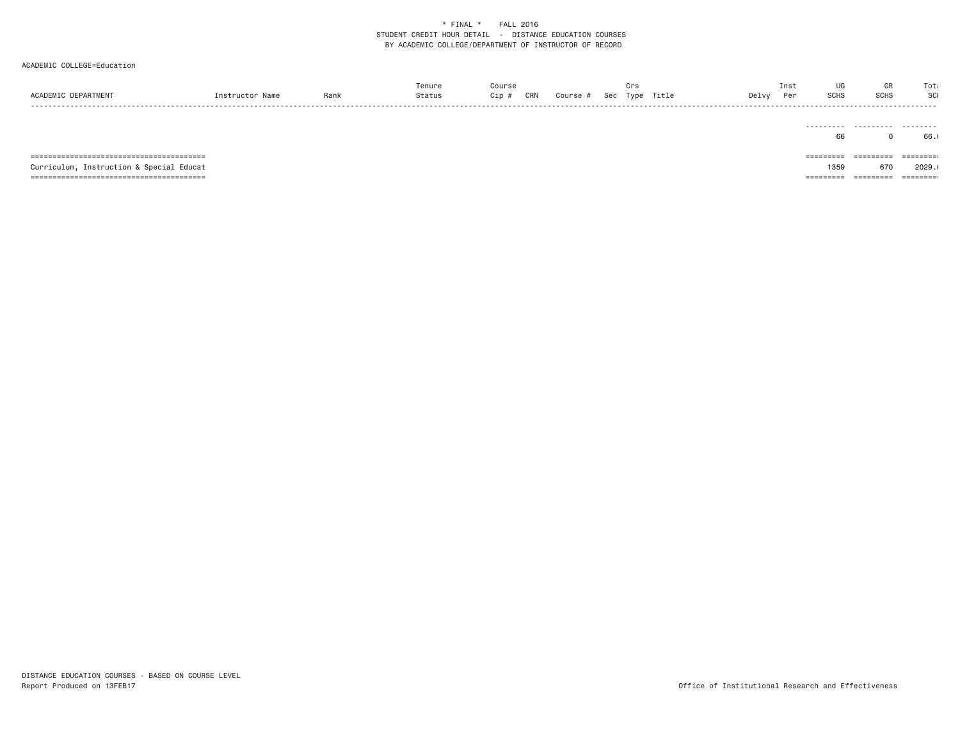| ACADEMIC DEPARTMENT                         | Instructor Name | Rank | Tenure<br>Status | Course<br>Cip # | CRN | Course # | Crs<br>Sec Type Title |  | Delvy | UG<br>Inst<br><b>SCHS</b><br>Per                                            | GR<br><b>SCHS</b> | Tota<br>SCI<br>- - - - - |
|---------------------------------------------|-----------------|------|------------------|-----------------|-----|----------|-----------------------|--|-------|-----------------------------------------------------------------------------|-------------------|--------------------------|
|                                             |                 |      |                  |                 |     |          |                       |  |       | 66                                                                          |                   | 66.                      |
|                                             |                 |      |                  |                 |     |          |                       |  |       | $=$ = = = = = = = =                                                         | =========         | =========                |
| Instruction & Special Educat<br>Curriculum, |                 |      |                  |                 |     |          |                       |  |       | 1359                                                                        | 670               | 2029.1                   |
|                                             |                 |      |                  |                 |     |          |                       |  |       | $\begin{array}{cccccccccc} = & = & = & = & = & = & = & = & = & \end{array}$ | =========         | ========                 |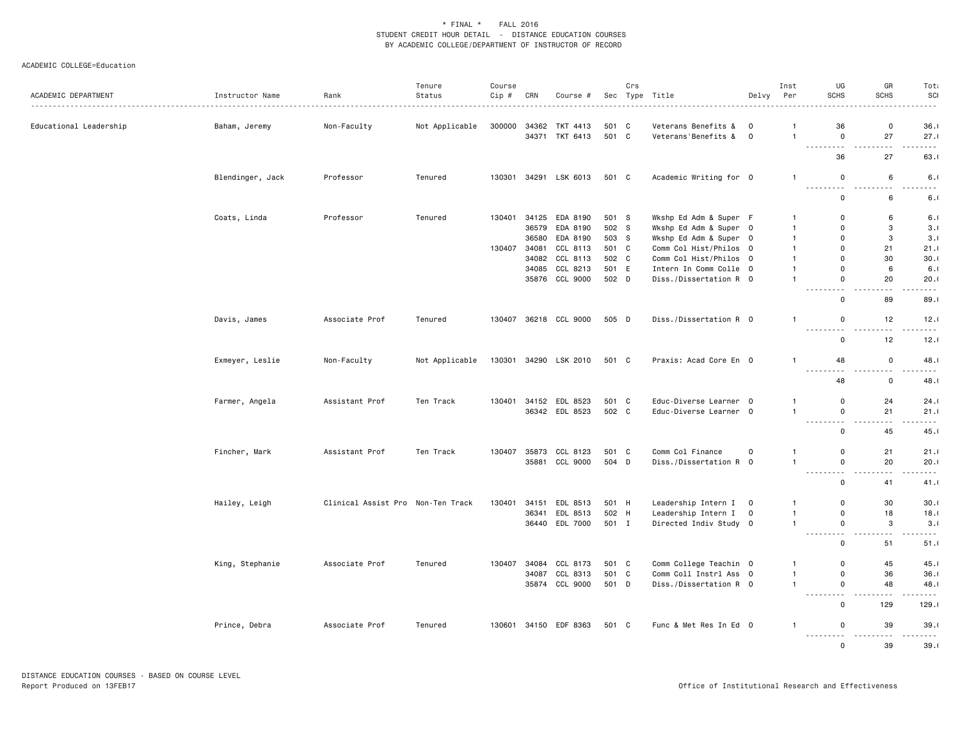| ACADEMIC DEPARTMENT    | Instructor Name  | Rank                              | Tenure<br>Status | Course<br>Cip # | CRN   | Course #              |       | Crs | Sec Type Title         | Delvy                   | Inst<br>Per                    | UG<br><b>SCHS</b>                                                                                                                                   | GR<br><b>SCHS</b>                              | Tota<br>SCI                                                                                                                      |
|------------------------|------------------|-----------------------------------|------------------|-----------------|-------|-----------------------|-------|-----|------------------------|-------------------------|--------------------------------|-----------------------------------------------------------------------------------------------------------------------------------------------------|------------------------------------------------|----------------------------------------------------------------------------------------------------------------------------------|
|                        |                  | .                                 |                  |                 |       |                       |       |     | .                      |                         |                                |                                                                                                                                                     |                                                | .                                                                                                                                |
| Educational Leadership | Baham, Jeremy    | Non-Faculty                       | Not Applicable   | 300000          | 34362 | TKT 4413              | 501 C |     | Veterans Benefits &    | $\mathbf 0$             | -1                             | 36                                                                                                                                                  | 0                                              | 36.1                                                                                                                             |
|                        |                  |                                   |                  |                 |       | 34371 TKT 6413        | 501 C |     | Veterans'Benefits &    | $\circ$                 | $\mathbf{1}$                   | $\mathbf 0$<br>$- - -$                                                                                                                              | 27<br>- - -                                    | 27.1<br>.                                                                                                                        |
|                        |                  |                                   |                  |                 |       |                       |       |     |                        |                         |                                | 36                                                                                                                                                  | 27                                             | 63.                                                                                                                              |
|                        | Blendinger, Jack | Professor                         | Tenured          | 130301          |       | 34291 LSK 6013        | 501 C |     | Academic Writing for 0 |                         | $\mathbf{1}$                   | $\mathsf 0$                                                                                                                                         | 6                                              | 6.1                                                                                                                              |
|                        |                  |                                   |                  |                 |       |                       |       |     |                        |                         |                                | .<br>$\mathbf 0$                                                                                                                                    | $\omega$ is a $\omega$<br>$\sim$ $\sim$<br>6   | .<br>6.1                                                                                                                         |
|                        | Coats, Linda     | Professor                         | Tenured          | 130401          |       | 34125 EDA 8190        | 501 S |     | Wkshp Ed Adm & Super F |                         | $\overline{1}$                 | $\mathbf 0$                                                                                                                                         | 6                                              | 6.1                                                                                                                              |
|                        |                  |                                   |                  |                 |       | 36579 EDA 8190        | 502 S |     | Wkshp Ed Adm & Super 0 |                         | $\mathbf{1}$                   | $\mathbf 0$                                                                                                                                         | 3                                              | 3.1                                                                                                                              |
|                        |                  |                                   |                  |                 |       | 36580 EDA 8190        | 503 S |     | Wkshp Ed Adm & Super 0 |                         | $\overline{1}$                 | $\mathbf 0$                                                                                                                                         | 3                                              | 3.1                                                                                                                              |
|                        |                  |                                   |                  | 130407          | 34081 | CCL 8113              | 501 C |     | Comm Col Hist/Philos 0 |                         | $\overline{1}$                 | 0                                                                                                                                                   | 21                                             | 21.1                                                                                                                             |
|                        |                  |                                   |                  |                 |       | 34082 CCL 8113        | 502 C |     | Comm Col Hist/Philos 0 |                         | $\mathbf{1}$                   | $\mathbf 0$                                                                                                                                         | 30                                             | 30.1                                                                                                                             |
|                        |                  |                                   |                  |                 |       | 34085 CCL 8213        | 501 E |     | Intern In Comm Colle 0 |                         | $\overline{1}$                 | $\Omega$                                                                                                                                            | 6                                              | 6.1                                                                                                                              |
|                        |                  |                                   |                  |                 |       | 35876 CCL 9000        | 502 D |     | Diss./Dissertation R 0 |                         | $\mathbf{1}$                   | $\mathbf 0$<br>- - - -                                                                                                                              | 20<br>.                                        | 20.1<br>----                                                                                                                     |
|                        |                  |                                   |                  |                 |       |                       |       |     |                        |                         |                                | $\mathbf 0$                                                                                                                                         | 89                                             | 89.1                                                                                                                             |
|                        | Davis, James     | Associate Prof                    | Tenured          | 130407          |       | 36218 CCL 9000        | 505 D |     | Diss./Dissertation R 0 |                         | $\mathbf{1}$                   | 0<br>.                                                                                                                                              | 12<br>.                                        | 12.1<br>بالأباد                                                                                                                  |
|                        |                  |                                   |                  |                 |       |                       |       |     |                        |                         |                                | $\mathbf 0$                                                                                                                                         | 12                                             | 12.1                                                                                                                             |
|                        | Exmeyer, Leslie  | Non-Faculty                       | Not Applicable   |                 |       | 130301 34290 LSK 2010 | 501 C |     | Praxis: Acad Core En 0 |                         | $\overline{1}$                 | 48                                                                                                                                                  | 0<br>----                                      | 48.0                                                                                                                             |
|                        |                  |                                   |                  |                 |       |                       |       |     |                        |                         |                                | $\sim$ $\sim$ $\sim$<br>$\sim$ $\sim$ $\sim$<br>48                                                                                                  | $\sim$ $\sim$ $\sim$<br>0                      | .<br>48.                                                                                                                         |
|                        |                  |                                   |                  |                 |       |                       |       |     |                        |                         |                                |                                                                                                                                                     |                                                |                                                                                                                                  |
|                        | Farmer, Angela   | Assistant Prof                    | Ten Track        | 130401          | 34152 | EDL 8523              | 501 C |     | Educ-Diverse Learner 0 |                         | $\mathbf{1}$<br>$\overline{1}$ | $\mathbf 0$                                                                                                                                         | 24                                             | 24.1                                                                                                                             |
|                        |                  |                                   |                  |                 |       | 36342 EDL 8523        | 502 C |     | Educ-Diverse Learner 0 |                         |                                | $\mathbf 0$<br><u>.</u> .                                                                                                                           | 21<br>.                                        | 21.1<br>$\sim$ $\sim$ $\sim$                                                                                                     |
|                        |                  |                                   |                  |                 |       |                       |       |     |                        |                         |                                | $\mathbf 0$                                                                                                                                         | 45                                             | 45.1                                                                                                                             |
|                        | Fincher, Mark    | Assistant Prof                    | Ten Track        | 130407          |       | 35873 CCL 8123        | 501 C |     | Comm Col Finance       | $\Omega$                | $\mathbf{1}$                   | $\mathbf 0$                                                                                                                                         | 21                                             | 21.1                                                                                                                             |
|                        |                  |                                   |                  |                 |       | 35881 CCL 9000        | 504 D |     | Diss./Dissertation R 0 |                         | $\overline{1}$                 | $\mathsf 0$                                                                                                                                         | 20                                             | 20.1                                                                                                                             |
|                        |                  |                                   |                  |                 |       |                       |       |     |                        |                         |                                | $\sim$ $\sim$ $\sim$<br>$\frac{1}{2} \left( \frac{1}{2} \right) \left( \frac{1}{2} \right) \left( \frac{1}{2} \right) \left( \frac{1}{2} \right)$   | .                                              | ----                                                                                                                             |
|                        |                  |                                   |                  |                 |       |                       |       |     |                        |                         |                                | $\mathbf 0$                                                                                                                                         | 41                                             | 41.1                                                                                                                             |
|                        | Hailey, Leigh    | Clinical Assist Pro Non-Ten Track |                  | 130401          |       | 34151 EDL 8513        | 501 H |     | Leadership Intern I    | $\overline{\mathbf{0}}$ | $\mathbf{1}$                   | $\mathbf 0$                                                                                                                                         | 30                                             | 30.1                                                                                                                             |
|                        |                  |                                   |                  |                 |       | 36341 EDL 8513        | 502 H |     | Leadership Intern I    | $\mathbf 0$             | $\mathbf{1}$                   | $\mathbf 0$                                                                                                                                         | 18                                             | 18.1                                                                                                                             |
|                        |                  |                                   |                  |                 |       | 36440 EDL 7000        | 501 I |     | Directed Indiv Study 0 |                         | $\overline{1}$                 | $\mathbf 0$<br>$- - -$<br>$\frac{1}{2} \left( \frac{1}{2} \right) \left( \frac{1}{2} \right) \left( \frac{1}{2} \right) \left( \frac{1}{2} \right)$ | 3<br>.                                         | 3.1<br>$\frac{1}{2} \left( \frac{1}{2} \right) \left( \frac{1}{2} \right) \left( \frac{1}{2} \right) \left( \frac{1}{2} \right)$ |
|                        |                  |                                   |                  |                 |       |                       |       |     |                        |                         |                                | $\mathsf 0$                                                                                                                                         | 51                                             | 51.1                                                                                                                             |
|                        | King, Stephanie  | Associate Prof                    | Tenured          | 130407          | 34084 | CCL 8173              | 501 C |     | Comm College Teachin 0 |                         | $\overline{1}$                 | $\mathsf 0$                                                                                                                                         | 45                                             | 45.1                                                                                                                             |
|                        |                  |                                   |                  |                 | 34087 | CCL 8313              | 501 C |     | Comm Coll Instrl Ass 0 |                         | $\mathbf{1}$                   | $\mathbf 0$                                                                                                                                         | 36                                             | 36.1                                                                                                                             |
|                        |                  |                                   |                  |                 |       | 35874 CCL 9000        | 501 D |     | Diss./Dissertation R 0 |                         | $\overline{1}$                 | $\mathbf 0$                                                                                                                                         | 48                                             | 48.1                                                                                                                             |
|                        |                  |                                   |                  |                 |       |                       |       |     |                        |                         |                                | <b></b><br>$\mathbf 0$                                                                                                                              | $\sim$ $\sim$ $\sim$<br>129                    | .<br>129.1                                                                                                                       |
|                        | Prince, Debra    | Associate Prof                    | Tenured          | 130601          |       | 34150 EDF 8363        | 501 C |     | Func & Met Res In Ed 0 |                         | $\mathbf{1}$                   | $\mathbf 0$<br>.                                                                                                                                    | 39<br>$\frac{1}{2}$<br>$\sim 100$ km s $^{-1}$ | 39.1<br><u>.</u>                                                                                                                 |
|                        |                  |                                   |                  |                 |       |                       |       |     |                        |                         |                                | $\Omega$                                                                                                                                            | 39                                             | 39.1                                                                                                                             |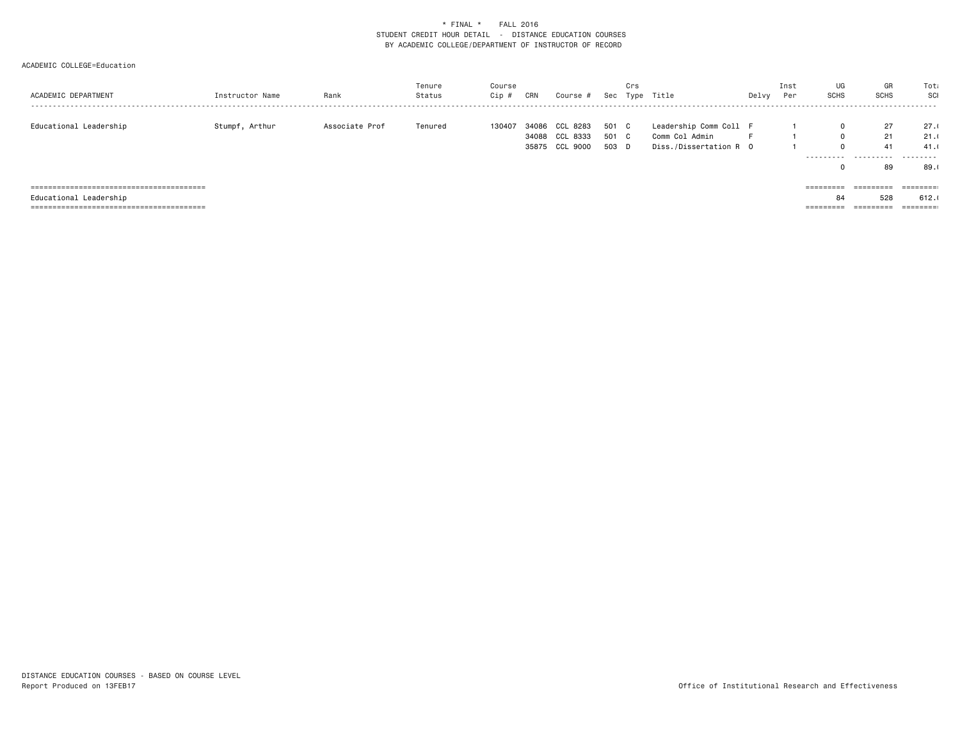| ACADEMIC DEPARTMENT    | Instructor Name | Rank           | Tenure<br>Status | Course<br>Cip # | CRN       | Course #       | Sec   | Crs | Type Title             | Delvy | Inst<br>Per | UG<br><b>SCHS</b> | GR<br><b>SCHS</b> | Tota<br>SCI<br>- - - - - -                                              |
|------------------------|-----------------|----------------|------------------|-----------------|-----------|----------------|-------|-----|------------------------|-------|-------------|-------------------|-------------------|-------------------------------------------------------------------------|
|                        |                 |                |                  |                 |           |                |       |     |                        |       |             |                   |                   |                                                                         |
| Educational Leadership | Stumpf, Arthur  | Associate Prof | Tenured          | 130407          | 34086 CCL | 8283           | 501 C |     | Leadership Comm Coll F |       |             | $\mathbf 0$       | 27                | 27.1                                                                    |
|                        |                 |                |                  |                 |           | 34088 CCL 8333 | 501 C |     | Comm Col Admin         |       |             | $\mathbf 0$       | 21                | 21.0                                                                    |
|                        |                 |                |                  |                 |           | 35875 CCL 9000 | 503 D |     | Diss./Dissertation R 0 |       |             | $\mathbf 0$       | 41                | 41.0                                                                    |
|                        |                 |                |                  |                 |           |                |       |     |                        |       |             | ----------        | .                 | .                                                                       |
|                        |                 |                |                  |                 |           |                |       |     |                        |       |             | 0                 | 89                | 89.0                                                                    |
|                        |                 |                |                  |                 |           |                |       |     |                        |       |             |                   |                   |                                                                         |
|                        |                 |                |                  |                 |           |                |       |     |                        |       |             | =========         | ---------         | $\qquad \qquad \equiv \equiv \equiv \equiv \equiv \equiv \equiv \equiv$ |
| Educational Leadership |                 |                |                  |                 |           |                |       |     |                        |       |             | 84                | 528               | 612.1                                                                   |
|                        |                 |                |                  |                 |           |                |       |     |                        |       |             | =========         | =========         | ========                                                                |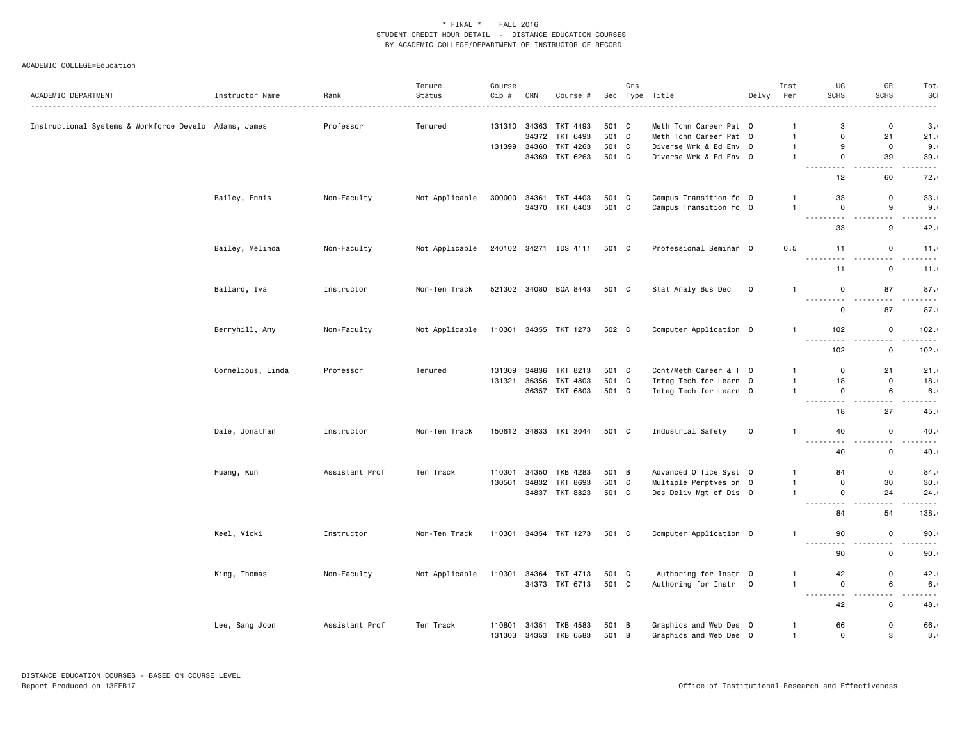|                                                       |                   |                | Tenure         | Course           |              |                            |                | Crs            |                                                  |             | Inst                         | UG                                           | GR                                    | Tota                         |
|-------------------------------------------------------|-------------------|----------------|----------------|------------------|--------------|----------------------------|----------------|----------------|--------------------------------------------------|-------------|------------------------------|----------------------------------------------|---------------------------------------|------------------------------|
| ACADEMIC DEPARTMENT                                   | Instructor Name   | Rank<br>.      | Status         | Cip #            | CRN          | Course #                   |                |                | Sec Type Title                                   | Delvy       | Per                          | <b>SCHS</b>                                  | SCHS                                  | SCI<br>$  -$                 |
| Instructional Systems & Workforce Develo Adams, James |                   | Professor      | Tenured        |                  | 131310 34363 | TKT 4493                   | 501 C          |                | Meth Tchn Career Pat 0                           |             | $\mathbf{1}$                 | 3                                            | $\mathbf 0$                           | 3.0                          |
|                                                       |                   |                |                |                  | 34372        | TKT 6493                   | 501 C          |                | Meth Tchn Career Pat 0                           |             | $\overline{1}$               | $\Omega$                                     | 21                                    | 21.1                         |
|                                                       |                   |                |                | 131399           | 34360        | TKT 4263                   | 501 C          |                | Diverse Wrk & Ed Env 0                           |             | $\mathbf{1}$                 | 9                                            | $\mathsf 0$                           | 9.1                          |
|                                                       |                   |                |                |                  |              | 34369 TKT 6263             | 501 C          |                | Diverse Wrk & Ed Env 0                           |             | $\mathbf{1}$                 | $\mathbf 0$                                  | 39                                    | 39.1                         |
|                                                       |                   |                |                |                  |              |                            |                |                |                                                  |             |                              | $\sim$ $\sim$ $\sim$<br>- - -<br>12          | .<br>60                               | $\sim$ $\sim$ $\sim$<br>72.0 |
|                                                       | Bailey, Ennis     | Non-Faculty    | Not Applicable | 300000           |              | 34361 TKT 4403             | 501 C          |                | Campus Transition fo 0                           |             | $\mathbf{1}$                 | 33                                           | $\mathbf 0$                           | 33.0                         |
|                                                       |                   |                |                |                  |              | 34370 TKT 6403             | 501 C          |                | Campus Transition fo 0                           |             | $\mathbf{1}$                 | $\mathbf 0$                                  | 9                                     | 9.1                          |
|                                                       |                   |                |                |                  |              |                            |                |                |                                                  |             |                              | .<br>33                                      | .<br>9                                | .<br>42.1                    |
|                                                       | Bailey, Melinda   | Non-Faculty    | Not Applicable |                  |              | 240102 34271 IDS 4111      | 501 C          |                | Professional Seminar 0                           |             | 0.5                          | 11                                           | $\mathsf 0$                           | 11.0                         |
|                                                       |                   |                |                |                  |              |                            |                |                |                                                  |             |                              | .<br>11                                      | .<br>$\mathbf 0$                      | .<br>11.0                    |
|                                                       | Ballard, Iva      | Instructor     | Non-Ten Track  |                  |              | 521302 34080 BQA 8443      | 501 C          |                | Stat Analy Bus Dec                               | 0           | $\mathbf{1}$                 | 0                                            | 87                                    | 87.                          |
|                                                       |                   |                |                |                  |              |                            |                |                |                                                  |             |                              | .<br>$\mathbf 0$                             | $\sim$ $\sim$<br>87                   | د د د د<br>87.0              |
|                                                       |                   |                |                |                  |              |                            |                |                |                                                  |             |                              |                                              |                                       |                              |
|                                                       | Berryhill, Amy    | Non-Faculty    | Not Applicable | 110301           |              | 34355 TKT 1273             | 502 C          |                | Computer Application 0                           |             | $\mathbf{1}$                 | 102<br>.<br>.                                | $\mathsf 0$<br>$\sim$ $\sim$          | 102.                         |
|                                                       |                   |                |                |                  |              |                            |                |                |                                                  |             |                              | 102                                          | $\mathbf 0$                           | 102.0                        |
|                                                       | Cornelious, Linda | Professor      | Tenured        | 131309           | 34836        | TKT 8213                   | 501 C          |                | Cont/Meth Career & T 0                           |             | $\overline{1}$               | $\mathbf 0$                                  | 21                                    | 21.0                         |
|                                                       |                   |                |                | 131321           | 36356        | TKT 4803                   | 501 C          |                | Integ Tech for Learn 0                           |             | $\overline{1}$               | 18                                           | $\mathbf 0$                           | 18.                          |
|                                                       |                   |                |                |                  |              | 36357 TKT 6803             | 501 C          |                | Integ Tech for Learn 0                           |             | $\mathbf{1}$                 | $\mathbf 0$<br>.                             | 6<br>$\sim$ $\sim$ $\sim$             | 6.1<br>.                     |
|                                                       |                   |                |                |                  |              |                            |                |                |                                                  |             |                              | 18                                           | 27                                    | 45.0                         |
|                                                       | Dale, Jonathan    | Instructor     | Non-Ten Track  |                  |              | 150612 34833 TKI 3044      | 501 C          |                | Industrial Safety                                | $\mathsf 0$ | $\mathbf{1}$                 | 40<br>$\sim$ $\sim$ $\sim$ $\sim$<br>الأرباء | $\mathbf 0$<br>$  -$<br>$\sim$ $\sim$ | 40.0                         |
|                                                       |                   |                |                |                  |              |                            |                |                |                                                  |             |                              | 40                                           | $\mathbf 0$                           | 40.1                         |
|                                                       | Huang, Kun        | Assistant Prof | Ten Track      | 110301           | 34350        | TKB 4283                   | 501            | $\overline{B}$ | Advanced Office Syst 0                           |             | $\mathbf{1}$                 | 84                                           | $\mathsf 0$                           | 84.                          |
|                                                       |                   |                |                | 130501           | 34832        | TKT 8693                   | 501 C          |                | Multiple Perptves on 0                           |             | $\mathbf{1}$                 | $\mathbf 0$                                  | 30                                    | 30.0                         |
|                                                       |                   |                |                |                  |              | 34837 TKT 8823             | 501 C          |                | Des Deliv Mgt of Dis 0                           |             | $\mathbf{1}$                 | 0                                            | 24                                    | 24.0                         |
|                                                       |                   |                |                |                  |              |                            |                |                |                                                  |             |                              | - - -<br>84                                  | 54                                    | .<br>138.0                   |
|                                                       | Keel, Vicki       | Instructor     | Non-Ten Track  | 110301           |              | 34354 TKT 1273             | 501 C          |                | Computer Application 0                           |             | $\mathbf{1}$                 | 90                                           | $\mathbf 0$                           | 90.0                         |
|                                                       |                   |                |                |                  |              |                            |                |                |                                                  |             |                              | $\sim$ $\sim$ $\sim$ $\sim$<br>.<br>90       | $\sim$ $\sim$<br>$\mathbf 0$          | .<br>90.0                    |
|                                                       | King, Thomas      | Non-Faculty    | Not Applicable | 110301           | 34364        | TKT 4713                   | 501 C          |                | Authoring for Instr 0                            |             | -1                           | 42                                           | $\mathsf 0$                           | 42.                          |
|                                                       |                   |                |                |                  |              | 34373 TKT 6713             | 501 C          |                | Authoring for Instr 0                            |             | $\mathbf{1}$                 | $\mathbf 0$                                  | 6                                     | 6.1                          |
|                                                       |                   |                |                |                  |              |                            |                |                |                                                  |             |                              | .<br>$  -$<br>42                             | $\sim$ $\sim$<br>6                    | ----<br>48.1                 |
|                                                       |                   |                |                |                  |              |                            |                |                |                                                  |             |                              |                                              |                                       |                              |
|                                                       | Lee, Sang Joon    | Assistant Prof | Ten Track      | 110801<br>131303 | 34351        | TKB 4583<br>34353 TKB 6583 | 501 B<br>501 B |                | Graphics and Web Des 0<br>Graphics and Web Des 0 |             | $\mathbf{1}$<br>$\mathbf{1}$ | 66<br>$\mathbf 0$                            | $\mathbf 0$<br>3                      | 66.<br>3.1                   |
|                                                       |                   |                |                |                  |              |                            |                |                |                                                  |             |                              |                                              |                                       |                              |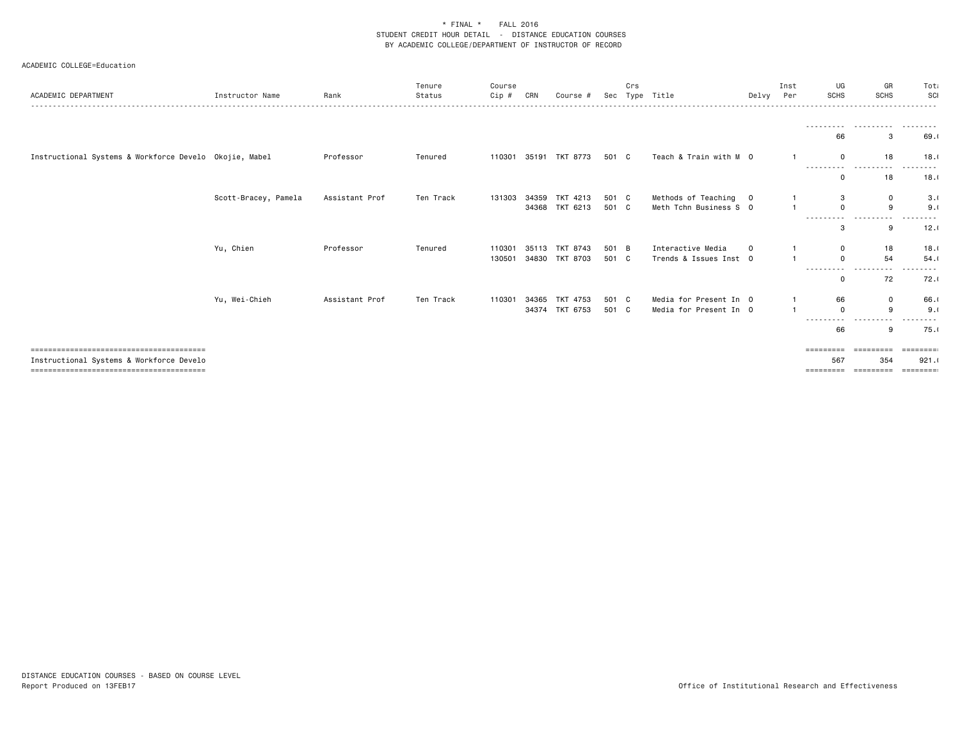| ACADEMIC DEPARTMENT                                    | Instructor Name      | Rank           | Tenure<br>Status | Course<br>Cip # | CRN   | Course #       |       | Crs | Sec Type Title         | Delvy Per      | Inst | UG<br><b>SCHS</b>              | GR<br><b>SCHS</b> | Tota<br>SCI                  |
|--------------------------------------------------------|----------------------|----------------|------------------|-----------------|-------|----------------|-------|-----|------------------------|----------------|------|--------------------------------|-------------------|------------------------------|
|                                                        |                      |                |                  |                 |       |                |       |     |                        |                |      |                                |                   |                              |
|                                                        |                      |                |                  |                 |       |                |       |     |                        |                |      | - - - - - - - - <b>-</b><br>66 | 3                 | 69.0                         |
| Instructional Systems & Workforce Develo Okojie, Mabel |                      | Professor      | Tenured          | 110301          |       | 35191 TKT 8773 | 501 C |     | Teach & Train with M 0 |                |      | $\mathbf 0$                    | 18                | 18.1                         |
|                                                        |                      |                |                  |                 |       |                |       |     |                        |                |      | ----------<br>$\Omega$         | .<br>18           | ---------<br>18.1            |
|                                                        | Scott-Bracey, Pamela | Assistant Prof | Ten Track        | 131303          |       | 34359 TKT 4213 | 501 C |     | Methods of Teaching    | $\overline{0}$ |      | 3                              | $\mathbf 0$       | 3.0                          |
|                                                        |                      |                |                  |                 |       | 34368 TKT 6213 | 501 C |     | Meth Tchn Business S 0 |                |      | $\Omega$<br>----------         | 9<br>.            | 9.1                          |
|                                                        |                      |                |                  |                 |       |                |       |     |                        |                |      | 3                              | 9                 | 12.1                         |
|                                                        | Yu, Chien            | Professor      | Tenured          | 110301          | 35113 | TKT 8743       | 501 B |     | Interactive Media      | $\Omega$       |      | $\mathbf 0$                    | 18                | 18.1                         |
|                                                        |                      |                |                  | 130501          |       | 34830 TKT 8703 | 501 C |     | Trends & Issues Inst 0 |                |      | $\Omega$<br>----------         | 54<br>.           | 54.1<br>--------             |
|                                                        |                      |                |                  |                 |       |                |       |     |                        |                |      | 0                              | 72                | 72.0                         |
|                                                        | Yu, Wei-Chieh        | Assistant Prof | Ten Track        | 110301          | 34365 | TKT 4753       | 501 C |     | Media for Present In 0 |                |      | 66                             | $\mathbf 0$       | 66.1                         |
|                                                        |                      |                |                  |                 |       | 34374 TKT 6753 | 501 C |     | Media for Present In 0 |                |      | $\mathbf 0$<br>- - - -         | 9                 | 9.1                          |
|                                                        |                      |                |                  |                 |       |                |       |     |                        |                |      | 66                             | 9                 | 75.0                         |
|                                                        |                      |                |                  |                 |       |                |       |     |                        |                |      | =========                      | =========         | ========                     |
| Instructional Systems & Workforce Develo               |                      |                |                  |                 |       |                |       |     |                        |                |      | 567<br>=========               | 354<br>---------  | 921.1<br>$=$ = = = = = = = : |
|                                                        |                      |                |                  |                 |       |                |       |     |                        |                |      |                                |                   |                              |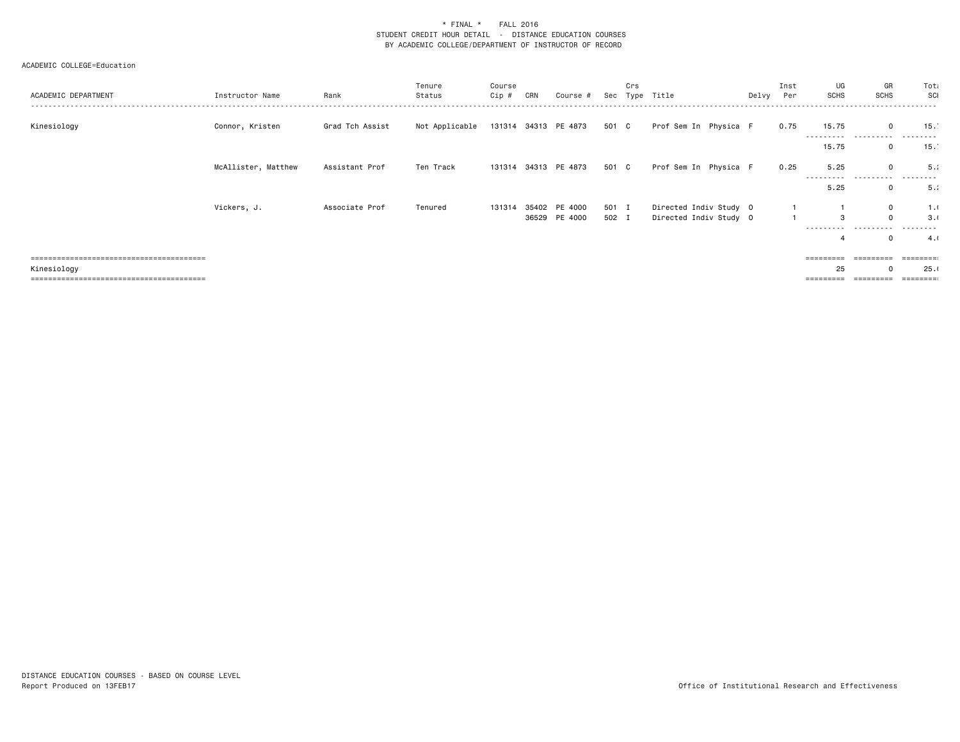| ACADEMIC DEPARTMENT | Instructor Name     | Rank            | Tenure<br>Status | Course<br>Cip # | CRN | Course #             |       | Crs | Sec Type Title         | Delvy | Inst<br>Per | UG<br><b>SCHS</b> | GR<br><b>SCHS</b> | Tota<br>SCI<br>- - - - - - |
|---------------------|---------------------|-----------------|------------------|-----------------|-----|----------------------|-------|-----|------------------------|-------|-------------|-------------------|-------------------|----------------------------|
| Kinesiology         | Connor, Kristen     | Grad Tch Assist | Not Applicable   |                 |     | 131314 34313 PE 4873 | 501 C |     | Prof Sem In Physica F  |       | 0.75        | 15.75<br>.        | $\Omega$<br>.     | 15.                        |
|                     |                     |                 |                  |                 |     |                      |       |     |                        |       |             | 15.75             | 0                 | 15.                        |
|                     | McAllister, Matthew | Assistant Prof  | Ten Track        |                 |     | 131314 34313 PE 4873 | 501 C |     | Prof Sem In Physica F  |       | 0.25        | 5.25              | $\mathbf 0$       | 5.1                        |
|                     |                     |                 |                  |                 |     |                      |       |     |                        |       |             | .<br>5.25         | .<br>0            | 5.1                        |
|                     | Vickers, J.         | Associate Prof  | Tenured          | 131314          |     | 35402 PE 4000        | 501 I |     | Directed Indiv Study 0 |       |             |                   | $\mathbf{0}$      | 1.1                        |
|                     |                     |                 |                  |                 |     | 36529 PE 4000        | 502 I |     | Directed Indiv Study 0 |       |             | 3<br>----------   | $\mathbf 0$<br>.  | 3.0<br>--------            |
|                     |                     |                 |                  |                 |     |                      |       |     |                        |       |             | 4                 | $\mathbf 0$       | 4.1                        |
|                     |                     |                 |                  |                 |     |                      |       |     |                        |       |             | ========          |                   | ========                   |
| Kinesiology         |                     |                 |                  |                 |     |                      |       |     |                        |       |             | 25                | $\Omega$          | 25.0                       |
|                     |                     |                 |                  |                 |     |                      |       |     |                        |       |             | =========         | =========         |                            |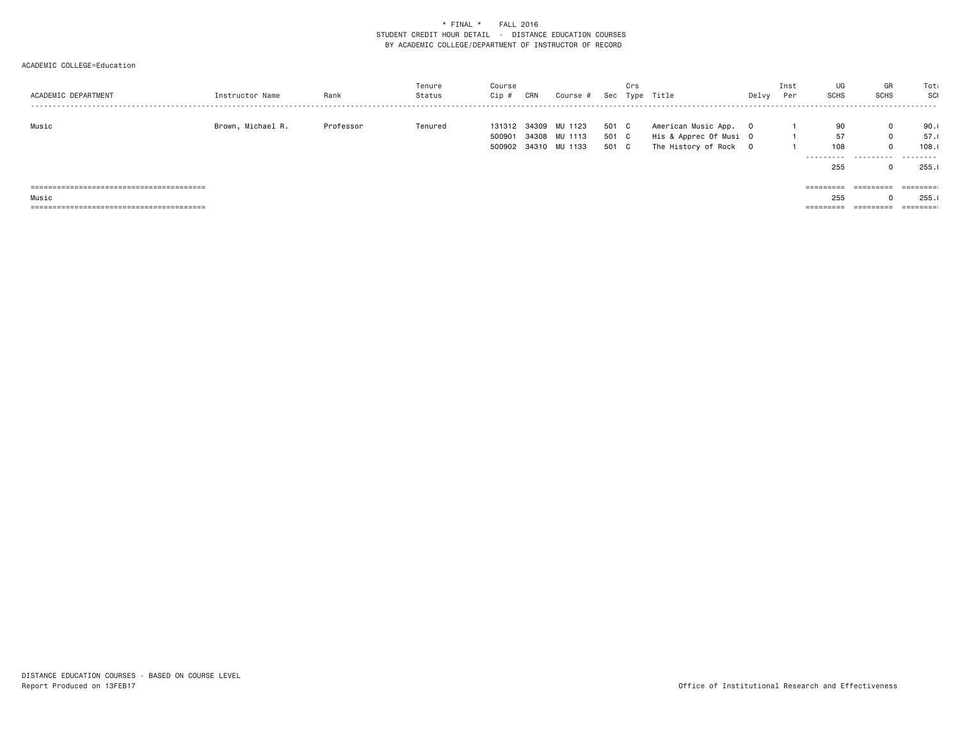| ACADEMIC DEPARTMENT | Instructor Name   | Rank      | Tenure<br>Status | Course<br>Cip # | CRN | Course #             |       | Crs | Sec Type Title         | Delvy | Inst<br>Per | UG<br><b>SCHS</b> | GR<br><b>SCHS</b> | Tota<br>SCI                     |
|---------------------|-------------------|-----------|------------------|-----------------|-----|----------------------|-------|-----|------------------------|-------|-------------|-------------------|-------------------|---------------------------------|
| Music               | Brown, Michael R. | Professor | Tenured          | 131312          |     | 34309 MU 1123        | 501 C |     | American Music App. 0  |       |             | 90                | $\mathbf 0$       | 90.1                            |
|                     |                   |           |                  | 500901          |     | 34308 MU 1113        | 501 C |     | His & Apprec Of Musi O |       |             | 57                | $\mathbf 0$       | 57.1                            |
|                     |                   |           |                  |                 |     | 500902 34310 MU 1133 | 501 C |     | The History of Rock 0  |       |             | 108               | $\mathbf 0$       | 108.1                           |
|                     |                   |           |                  |                 |     |                      |       |     |                        |       |             |                   | .                 | .                               |
|                     |                   |           |                  |                 |     |                      |       |     |                        |       |             | 255               | 0                 | 255.1                           |
|                     |                   |           |                  |                 |     |                      |       |     |                        |       |             |                   |                   |                                 |
|                     |                   |           |                  |                 |     |                      |       |     |                        |       |             | =========         | =========         | ========                        |
| Music               |                   |           |                  |                 |     |                      |       |     |                        |       |             | 255               | $\Omega$          | 255.1                           |
|                     |                   |           |                  |                 |     |                      |       |     |                        |       |             | =========         |                   | $=$ $=$ $=$ $=$ $=$ $=$ $=$ $:$ |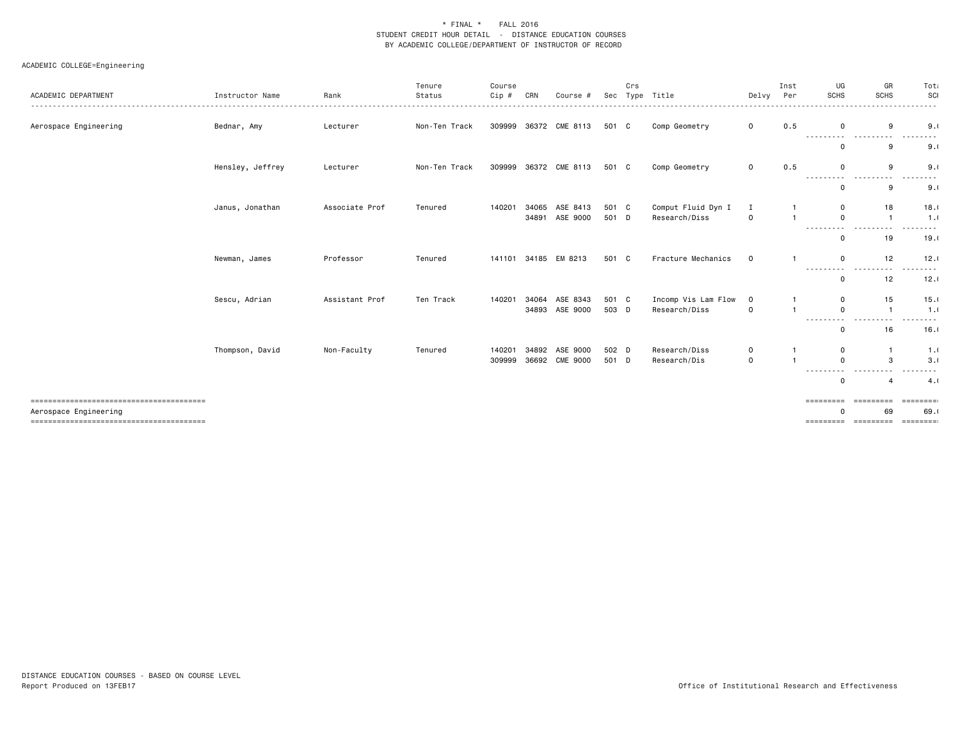| ACADEMIC DEPARTMENT   | Instructor Name  | Rank           | Tenure<br>Status | Course<br>Cip # | CRN            | Course #             |                | Crs | Sec Type Title                      | Delvy            | Inst<br>Per    | UG<br><b>SCHS</b>      | GR<br><b>SCHS</b>                        | Tota<br>SCI  |
|-----------------------|------------------|----------------|------------------|-----------------|----------------|----------------------|----------------|-----|-------------------------------------|------------------|----------------|------------------------|------------------------------------------|--------------|
| Aerospace Engineering | Bednar, Amy      | Lecturer       | Non-Ten Track    | 309999          |                | 36372 CME 8113       | 501 C          |     | Comp Geometry                       | $\mathbf{O}$     | 0.5            | $\Omega$               | 9                                        | 9.1          |
|                       |                  |                |                  |                 |                |                      |                |     |                                     |                  |                | ----------<br>$\Omega$ | .<br>9                                   | .<br>9.1     |
|                       | Hensley, Jeffrey | Lecturer       | Non-Ten Track    | 309999          |                | 36372 CME 8113       | 501 C          |     | Comp Geometry                       | $\mathbf{O}$     | 0.5            | $\Omega$<br>---------- | 9<br>.                                   | 9.1<br>.     |
|                       |                  |                |                  |                 |                |                      |                |     |                                     |                  |                | $\Omega$               | 9                                        | 9.1          |
|                       | Janus, Jonathan  | Associate Prof | Tenured          | 140201          | 34065<br>34891 | ASE 8413<br>ASE 9000 | 501 C<br>501 D |     | Comput Fluid Dyn I<br>Research/Diss | I<br>$\mathbf 0$ |                | 0<br>$\Omega$          | 18<br>$\mathbf{1}$                       | 18.1<br>1.0  |
|                       |                  |                |                  |                 |                |                      |                |     |                                     |                  |                | 0                      | 19                                       | 19.1         |
|                       | Newman, James    | Professor      | Tenured          | 141101          |                | 34185 EM 8213        | 501 C          |     | Fracture Mechanics                  | $\mathbf 0$      | $\mathbf{1}$   | $\Omega$<br>---------  | 12                                       | 12.1         |
|                       |                  |                |                  |                 |                |                      |                |     |                                     |                  |                | 0                      | 12                                       | 12.1         |
|                       | Sescu, Adrian    | Assistant Prof | Ten Track        | 140201          | 34064          | ASE 8343             | 501 C          |     | Incomp Vis Lam Flow                 | $\mathbf 0$      |                | 0                      | 15                                       | 15.1         |
|                       |                  |                |                  |                 | 34893          | ASE 9000             | 503 D          |     | Research/Diss                       | $\mathbf 0$      | $\overline{1}$ | 0<br>---------         | $\overline{1}$<br>----<br>. <b>. .</b> . | 1.0          |
|                       |                  |                |                  |                 |                |                      |                |     |                                     |                  |                | $\Omega$               | 16                                       | 16.1         |
|                       | Thompson, David  | Non-Faculty    | Tenured          | 140201          | 34892          | ASE 9000             | 502 D          |     | Research/Diss                       | 0                |                | 0                      | $\overline{1}$                           | 1.0          |
|                       |                  |                |                  | 309999          | 36692          | <b>CME 9000</b>      | 501 D          |     | Research/Dis                        | $\Omega$         | $\overline{1}$ | $\Omega$               | 3                                        | 3.1          |
|                       |                  |                |                  |                 |                |                      |                |     |                                     |                  |                | ---------<br>$\Omega$  | .                                        | .<br>4.1     |
|                       |                  |                |                  |                 |                |                      |                |     |                                     |                  |                | =========              | =========                                | $=$ ======== |
| Aerospace Engineering |                  |                |                  |                 |                |                      |                |     |                                     |                  |                |                        | 69                                       | 69.0         |
|                       |                  |                |                  |                 |                |                      |                |     |                                     |                  |                |                        | ========== =========                     | ========     |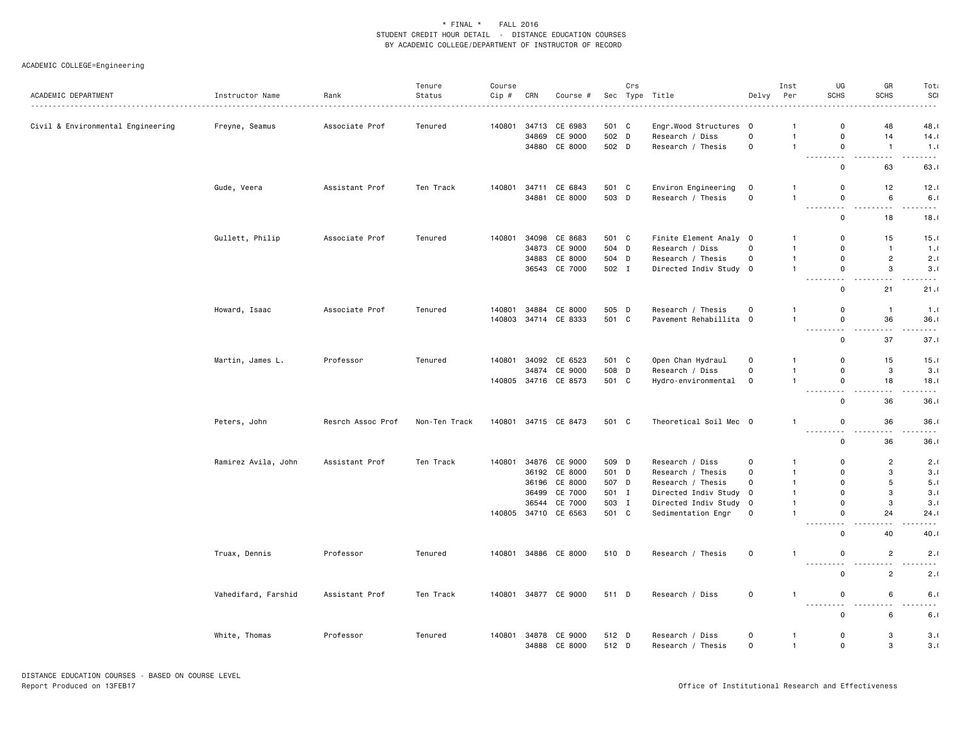|                                   |                     |                   | Tenure        | Course |       |                      |       | Crs |                        |                         | Inst           | UG                                                                                                                                                        | GR                                          | Tota              |
|-----------------------------------|---------------------|-------------------|---------------|--------|-------|----------------------|-------|-----|------------------------|-------------------------|----------------|-----------------------------------------------------------------------------------------------------------------------------------------------------------|---------------------------------------------|-------------------|
| ACADEMIC DEPARTMENT               | Instructor Name     | Rank              | Status        | Cip #  | CRN   | Course #             |       |     | Sec Type Title<br>.    | Delvy                   | Per            | <b>SCHS</b>                                                                                                                                               | <b>SCHS</b>                                 | SCI               |
| Civil & Environmental Engineering | Freyne, Seamus      | Associate Prof    | Tenured       | 140801 | 34713 | CE 6983              | 501 C |     | Engr.Wood Structures 0 |                         | $\mathbf{1}$   | 0                                                                                                                                                         | 48                                          | 48.0              |
|                                   |                     |                   |               |        | 34869 | CE 9000              | 502 D |     | Research / Diss        | $\mathbf 0$             | $\overline{1}$ | $\mathsf 0$                                                                                                                                               | 14                                          | 14.0              |
|                                   |                     |                   |               |        | 34880 | CE 8000              | 502 D |     | Research / Thesis      | $\mathsf{o}$            | $\mathbf{1}$   | $\mathsf 0$                                                                                                                                               | $\mathbf{1}$                                | 1.0               |
|                                   |                     |                   |               |        |       |                      |       |     |                        |                         |                | .<br>.<br>$\mathbf 0$                                                                                                                                     | .<br>63                                     | - - - -<br>63.1   |
|                                   | Gude, Veera         | Assistant Prof    | Ten Track     | 140801 | 34711 | CE 6843              | 501 C |     | Environ Engineering    | $\mathbf 0$             | $\mathbf{1}$   | $\mathbf 0$                                                                                                                                               | 12                                          | 12.0              |
|                                   |                     |                   |               |        | 34881 | CE 8000              | 503 D |     | Research / Thesis      | $\circ$                 | $\mathbf{1}$   | $\mathsf 0$                                                                                                                                               | 6                                           | 6.1               |
|                                   |                     |                   |               |        |       |                      |       |     |                        |                         |                | $\frac{1}{2} \left( \frac{1}{2} \right) \left( \frac{1}{2} \right) \left( \frac{1}{2} \right) \left( \frac{1}{2} \right)$<br>- - -<br>$\mathbf 0$         | $\sim$ $\sim$ $\sim$<br>$\frac{1}{2}$<br>18 | .<br>18.0         |
|                                   | Gullett, Philip     | Associate Prof    | Tenured       | 140801 | 34098 | CE 8683              | 501 C |     | Finite Element Analy 0 |                         | $\mathbf{1}$   | $\mathbf 0$                                                                                                                                               | 15                                          | 15.0              |
|                                   |                     |                   |               |        |       | 34873 CE 9000        | 504 D |     | Research / Diss        | $\Omega$                | $\overline{1}$ | $\mathbf 0$                                                                                                                                               | $\mathbf{1}$                                | 1.0               |
|                                   |                     |                   |               |        | 34883 | CE 8000              | 504 D |     | Research / Thesis      | $\circ$                 | $\mathbf{1}$   | $\mathbf 0$                                                                                                                                               | $\overline{2}$                              | 2.1               |
|                                   |                     |                   |               |        | 36543 | CE 7000              | 502 I |     | Directed Indiv Study 0 |                         | $\mathbf{1}$   | $\mathsf 0$                                                                                                                                               | 3                                           | 3.1               |
|                                   |                     |                   |               |        |       |                      |       |     |                        |                         |                | $\sim$ $\sim$ $\sim$ .<br>$\sim$ $\sim$<br>$\mathbf 0$                                                                                                    | $\sim$ $\sim$<br>21                         | .<br>21.1         |
|                                   | Howard, Isaac       | Associate Prof    | Tenured       | 140801 | 34884 | CE 8000              | 505 D |     | Research / Thesis      | $\mathbf 0$             | $\mathbf{1}$   | 0                                                                                                                                                         | $\mathbf{1}$                                | 1.0               |
|                                   |                     |                   |               | 140803 |       | 34714 CE 8333        | 501 C |     | Pavement Rehabillita 0 |                         | $\overline{1}$ | $\mathbf 0$                                                                                                                                               | 36                                          | 36.0              |
|                                   |                     |                   |               |        |       |                      |       |     |                        |                         |                | .<br>$\frac{1}{2}$<br>$\mathbf 0$                                                                                                                         | $- - -$<br>37                               | $- - - -$<br>37.0 |
|                                   | Martin, James L.    | Professor         | Tenured       | 140801 | 34092 | CE 6523              | 501 C |     | Open Chan Hydraul      | $\mathbf 0$             | $\mathbf{1}$   | $\mathbf 0$                                                                                                                                               | 15                                          | 15.0              |
|                                   |                     |                   |               |        |       | 34874 CE 9000        | 508 D |     | Research / Diss        | $\mathbf 0$             | $\overline{1}$ | $\mathbf 0$                                                                                                                                               | 3                                           | 3.0               |
|                                   |                     |                   |               |        |       | 140805 34716 CE 8573 | 501 C |     | Hydro-environmental    | $\mathbf 0$             | $\mathbf{1}$   | $\mathbf 0$<br>.                                                                                                                                          | 18<br>$- - -$                               | 18.0<br>$- - - -$ |
|                                   |                     |                   |               |        |       |                      |       |     |                        |                         |                | $\mathbf 0$                                                                                                                                               | 36                                          | 36.0              |
|                                   | Peters, John        | Resrch Assoc Prof | Non-Ten Track | 140801 |       | 34715 CE 8473        | 501 C |     | Theoretical Soil Mec 0 |                         | $\mathbf{1}$   | $\mathbf 0$                                                                                                                                               | 36                                          | 36.0              |
|                                   |                     |                   |               |        |       |                      |       |     |                        |                         |                | $\frac{1}{2} \left( \frac{1}{2} \right) \left( \frac{1}{2} \right) \left( \frac{1}{2} \right) \left( \frac{1}{2} \right)$<br>$\sim$ $\sim$<br>$\mathbf 0$ | 36                                          | 36.1              |
|                                   | Ramirez Avila, John | Assistant Prof    | Ten Track     | 140801 |       | 34876 CE 9000        | 509 D |     | Research / Diss        | 0                       | $\mathbf{1}$   | $\overline{0}$                                                                                                                                            | $\overline{c}$                              | 2.0               |
|                                   |                     |                   |               |        |       | 36192 CE 8000        | 501 D |     | Research / Thesis      | $\mathbf 0$             | $\overline{1}$ | $\mathbf 0$                                                                                                                                               | 3                                           | 3.1               |
|                                   |                     |                   |               |        | 36196 | CE 8000              | 507   | D   | Research / Thesis      | $\mathbf 0$             | $\mathbf{1}$   | $\mathbf 0$                                                                                                                                               | 5                                           | 5.1               |
|                                   |                     |                   |               |        | 36499 | CE 7000              | 501 I |     | Directed Indiv Study   | $\overline{\mathbf{0}}$ | $\overline{1}$ | $\overline{0}$                                                                                                                                            | 3                                           | 3.1               |
|                                   |                     |                   |               |        | 36544 | CE 7000              | 503 I |     | Directed Indiv Study   | $\mathbf 0$             | $\mathbf{1}$   | $\mathbf 0$                                                                                                                                               | 3                                           | 3.1               |
|                                   |                     |                   |               | 140805 |       | 34710 CE 6563        | 501 C |     | Sedimentation Engr     | $\mathbf 0$             | $\mathbf{1}$   | $\mathsf 0$<br>$\sim$                                                                                                                                     | 24                                          | 24.0              |
|                                   |                     |                   |               |        |       |                      |       |     |                        |                         |                | $\mathbf 0$                                                                                                                                               | 40                                          | 40.1              |
|                                   | Truax, Dennis       | Professor         | Tenured       | 140801 |       | 34886 CE 8000        | 510 D |     | Research / Thesis      | $\mathsf{o}$            | $\mathbf{1}$   | $\mathbf 0$<br>.                                                                                                                                          | $\overline{2}$                              | 2.1<br>. <b>.</b> |
|                                   |                     |                   |               |        |       |                      |       |     |                        |                         |                | $\mathsf 0$                                                                                                                                               | $\overline{2}$                              | 2.1               |
|                                   | Vahedifard, Farshid | Assistant Prof    | Ten Track     | 140801 |       | 34877 CE 9000        | 511 D |     | Research / Diss        | $\mathbf 0$             | -1             | $\mathbf 0$                                                                                                                                               | 6                                           | 6.1               |
|                                   |                     |                   |               |        |       |                      |       |     |                        |                         |                | $\sim$ $\sim$<br>$\mathbf 0$                                                                                                                              | .<br>6                                      | $ -$<br>6.1       |
|                                   | White, Thomas       | Professor         | Tenured       | 140801 | 34878 | CE 9000              | 512 D |     | Research / Diss        | $\circ$                 | $\mathbf{1}$   | 0                                                                                                                                                         | 3                                           | 3.1               |
|                                   |                     |                   |               |        |       | 34888 CE 8000        | 512 D |     | Research / Thesis      | $\mathbf 0$             | $\mathbf{1}$   | $\mathbf 0$                                                                                                                                               | 3                                           | 3.1               |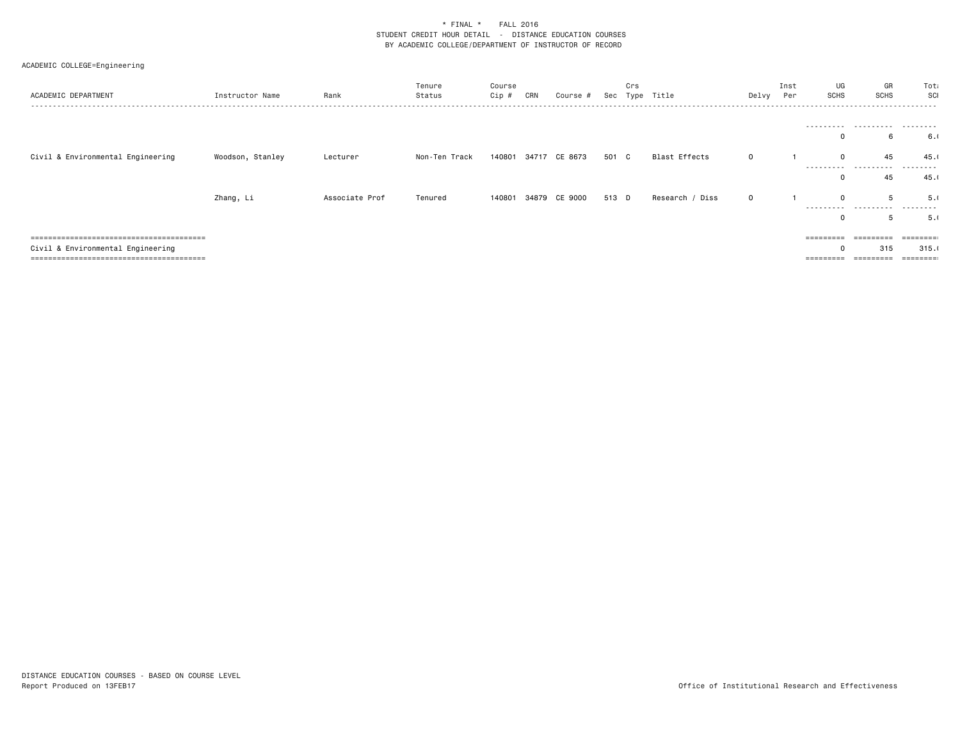| ACADEMIC DEPARTMENT                                                       | Instructor Name  | Rank           | Tenure<br>Status | Course<br>Cip # | CRN | Course #      |       | Crs | Sec Type Title  | Delvy Per   | Inst | UG<br><b>SCHS</b> | GR<br><b>SCHS</b> | Tota<br>SCI                |
|---------------------------------------------------------------------------|------------------|----------------|------------------|-----------------|-----|---------------|-------|-----|-----------------|-------------|------|-------------------|-------------------|----------------------------|
|                                                                           |                  |                |                  |                 |     |               |       |     |                 |             |      | 0                 | <br>6             | 6.0                        |
| Civil & Environmental Engineering                                         | Woodson, Stanley | Lecturer       | Non-Ten Track    | 140801          |     | 34717 CE 8673 | 501 C |     | Blast Effects   | $\mathbf 0$ |      | $\mathbf 0$       | 45                | 45.1<br>.                  |
|                                                                           | Zhang, Li        | Associate Prof | Tenured          | 140801          |     | 34879 CE 9000 | 513 D |     | Research / Diss | $\mathbf 0$ |      | 0<br>$\Omega$     | 45<br>5           | 45.1<br>5.1                |
|                                                                           |                  |                |                  |                 |     |               |       |     |                 |             |      | 0                 | 5                 | .<br>5.0                   |
| ====================================<br>Civil & Environmental Engineering |                  |                |                  |                 |     |               |       |     |                 |             |      | =========<br>0    | ---------<br>315  | $=$ = = = = = = =<br>315.1 |
|                                                                           |                  |                |                  |                 |     |               |       |     |                 |             |      | =========         |                   | $=$ = = = = = = = :        |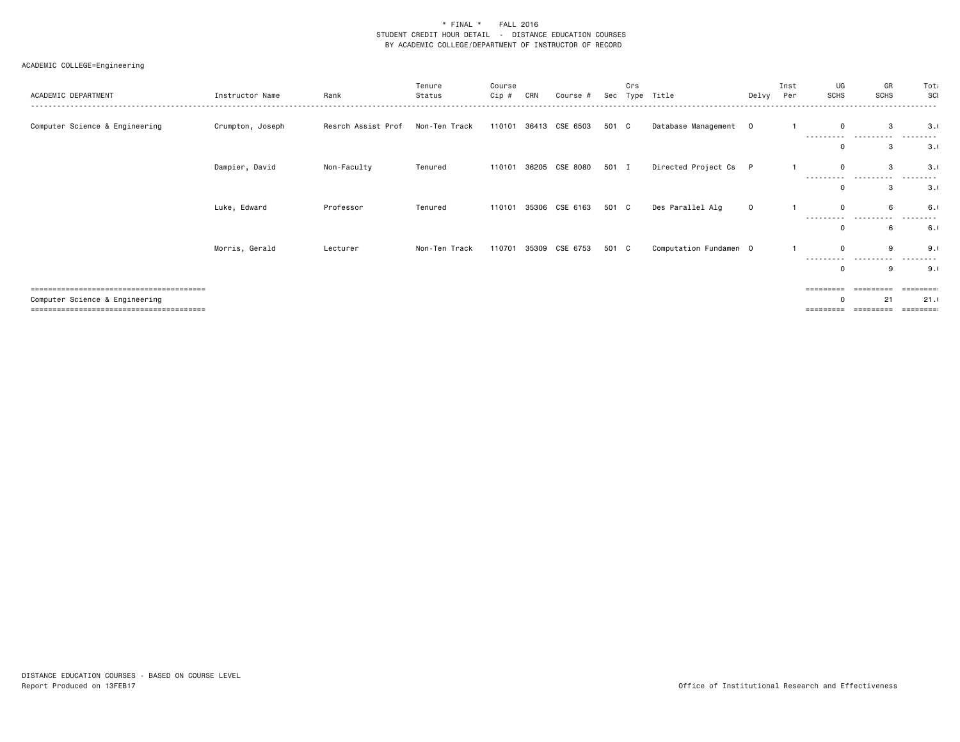| ACADEMIC DEPARTMENT            | Instructor Name  | Rank               | Tenure<br>Status | Course<br>Cip # | CRN | Course #       | Sec   | Crs | Type Title             | Delvy       | Inst<br>Per | UG<br><b>SCHS</b> | GR<br><b>SCHS</b> | Tota<br>SCI     |
|--------------------------------|------------------|--------------------|------------------|-----------------|-----|----------------|-------|-----|------------------------|-------------|-------------|-------------------|-------------------|-----------------|
| Computer Science & Engineering | Crumpton, Joseph | Resrch Assist Prof | Non-Ten Track    | 110101          |     | 36413 CSE 6503 | 501 C |     | Database Management    | $\mathbf 0$ |             | $\mathbf 0$       | 3<br>             | 3.0             |
|                                |                  |                    |                  |                 |     |                |       |     |                        |             |             |                   |                   | 3.1             |
|                                | Dampier, David   | Non-Faculty        | Tenured          | 110101          |     | 36205 CSE 8080 | 501 I |     | Directed Project Cs P  |             |             | $\mathbf 0$<br>.  | 3<br>.            | 3.0             |
|                                |                  |                    |                  |                 |     |                |       |     |                        |             |             |                   | 3                 | 3.1             |
|                                | Luke, Edward     | Professor          | Tenured          | 110101          |     | 35306 CSE 6163 | 501 C |     | Des Parallel Alg       | $\mathbf 0$ |             | $\Omega$          | 6                 | 6.1             |
|                                |                  |                    |                  |                 |     |                |       |     |                        |             |             | 0                 | 6                 | 6.1             |
|                                | Morris, Gerald   | Lecturer           | Non-Ten Track    | 110701          |     | 35309 CSE 6753 | 501 C |     | Computation Fundamen 0 |             |             | $\Omega$          | 9                 | 9.1             |
|                                |                  |                    |                  |                 |     |                |       |     |                        |             |             |                   | g                 | 9.1             |
|                                |                  |                    |                  |                 |     |                |       |     |                        |             |             |                   |                   | <b>EBBEEBBE</b> |
| Computer Science & Engineering |                  |                    |                  |                 |     |                |       |     |                        |             |             |                   | 21                | 21.0<br>.       |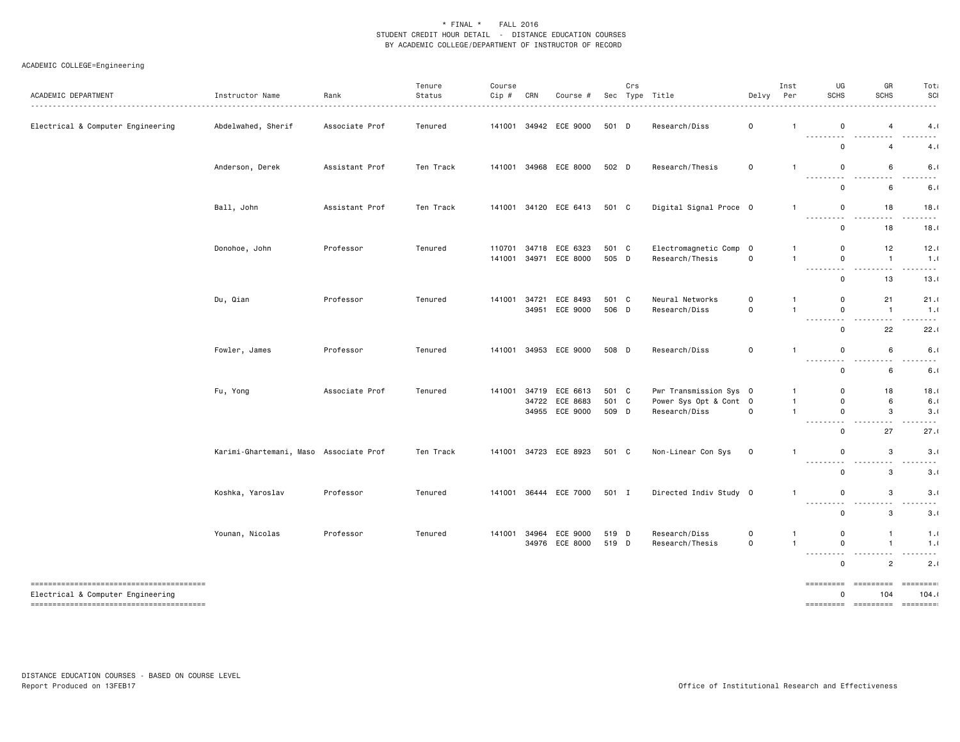| ACADEMIC DEPARTMENT               | Instructor Name                        | Rank<br>. <u>.</u> | Tenure<br>Status<br>. <u>.</u> . | Course<br>Cip # | CRN   | Course #       |       | Crs | Sec Type Title         | Delvy                   | Inst<br>Per    | UG<br><b>SCHS</b>                        | GR<br><b>SCHS</b>                                                                                                    | Tota<br>SCI<br>.               |
|-----------------------------------|----------------------------------------|--------------------|----------------------------------|-----------------|-------|----------------|-------|-----|------------------------|-------------------------|----------------|------------------------------------------|----------------------------------------------------------------------------------------------------------------------|--------------------------------|
| Electrical & Computer Engineering | Abdelwahed, Sherif                     | Associate Prof     | Tenured                          | 141001          |       | 34942 ECE 9000 | 501 D |     | Research/Diss          | $\mathsf 0$             |                | $\mathbf 0$<br><u> - - - - - - - - -</u> | 4<br>----                                                                                                            | 4.1<br>. <b>.</b>              |
|                                   |                                        |                    |                                  |                 |       |                |       |     |                        |                         |                | $\mathbf 0$                              | 4                                                                                                                    | 4.1                            |
|                                   | Anderson, Derek                        | Assistant Prof     | Ten Track                        | 141001          |       | 34968 ECE 8000 | 502 D |     | Research/Thesis        | $\mathsf 0$             | $\mathbf{1}$   | $\mathbf 0$                              | 6                                                                                                                    | 6.1                            |
|                                   |                                        |                    |                                  |                 |       |                |       |     |                        |                         |                | <b>.</b><br>$\mathbf 0$                  | $\frac{1}{2}$<br>$\frac{1}{2} \left( \frac{1}{2} \right) \left( \frac{1}{2} \right) \left( \frac{1}{2} \right)$<br>6 | .<br>6.1                       |
|                                   | Ball, John                             | Assistant Prof     | Ten Track                        | 141001          |       | 34120 ECE 6413 | 501 C |     | Digital Signal Proce 0 |                         | $\mathbf{1}$   | $\mathbf 0$<br>---------                 | 18<br>$- - -$                                                                                                        | 18.1<br>.                      |
|                                   |                                        |                    |                                  |                 |       |                |       |     |                        |                         |                | $\mathbf 0$                              | 18                                                                                                                   | 18.0                           |
|                                   | Donohoe, John                          | Professor          | Tenured                          | 110701          | 34718 | ECE 6323       | 501 C |     | Electromagnetic Comp   | $\overline{\mathbf{0}}$ |                | $\mathbf 0$                              | 12                                                                                                                   | 12.1                           |
|                                   |                                        |                    |                                  | 141001          |       | 34971 ECE 8000 | 505 D |     | Research/Thesis        | $\mathbf 0$             | $\mathbf{1}$   | $\mathsf 0$                              | $\mathbf{1}$<br>$\sim$ $\sim$ $\sim$                                                                                 | 1.0<br>.                       |
|                                   |                                        |                    |                                  |                 |       |                |       |     |                        |                         |                | $\mathbf 0$                              | 13                                                                                                                   | 13.1                           |
|                                   | Du, Qian                               | Professor          | Tenured                          | 141001          | 34721 | ECE 8493       | 501 C |     | Neural Networks        | $\mathbf 0$             | $\mathbf{1}$   | $\mathbf 0$                              | 21                                                                                                                   | 21.0                           |
|                                   |                                        |                    |                                  |                 | 34951 | ECE 9000       | 506 D |     | Research/Diss          | $\mathsf{o}$            | $\overline{1}$ | $\mathbf 0$<br>---------                 | $\mathbf{1}$<br>$\sim$ $\sim$ $\sim$                                                                                 | 1.0<br>.                       |
|                                   |                                        |                    |                                  |                 |       |                |       |     |                        |                         |                | $\mathbf 0$                              | 22                                                                                                                   | 22.1                           |
|                                   | Fowler, James                          | Professor          | Tenured                          | 141001          |       | 34953 ECE 9000 | 508 D |     | Research/Diss          | $\mathbf 0$             | $\overline{1}$ | $\mathsf 0$<br><b></b>                   | 6<br>- - -<br>$- - -$                                                                                                | 6.1<br>.                       |
|                                   |                                        |                    |                                  |                 |       |                |       |     |                        |                         |                | $\mathbf 0$                              | 6                                                                                                                    | 6.1                            |
|                                   | Fu, Yong                               | Associate Prof     | Tenured                          | 141001          | 34719 | ECE 6613       | 501 C |     | Pwr Transmission Sys 0 |                         | -1             | $\mathbf 0$                              | 18                                                                                                                   | 18.1                           |
|                                   |                                        |                    |                                  |                 |       | 34722 ECE 8683 | 501 C |     | Power Sys Opt & Cont 0 |                         | $\mathbf{1}$   | $\mathbf 0$                              | 6                                                                                                                    | 6.1                            |
|                                   |                                        |                    |                                  |                 |       | 34955 ECE 9000 | 509 D |     | Research/Diss          | $\mathbf 0$             | $\mathbf{1}$   | $\mathsf 0$                              | 3                                                                                                                    | 3.1                            |
|                                   |                                        |                    |                                  |                 |       |                |       |     |                        |                         |                | $\mathbf 0$                              | 27                                                                                                                   | 27.1                           |
|                                   | Karimi-Ghartemani, Maso Associate Prof |                    | Ten Track                        | 141001          |       | 34723 ECE 8923 | 501 C |     | Non-Linear Con Sys     | $\mathbf 0$             | $\overline{1}$ | $\mathbf 0$<br>---------                 | 3                                                                                                                    | 3.1<br>.                       |
|                                   |                                        |                    |                                  |                 |       |                |       |     |                        |                         |                | $\mathbf 0$                              | 3                                                                                                                    | 3.1                            |
|                                   | Koshka, Yaroslav                       | Professor          | Tenured                          | 141001          |       | 36444 ECE 7000 | 501 I |     | Directed Indiv Study 0 |                         | $\mathbf{1}$   | $\mathsf 0$                              | 3                                                                                                                    | 3.1                            |
|                                   |                                        |                    |                                  |                 |       |                |       |     |                        |                         |                | .<br>$\mathbf 0$                         | $\sim$ $\sim$<br>3                                                                                                   | <u>.</u><br>3.1                |
|                                   | Younan, Nicolas                        | Professor          | Tenured                          | 141001          | 34964 | ECE 9000       | 519 D |     | Research/Diss          | $\mathsf{o}$            | $\mathbf{1}$   | $\mathsf 0$                              | $\mathbf{1}$                                                                                                         | 1.1                            |
|                                   |                                        |                    |                                  |                 |       | 34976 ECE 8000 | 519 D |     | Research/Thesis        | $\mathbf 0$             | $\overline{1}$ | $\mathbf 0$<br><b></b>                   | $\mathbf{1}$<br>.                                                                                                    | 1.1<br>.                       |
|                                   |                                        |                    |                                  |                 |       |                |       |     |                        |                         |                | $\mathbf 0$                              | $\overline{c}$                                                                                                       | 2.1                            |
| Electrical & Computer Engineering |                                        |                    |                                  |                 |       |                |       |     |                        |                         |                | =========<br>$\Omega$                    | =========<br>104                                                                                                     | $=$ = = = = = = = $=$<br>104.1 |
|                                   |                                        |                    |                                  |                 |       |                |       |     |                        |                         |                |                                          |                                                                                                                      | =========                      |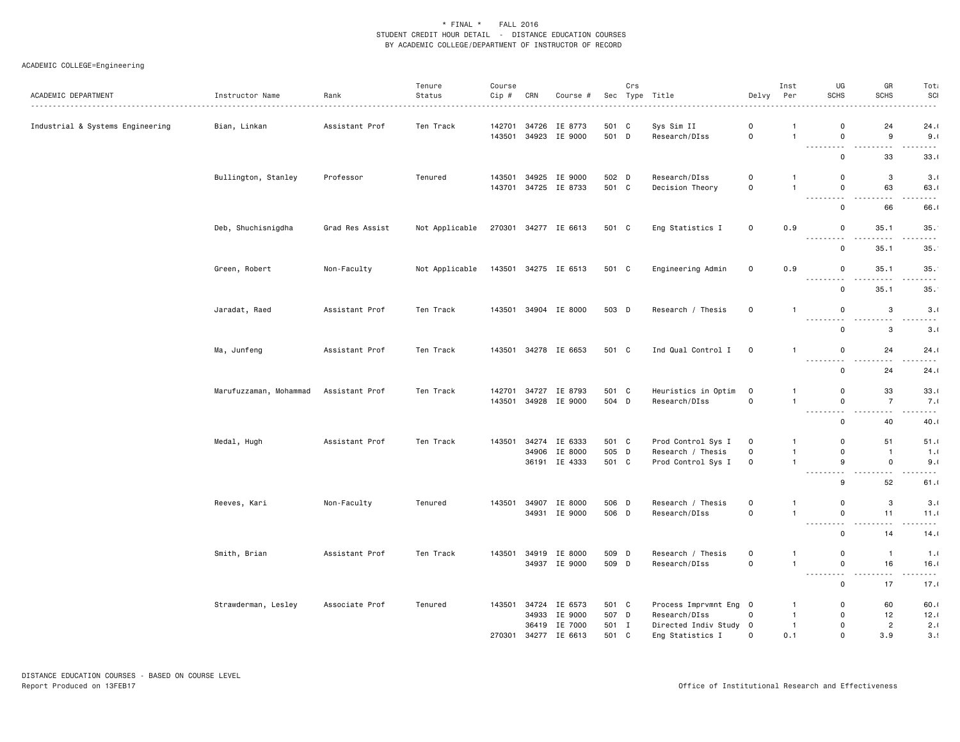| ACADEMIC DEPARTMENT              | Instructor Name        | Rank            | Tenure<br>Status | Course<br>Cip# | CRN   | Course #             |       | Crs | Sec Type Title         | Delvy               | Inst<br>Per  | UG<br><b>SCHS</b>                                                                                                                                                  | GR<br><b>SCHS</b>               | Tota<br>SCI                        |
|----------------------------------|------------------------|-----------------|------------------|----------------|-------|----------------------|-------|-----|------------------------|---------------------|--------------|--------------------------------------------------------------------------------------------------------------------------------------------------------------------|---------------------------------|------------------------------------|
|                                  |                        |                 |                  |                |       |                      |       |     |                        |                     |              |                                                                                                                                                                    |                                 |                                    |
| Industrial & Systems Engineering | Bian, Linkan           | Assistant Prof  | Ten Track        | 142701         | 34726 | IE 8773              | 501 C |     | Sys Sim II             | $\mathsf{O}$        | $\mathbf{1}$ | $\mathbf 0$                                                                                                                                                        | 24                              | 24.1                               |
|                                  |                        |                 |                  | 143501         |       | 34923 IE 9000        | 501 D |     | Research/DIss          | 0                   | $\mathbf{1}$ | $\mathbf 0$<br>.                                                                                                                                                   | 9<br>$\sim$                     | 9.1<br>.                           |
|                                  |                        |                 |                  |                |       |                      |       |     |                        |                     |              | $\mathsf 0$                                                                                                                                                        | 33                              | 33.1                               |
|                                  | Bullington, Stanley    | Professor       | Tenured          | 143501         | 34925 | IE 9000              | 502 D |     | Research/DIss          | 0                   | $\mathbf{1}$ | 0                                                                                                                                                                  | 3                               | 3.1                                |
|                                  |                        |                 |                  |                |       | 143701 34725 IE 8733 | 501 C |     | Decision Theory        | $\mathsf{o}\,$      | $\mathbf{1}$ | $\mathbf 0$<br>$ -$                                                                                                                                                | 63<br>.                         | 63.1<br>.                          |
|                                  |                        |                 |                  |                |       |                      |       |     |                        |                     |              | $\mathsf{o}$                                                                                                                                                       | 66                              | 66.                                |
|                                  | Deb, Shuchisnigdha     | Grad Res Assist | Not Applicable   |                |       | 270301 34277 IE 6613 | 501 C |     | Eng Statistics I       | 0                   | 0.9          | 0                                                                                                                                                                  | 35.1                            | 35.                                |
|                                  |                        |                 |                  |                |       |                      |       |     |                        |                     |              | <b></b><br>$\mathbf 0$                                                                                                                                             | 35.1                            | ----<br>35.                        |
|                                  |                        |                 |                  |                |       |                      |       |     |                        |                     |              |                                                                                                                                                                    |                                 |                                    |
|                                  | Green, Robert          | Non-Faculty     | Not Applicable   |                |       | 143501 34275 IE 6513 | 501 C |     | Engineering Admin      | 0                   | 0.9          | 0<br>$\frac{1}{2} \left( \frac{1}{2} \right) \left( \frac{1}{2} \right) \left( \frac{1}{2} \right) \left( \frac{1}{2} \right) \left( \frac{1}{2} \right)$<br>- - - | 35.1                            | 35.<br>.                           |
|                                  |                        |                 |                  |                |       |                      |       |     |                        |                     |              | $\mathsf{o}$                                                                                                                                                       | 35.1                            | 35.                                |
|                                  | Jaradat, Raed          | Assistant Prof  | Ten Track        |                |       | 143501 34904 IE 8000 | 503 D |     | Research / Thesis      | $\mathbf 0$         | $\mathbf{1}$ | $\mathbf 0$                                                                                                                                                        | 3                               | 3.1                                |
|                                  |                        |                 |                  |                |       |                      |       |     |                        |                     |              | <b></b><br>$\mathbf 0$                                                                                                                                             | $\sim$ $\sim$<br>3              | $\sim$ $\sim$ $\sim$ $\sim$<br>3.1 |
|                                  |                        | Assistant Prof  | Ten Track        |                |       | 143501 34278 IE 6653 | 501 C |     | Ind Qual Control I     | $\mathbf 0$         | $\mathbf{1}$ | $\mathbf 0$                                                                                                                                                        | 24                              | 24.1                               |
|                                  | Ma, Junfeng            |                 |                  |                |       |                      |       |     |                        |                     |              | $ -$<br>$- - - - -$                                                                                                                                                | $\sim$ $\sim$                   | .                                  |
|                                  |                        |                 |                  |                |       |                      |       |     |                        |                     |              | $\mathsf{o}$                                                                                                                                                       | 24                              | 24.1                               |
|                                  | Marufuzzaman, Mohammad | Assistant Prof  | Ten Track        | 142701         |       | 34727 IE 8793        | 501 C |     | Heuristics in Optim    | $\overline{0}$      | $\mathbf{1}$ | $\mathbf 0$                                                                                                                                                        | 33                              | 33.1                               |
|                                  |                        |                 |                  | 143501         |       | 34928 IE 9000        | 504 D |     | Research/DIss          | $\mathsf{O}\xspace$ | $\mathbf{1}$ | $\mathsf{o}$<br>$\sim$ $\sim$<br>$\sim$ $\sim$                                                                                                                     | $\overline{7}$<br>$\sim$ $\sim$ | 7.1<br>.                           |
|                                  |                        |                 |                  |                |       |                      |       |     |                        |                     |              | $\mathbf 0$                                                                                                                                                        | 40                              | 40.1                               |
|                                  | Medal, Hugh            | Assistant Prof  | Ten Track        | 143501         |       | 34274 IE 6333        | 501 C |     | Prod Control Sys I     | $\mathbf 0$         | $\mathbf{1}$ | 0                                                                                                                                                                  | 51                              | 51.1                               |
|                                  |                        |                 |                  |                | 34906 | IE 8000              | 505 D |     | Research / Thesis      | $\mathsf{O}$        | $\mathbf{1}$ | $\mathbf 0$                                                                                                                                                        | $\mathbf{1}$                    | 1.1                                |
|                                  |                        |                 |                  |                |       | 36191 IE 4333        | 501 C |     | Prod Control Sys I     | $\mathsf{O}$        | $\mathbf{1}$ | 9                                                                                                                                                                  | 0                               | 9.1                                |
|                                  |                        |                 |                  |                |       |                      |       |     |                        |                     |              | .<br>9                                                                                                                                                             | $\sim$<br>52                    | $\sim$ $\sim$ $\sim$<br>61.1       |
|                                  | Reeves, Kari           | Non-Faculty     | Tenured          | 143501         |       | 34907 IE 8000        | 506 D |     | Research / Thesis      | 0                   | $\mathbf{1}$ | 0                                                                                                                                                                  | 3                               | 3.1                                |
|                                  |                        |                 |                  |                |       | 34931 IE 9000        | 506 D |     | Research/DIss          | $\mathsf{o}\,$      | $\mathbf{1}$ | $\mathbf 0$                                                                                                                                                        | 11                              | 11.1                               |
|                                  |                        |                 |                  |                |       |                      |       |     |                        |                     |              | .<br>$\mathsf{o}$                                                                                                                                                  | 14                              | .<br>14.1                          |
|                                  |                        |                 |                  |                |       |                      |       |     |                        |                     |              |                                                                                                                                                                    |                                 |                                    |
|                                  | Smith, Brian           | Assistant Prof  | Ten Track        | 143501         |       | 34919 IE 8000        | 509 D |     | Research / Thesis      | 0                   | 1            | 0                                                                                                                                                                  | $\overline{1}$                  | 1.0                                |
|                                  |                        |                 |                  |                |       | 34937 IE 9000        | 509 D |     | Research/DIss          | $\mathsf{O}\xspace$ | $\mathbf{1}$ | $\mathsf 0$<br>$\sim$ $\sim$ $\sim$ $\sim$                                                                                                                         | 16<br>$\sim$ $\sim$             | 16.1<br>.                          |
|                                  |                        |                 |                  |                |       |                      |       |     |                        |                     |              | $\mathbf 0$                                                                                                                                                        | 17                              | 17.1                               |
|                                  | Strawderman, Lesley    | Associate Prof  | Tenured          | 143501         |       | 34724 IE 6573        | 501 C |     | Process Imprvmnt Eng 0 |                     | $\mathbf{1}$ | 0                                                                                                                                                                  | 60                              | 60.1                               |
|                                  |                        |                 |                  |                |       | 34933 IE 9000        | 507 D |     | Research/DIss          | $\mathsf{O}$        | $\mathbf{1}$ | $\mathbf 0$                                                                                                                                                        | 12                              | 12.1                               |
|                                  |                        |                 |                  |                |       | 36419 IE 7000        | 501 I |     | Directed Indiv Study 0 |                     | $\mathbf{1}$ | $\mathbf 0$                                                                                                                                                        | $\overline{2}$                  | 2.1                                |
|                                  |                        |                 |                  | 270301         |       | 34277 IE 6613        | 501 C |     | Eng Statistics I       | $\Omega$            | 0.1          | $\Omega$                                                                                                                                                           | 3.9                             | 3.9                                |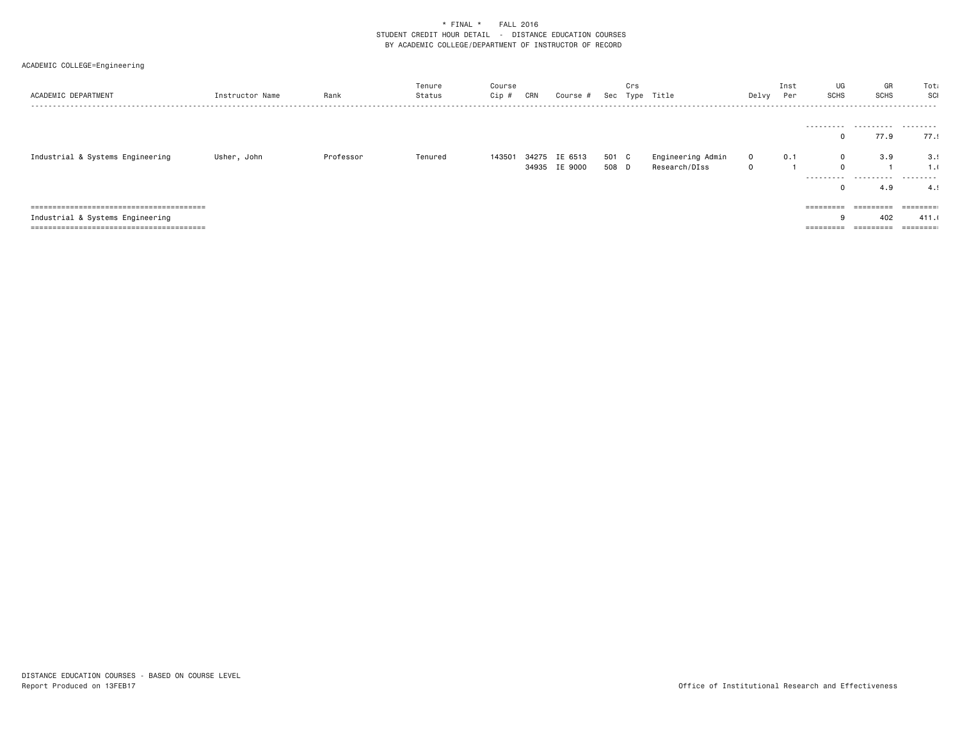| ACADEMIC DEPARTMENT              | Instructor Name | Rank      | Tenure<br>Status | Course<br>Cip # | CRN | Course #      |       | Crs | Sec Type Title    | Delvy        | Inst<br>Per | UG<br><b>SCHS</b> | GR<br><b>SCHS</b> | Tota<br>SCI |
|----------------------------------|-----------------|-----------|------------------|-----------------|-----|---------------|-------|-----|-------------------|--------------|-------------|-------------------|-------------------|-------------|
|                                  |                 |           |                  |                 |     |               |       |     |                   |              |             |                   |                   |             |
|                                  |                 |           |                  |                 |     |               |       |     |                   |              |             |                   | <br>77.9          | 77.9        |
|                                  |                 |           |                  |                 |     |               |       |     |                   |              |             |                   |                   |             |
| Industrial & Systems Engineering | Usher, John     | Professor | Tenured          | 143501          |     | 34275 IE 6513 | 501 C |     | Engineering Admin | $\mathbf{0}$ | 0.1         | $\mathbf 0$       | 3.9               | 3.5         |
|                                  |                 |           |                  |                 |     | 34935 IE 9000 | 508 D |     | Research/DIss     | 0            |             | $\mathbf 0$       |                   | 1.1         |
|                                  |                 |           |                  |                 |     |               |       |     |                   |              |             |                   |                   | .           |
|                                  |                 |           |                  |                 |     |               |       |     |                   |              |             |                   | 4.9               | 4.1         |
|                                  |                 |           |                  |                 |     |               |       |     |                   |              |             |                   |                   |             |
|                                  |                 |           |                  |                 |     |               |       |     |                   |              |             | =========         | <b>EBBEREES</b>   |             |
| Industrial & Systems Engineering |                 |           |                  |                 |     |               |       |     |                   |              |             |                   | 402               | 411.0       |
|                                  |                 |           |                  |                 |     |               |       |     |                   |              |             | ========          |                   |             |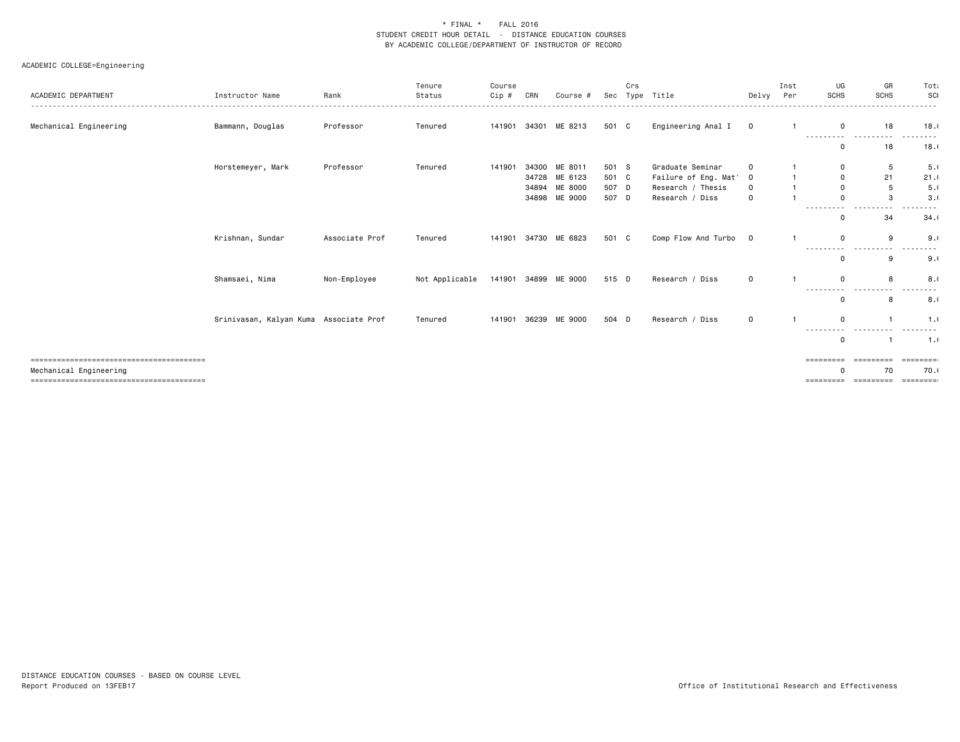|                        |                                        |                | Tenure         | Course       |       |               |       | Crs |                      |             | Inst | UG                        | GR              | Tota         |
|------------------------|----------------------------------------|----------------|----------------|--------------|-------|---------------|-------|-----|----------------------|-------------|------|---------------------------|-----------------|--------------|
| ACADEMIC DEPARTMENT    | Instructor Name                        | Rank           | Status         | Cip #        | CRN   | Course #      | Sec   |     | Type Title           | Delvy       | Per  | <b>SCHS</b>               | <b>SCHS</b>     | SCI          |
|                        |                                        |                |                |              |       |               |       |     |                      |             |      |                           |                 |              |
| Mechanical Engineering | Bammann, Douglas                       | Professor      | Tenured        | 141901       | 34301 | ME 8213       | 501 C |     | Engineering Anal I   | $\circ$     |      | $\mathbf 0$<br>---------- | 18<br>$- - - -$ | 18.1         |
|                        |                                        |                |                |              |       |               |       |     |                      |             |      | $\mathbf 0$               | 18              | 18.1         |
|                        | Horstemeyer, Mark                      | Professor      | Tenured        | 141901       | 34300 | ME 8011       | 501 S |     | Graduate Seminar     |             |      | $\mathbf 0$               | 5               | 5.1          |
|                        |                                        |                |                |              |       | 34728 ME 6123 | 501 C |     | Failure of Eng. Mat' | $\Omega$    |      | $\mathbf 0$               | 21              | 21.1         |
|                        |                                        |                |                |              | 34894 | ME 8000       | 507 D |     | Research / Thesis    | $\Omega$    |      | $\Omega$                  | $5\phantom{.0}$ | 5.0          |
|                        |                                        |                |                |              | 34898 | ME 9000       | 507 D |     | Research / Diss      | $\Omega$    |      | $\Omega$                  | 3               | 3.1          |
|                        |                                        |                |                |              |       |               |       |     |                      |             |      | $\Omega$                  | 34              | 34.1         |
|                        | Krishnan, Sundar                       | Associate Prof | Tenured        | 141901       | 34730 | ME 6823       | 501 C |     | Comp Flow And Turbo  | $\mathbf 0$ |      | $\Omega$                  | 9               | 9.1          |
|                        |                                        |                |                |              |       |               |       |     |                      |             |      | ------<br>$\Omega$        | $- - -$<br>9    | 9.1          |
|                        | Shamsaei, Nima                         | Non-Employee   | Not Applicable | 141901 34899 |       | ME 9000       | 515 D |     | Research / Diss      | $\mathbf 0$ |      | $\Omega$                  | 8               | 8.0          |
|                        |                                        |                |                |              |       |               |       |     |                      |             |      | $\Omega$                  | 8               | 8.1          |
|                        | Srinivasan, Kalyan Kuma Associate Prof |                | Tenured        | 141901       | 36239 | ME 9000       | 504 D |     | Research / Diss      | $\mathbf 0$ |      | $\Omega$                  |                 | 1.0          |
|                        |                                        |                |                |              |       |               |       |     |                      |             |      | ----<br>$\mathbf 0$       |                 | 1.1          |
|                        |                                        |                |                |              |       |               |       |     |                      |             |      | =========                 | =========       | ========     |
| Mechanical Engineering |                                        |                |                |              |       |               |       |     |                      |             |      | $\Omega$                  | 70              | 70.1         |
|                        |                                        |                |                |              |       |               |       |     |                      |             |      | =========                 | =========       | $=$ ======== |